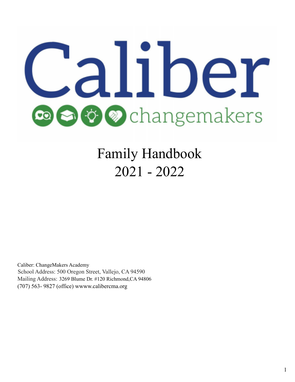# liber **Ö** ⊘changemakers

Family Handbook 2021 - 2022

Caliber: ChangeMakers Academy School Address: 500 Oregon Street, Vallejo, CA 94590 Mailing Address: 3269 Blume Dr. #120 Richmond,CA 94806 (707) 563- 9827 (office) wwww.calibercma.org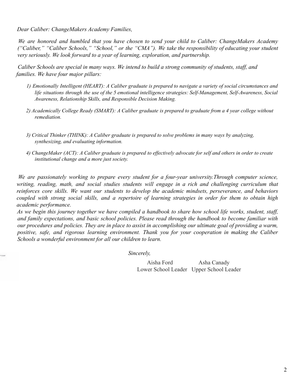*Dear Caliber: ChangeMakers Academy Families,*

*We are honored and humbled that you have chosen to send your child to Caliber: ChangeMakers Academy ("Caliber," "Caliber Schools," "School," or the "CMA"). We take the responsibility of educating your student very seriously. We look forward to a year of learning, exploration, and partnership.*

*Caliber Schools are special in many ways. We intend to build a strong community of students, staff, and families. We have four major pillars:*

- 1) Emotionally Intelligent (HEART): A Caliber graduate is prepared to navigate a variety of social circumstances and *life situations through the use of the 5 emotional intelligence strategies: Self-Management, Self-Awareness, Social Awareness, Relationship Skills, and Responsible Decision Making.*
- 2) Academically College Ready (SMART): A Caliber graduate is prepared to graduate from a 4 year college without *remediation.*
- *3) Critical Thinker (THINK): A Caliber graduate is prepared to solve problems in many ways by analyzing, synthesizing, and evaluating information.*
- 4) ChangeMaker (ACT): A Caliber graduate is prepared to effectively advocate for self and others in order to create *institutional change and a more just society.*

*We are passionately working to prepare every student for a four-year university.Through computer science, writing, reading, math, and social studies students will engage in a rich and challenging curriculum that reinforces core skills. We want our students to develop the academic mindsets, perseverance, and behaviors* coupled with strong social skills, and a repertoire of learning strategies in order for them to obtain high *academic performance.*

As we begin this journey together we have compiled a handbook to share how school life works, student, staff, *and family expectations, and basic school policies. Please read through the handbook to become familiar with* our procedures and policies. They are in place to assist in accomplishing our ultimate goal of providing a warm, *positive, safe, and rigorous learning environment. Thank you for your cooperation in making the Caliber Schools a wonderful environment for all our children to learn.*

*Sincerely,*

Aisha Ford Asha Canady Lower School Leader Upper School Leader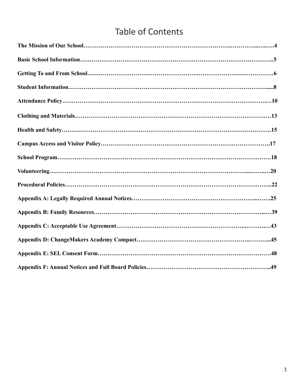# Table of Contents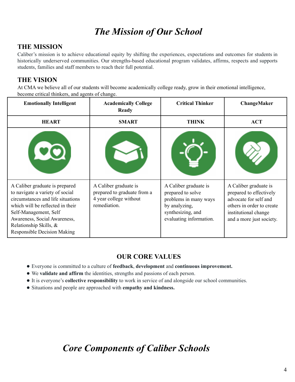# *The Mission of Our School*

## **THE MISSION**

Caliber's mission is to achieve educational equity by shifting the experiences, expectations and outcomes for students in historically underserved communities. Our strengths-based educational program validates, affirms, respects and supports students, families and staff members to reach their full potential.

#### **THE VISION**

At CMA we believe all of our students will become academically college ready, grow in their emotional intelligence, become critical thinkers, and agents of change.

| <b>Emotionally Intelligent</b>                                                                                                                                                                                                                                      | <b>Academically College</b><br><b>Ready</b>                                                    | <b>Critical Thinker</b>                                                                                                              | ChangeMaker                                                                                                                                                |
|---------------------------------------------------------------------------------------------------------------------------------------------------------------------------------------------------------------------------------------------------------------------|------------------------------------------------------------------------------------------------|--------------------------------------------------------------------------------------------------------------------------------------|------------------------------------------------------------------------------------------------------------------------------------------------------------|
| <b>HEART</b>                                                                                                                                                                                                                                                        | <b>SMART</b>                                                                                   | <b>THINK</b>                                                                                                                         | <b>ACT</b>                                                                                                                                                 |
|                                                                                                                                                                                                                                                                     |                                                                                                |                                                                                                                                      |                                                                                                                                                            |
| A Caliber graduate is prepared<br>to navigate a variety of social<br>circumstances and life situations<br>which will be reflected in their<br>Self-Management, Self<br>Awareness, Social Awareness,<br>Relationship Skills, &<br><b>Responsible Decision Making</b> | A Caliber graduate is<br>prepared to graduate from a<br>4 year college without<br>remediation. | A Caliber graduate is<br>prepared to solve<br>problems in many ways<br>by analyzing,<br>synthesizing, and<br>evaluating information. | A Caliber graduate is<br>prepared to effectively<br>advocate for self and<br>others in order to create<br>institutional change<br>and a more just society. |

## **OUR CORE VALUES**

- Everyone is committed to a culture of **feedback**, **development** and **continuous improvement.**
- We **validate and affirm** the identities, strengths and passions of each person.
- It is everyone's **collective responsibility** to work in service of and alongside our school communities.
- Situations and people are approached with **empathy and kindness.**

# *Core Components of Caliber Schools*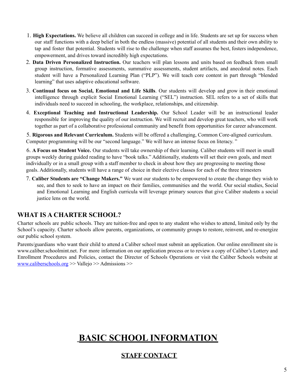- 1. **High Expectations.** We believe all children can succeed in college and in life. Students are set up for success when our staff functions with a deep belief in both the endless (massive) potential of all students and their own ability to tap and foster that potential. Students will rise to the challenge when staff assumes the best, fosters independence, empowerment, and drives toward incredibly high expectations.
- 2. **Data Driven Personalized Instruction.** Our teachers will plan lessons and units based on feedback from small group instruction, formative assessments, summative assessments, student artifacts, and anecdotal notes. Each student will have a Personalized Learning Plan ("PLP"). We will teach core content in part through "blended learning" that uses adaptive educational software.
- 3. **Continual focus on Social, Emotional and Life Skills**. Our students will develop and grow in their emotional intelligence through explicit Social Emotional Learning ("SEL") instruction. SEL refers to a set of skills that individuals need to succeed in schooling, the workplace, relationships, and citizenship.
- 4. **Exceptional Teaching and Instructional Leadership.** Our School Leader will be an instructional leader responsible for improving the quality of our instruction. We will recruit and develop great teachers, who will work together as part of a collaborative professional community and benefit from opportunities for career advancement.

5. **Rigorous and Relevant Curriculum.** Students will be offered a challenging, Common Core-aligned curriculum. Computer programming will be our "second language." We will have an intense focus on literacy. "

6. **A Focus on Student Voice.** Our students will take ownership of their learning. Caliber students will meet in small groups weekly during guided reading to have "book talks." Additionally, students will set their own goals, and meet individually or in a small group with a staff member to check in about how they are progressing to meeting those goals. Additionally, students will have a range of choice in their elective classes for each of the three trimesters

7. **Caliber Students are "Change Makers."** We want our students to be empowered to create the change they wish to see, and then to seek to have an impact on their families, communities and the world. Our social studies, Social and Emotional Learning and English curricula will leverage primary sources that give Caliber students a social justice lens on the world.

## **WHAT IS A CHARTER SCHOOL?**

Charter schools are public schools. They are tuition-free and open to any student who wishes to attend, limited only by the School's capacity. Charter schools allow parents, organizations, or community groups to restore, reinvent, and re-energize our public school system.

Parents/guardians who want their child to attend a Caliber school must submit an application. Our online enrollment site is www.caliber.schoolmint.net. For more information on our application process or to review a copy of Caliber's Lottery and Enrollment Procedures and Policies, contact the Director of Schools Operations or visit the Caliber Schools website at www.caliberschools.org >> Vallejo >> Admissions >>

# **BASIC SCHOOL INFORMATION**

# **STAFF CONTACT**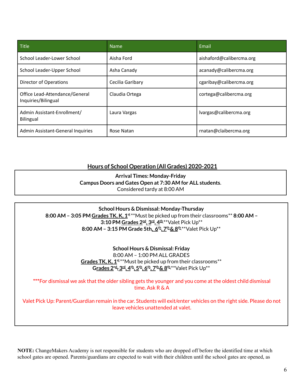| Title                                                 | <b>Name</b>      | Email                    |
|-------------------------------------------------------|------------------|--------------------------|
| School Leader-Lower School                            | Aisha Ford       | aishaford@calibercma.org |
| School Leader-Upper School                            | Asha Canady      | acanady@calibercma.org   |
| <b>Director of Operations</b>                         | Cecilia Garibary | cgaribay@calibercma.org  |
| Office Lead-Attendance/General<br>Inquiries/Bilingual | Claudia Ortega   | cortega@calibercma.org   |
| Admin Assistant-Enrollment/<br>Bilingual              | Laura Vargas     | lvargas@calibercma.org   |
| Admin Assistant-General Inquiries                     | Rose Natan       | rnatan@claibercma.org    |

#### **Hours of School Operation (All Grades) 2020-2021**

**Arrival Times: Monday-Friday Campus Doors and Gates Open at 7:30 AM for ALL students**. Considered tardy at 8:00 AM

**School Hours & Dismissal: Monday-Thursday 8:00 AM – 3:05 PM Grades TK, K, 1 st** \*\*Must be picked up from their classrooms\*\* **8:00 AM – 3:10 PM Grades 2 nd , 3 rd , 4 th** \*\*Valet Pick Up\*\* **8:00 AM – 3:15 PM Grade 5th, 6 th , 7 th& 8 th** \*\*Valet Pick Up\*\*

> **School Hours & Dismissal: Friday** 8:00 AM – 1:00 PM ALL GRADES **Grades TK, K, 1 st** \*\*Must be picked up from their classrooms\*\*  $G$  **Comparish**  $2^{nd}$ **,**  $3^{rd}$ **,**  $4^{th}$ **,**  $5^{th}$ **,**  $6^{th}$ **,**  $7^{th}$  **&**  $8^{th}$  $*$  **Valet Pick Up**  $*$

**\*\*\***For dismissal we ask that the older sibling gets the younger and you come at the oldest child dismissal time. Ask R & A

Valet Pick Up: Parent/Guardian remain in the car. Students will exit/enter vehicles on the right side. Please do not leave vehicles unattended at valet.

**NOTE:** ChangeMakers Academy is not responsible for students who are dropped off before the identified time at which school gates are opened. Parents/guardians are expected to wait with their children until the school gates are opened, as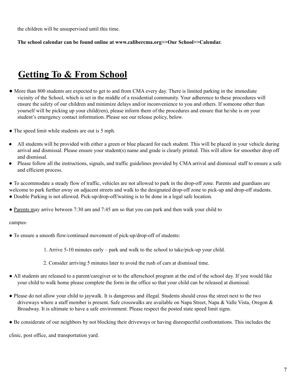the children will be unsupervised until this time.

**The school calendar can be found online at www.calibercma.org>>Our School>>Calendar.**

# **Getting To & From School**

- More than 800 students are expected to get to and from CMA every day. There is limited parking in the immediate vicinity of the School, which is set in the middle of a residential community. Your adherence to these procedures will ensure the safety of our children and minimize delays and/or inconvenience to you and others. If someone other than yourself will be picking up your child(ren), please inform them of the procedures and ensure that he/she is on your student's emergency contact information. Please see our release policy, below.
- The speed limit while students are out is 5 mph.
- All students will be provided with either a green or blue placard for each student. This will be placed in your vehicle during arrival and dismissal. Please ensure your student(s) name and grade is clearly printed. This will allow for smoother drop off and dismissal.
- Please follow all the instructions, signals, and traffic guidelines provided by CMA arrival and dismissal staff to ensure a safe and efficient process.

● To accommodate a steady flow of traffic, vehicles are not allowed to park in the drop-off zone. Parents and guardians are welcome to park further away on adjacent streets and walk to the designated drop-off zone to pick-up and drop-off students.

- Double Parking is not allowed. Pick-up/drop-off/waiting is to be done in a legal safe location.
- Parents may arrive between 7:30 am and 7:45 am so that you can park and then walk your child to

#### campus.

- To ensure a smooth flow/continued movement of pick-up/drop-off of students:
	- 1. Arrive 5-10 minutes early park and walk to the school to take/pick-up your child.
	- 2. Consider arriving 5 minutes later to avoid the rush of cars at dismissal time.
- All students are released to a parent/caregiver or to the afterschool program at the end of the school day. If you would like your child to walk home please complete the form in the office so that your child can be released at dismissal.
- Please do not allow your child to jaywalk. It is dangerous and illegal. Students should cross the street next to the two driveways where a staff member is present. Safe crosswalks are available on Napa Street, Napa & Valle Vista, Oregon & Broadway. It is ultimate to have a safe environment. Please respect the posted state speed limit signs.
- Be considerate of our neighbors by not blocking their driveways or having disrespectful confrontations. This includes the

clinic, post office, and transportation yard.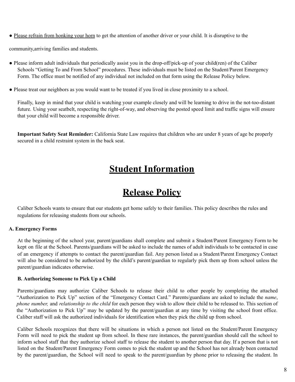● Please refrain from honking your horn to get the attention of another driver or your child. It is disruptive to the

community,arriving families and students.

- Please inform adult individuals that periodically assist you in the drop-off/pick-up of your child(ren) of the Caliber Schools "Getting To and From School" procedures. These individuals must be listed on the Student/Parent Emergency Form. The office must be notified of any individual not included on that form using the Release Policy below.
- Please treat our neighbors as you would want to be treated if you lived in close proximity to a school.

Finally, keep in mind that your child is watching your example closely and will be learning to drive in the not-too-distant future. Using your seatbelt, respecting the right-of-way, and observing the posted speed limit and traffic signs will ensure that your child will become a responsible driver.

**Important Safety Seat Reminder:** California State Law requires that children who are under 8 years of age be properly secured in a child restraint system in the back seat.

# **Student Information**

# **Release Policy**

Caliber Schools wants to ensure that our students get home safely to their families. This policy describes the rules and regulations for releasing students from our schools.

#### **A. Emergency Forms**

At the beginning of the school year, parent/guardians shall complete and submit a Student/Parent Emergency Form to be kept on file at the School. Parents/guardians will be asked to include the names of adult individuals to be contacted in case of an emergency if attempts to contact the parent/guardian fail. Any person listed as a Student/Parent Emergency Contact will also be considered to be authorized by the child's parent/guardian to regularly pick them up from school unless the parent/guardian indicates otherwise.

#### **B. Authorizing Someone to Pick Up a Child**

Parents/guardians may authorize Caliber Schools to release their child to other people by completing the attached "Authorization to Pick Up" section of the "Emergency Contact Card." Parents/guardians are asked to include the *name*, *phone number,* and *relationship to the child* for each person they wish to allow their child to be released to. This section of the "Authorization to Pick Up" may be updated by the parent/guardian at any time by visiting the school front office. Caliber staff will ask the authorized individuals for identification when they pick the child up from school.

Caliber Schools recognizes that there will be situations in which a person not listed on the Student/Parent Emergency Form will need to pick the student up from school. In these rare instances, the parent/guardian should call the school to inform school staff that they authorize school staff to release the student to another person that day. If a person that is not listed on the Student/Parent Emergency Form comes to pick the student up and the School has not already been contacted by the parent/guardian, the School will need to speak to the parent/guardian by phone prior to releasing the student. In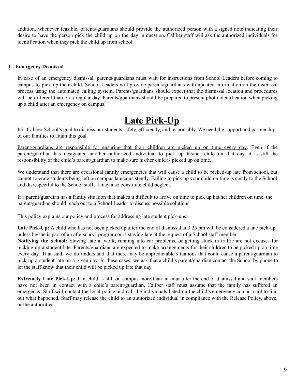addition, whenever feasible, parents/guardians should provide the authorized person with a signed note indicating their desire to have the person pick the child up on the day in question. Caliber staff will ask the authorized individuals for identification when they pick the child up from school.

#### **C. Emergency Dismissal**

In case of an emergency dismissal, parents/guardians must wait for instructions from School Leaders before coming to campus to pick up their child. School Leaders will provide parents/guardians with updated information on the dismissal process using the automated calling system. Parents/guardians should expect that the dismissal location and procedures will be different than on a regular day. Parents/guardians should be prepared to present photo identification when picking up a child after an emergency on campus.

# **Late Pick-Up**

It is Caliber School's goal to dismiss our students safely, efficiently, and responsibly. We need the support and partnership of our families to attain this goal.

Parent/guardians are responsible for ensuring that their children are picked up on time every day. Even if the parent/guardian has designated another authorized individual to pick up his/her child on that day, it is still the responsibility of the child's parent/guardian to make sure his/her child is picked up on time.

We understand that there are occasional family emergencies that will cause a child to be picked-up late from school, but cannot tolerate students being left on campus late consistently. Failing to pick up your child on time is costly to the School and disrespectful to the School staff; it may also constitute child neglect.

If a parent/guardian has a family situation that makes it difficult to arrive on time to pick up his/her children on time, the parent/guardian should reach out to a School Leader to discuss possible solutions.

This policy explains our policy and process for addressing late student pick-ups:

**Late Pick-Up:** A child who has not been picked up after the end of dismissal at 3:25 pm will be considered a late pick-up unless he/she is part of an afterschool program or is staying late at the request of a School staff member.

**Notifying the School:** Staying late at work, running into car problems, or getting stuck in traffic are not excuses for picking up a student late. Parents/guardians are expected to make arrangements for their children to be picked up on time every day. That said, we do understand that there may be unpredictable situations that could cause a parent/guardian to pick up a student late on a given day. In these cases, we ask that a child's parent/guardian contact the School by phone to let the staff know that their child will be picked up late that day.

**Extremely Late Pick-Up:** If a child is still on campus more than an hour after the end of dismissal and staff members have not been in contact with a child's parent/guardian, Caliber staff must assume that the family has suffered an emergency. Staff will contact the local police and call the individuals listed on the child's emergency contact card to find out what happened. Staff may release the child to an authorized individual in compliance with the Release Policy, above, or the authorities.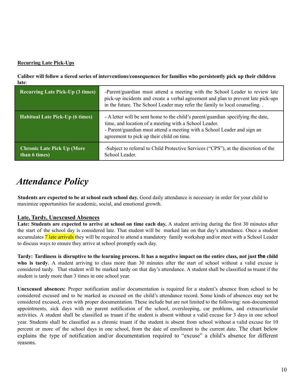#### **Recurring Late Pick-Ups**

Caliber will follow a tiered series of interventions/consequences for families who persistently pick up their children **late**:

| <b>Recurring Late Pick-Up (3 times)</b>             | -Parent/guardian must attend a meeting with the School Leader to review late<br>pick-up incidents and create a verbal agreement and plan to prevent late pick-ups<br>in the future. The School Leader may refer the family to local counseling                     |
|-----------------------------------------------------|--------------------------------------------------------------------------------------------------------------------------------------------------------------------------------------------------------------------------------------------------------------------|
| <b>Habitual Late Pick-Up (6 times)</b>              | - A letter will be sent home to the child's parent/guardian specifying the date,<br>time, and location of a meeting with a School Leader.<br>- Parent/guardian must attend a meeting with a School Leader and sign an<br>agreement to pick up their child on time. |
| <b>Chronic Late Pick Up (More)</b><br>than 6 times) | -Subject to referral to Child Protective Services ("CPS"), at the discretion of the<br>School Leader.                                                                                                                                                              |

# *Attendance Policy*

**Students are expected to be at school each school day.** Good daily attendance is necessary in order for your child to maximize opportunities for academic, social, and emotional growth.

#### **Late, Tardy, Unexcused Absences**

**Late: Students are expected to arrive at school on time each day.** A student arriving during the first 30 minutes after the start of the school day is considered late. That student will be marked late on that day's attendance. Once a student accumulates 7 late arrivals they will be required to attend a mandatory family workshop and/or meet with a School Leader to discuss ways to ensure they arrive at school promptly each day.

Tardy: Tardiness is disruptive to the learning process. It has a negative impact on the entire class, not just the child **who is tardy.** A student arriving to class more than 30 minutes after the start of school without a valid excuse is considered tardy. That student will be marked tardy on that day's attendance. A student shall be classified as truant if the student is tardy more than 3 times in one school year.

**Unexcused absences:** Proper notification and/or documentation is required for a student's absence from school to be considered excused and to be marked as excused on the child's attendance record. Some kinds of absences may not be considered excused, even with proper documentation. These include but are not limited to the following: non-documented appointments, sick days with no parent notification of the school, oversleeping, car problems, and extracurricular activities. A student shall be classified as truant if the student is absent without a valid excuse for 3 days in one school year. Students shall be classified as a chronic truant if the student is absent from school without a valid excuse for 10 percent or more of the school days in one school, from the date of enrollment to the current date. The chart below explains the type of notification and/or documentation required to "excuse" a child's absence for different reasons.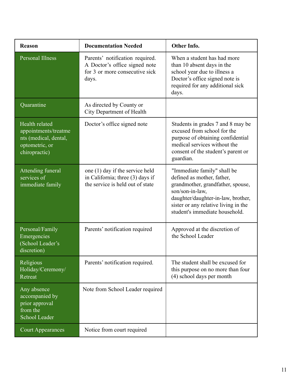| <b>Reason</b>                                                                                      | <b>Documentation Needed</b>                                                                                 | Other Info.                                                                                                                                                                                                                       |
|----------------------------------------------------------------------------------------------------|-------------------------------------------------------------------------------------------------------------|-----------------------------------------------------------------------------------------------------------------------------------------------------------------------------------------------------------------------------------|
| <b>Personal Illness</b>                                                                            | Parents' notification required.<br>A Doctor's office signed note<br>for 3 or more consecutive sick<br>days. | When a student has had more<br>than 10 absent days in the<br>school year due to illness a<br>Doctor's office signed note is<br>required for any additional sick<br>days.                                                          |
| Quarantine                                                                                         | As directed by County or<br>City Department of Health                                                       |                                                                                                                                                                                                                                   |
| Health related<br>appointments/treatme<br>nts (medical, dental,<br>optometric, or<br>chiropractic) | Doctor's office signed note                                                                                 | Students in grades 7 and 8 may be<br>excused from school for the<br>purpose of obtaining confidential<br>medical services without the<br>consent of the student's parent or<br>guardian.                                          |
| Attending funeral<br>services of<br>immediate family                                               | one (1) day if the service held<br>in California; three (3) days if<br>the service is held out of state     | "Immediate family" shall be<br>defined as mother, father,<br>grandmother, grandfather, spouse,<br>son/son-in-law,<br>daughter/daughter-in-law, brother,<br>sister or any relative living in the<br>student's immediate household. |
| Personal/Family<br>Emergencies<br>(School Leader's<br>discretion)                                  | Parents' notification required                                                                              | Approved at the discretion of<br>the School Leader                                                                                                                                                                                |
| Religious<br>Holiday/Ceremony/<br>Retreat                                                          | Parents' notification required.                                                                             | The student shall be excused for<br>this purpose on no more than four<br>(4) school days per month                                                                                                                                |
| Any absence<br>accompanied by<br>prior approval<br>from the<br>School Leader                       | Note from School Leader required                                                                            |                                                                                                                                                                                                                                   |
| <b>Court Appearances</b>                                                                           | Notice from court required                                                                                  |                                                                                                                                                                                                                                   |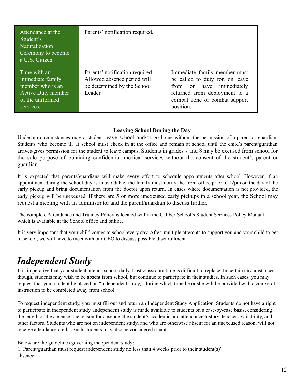| Attendance at the<br>Student's<br><b>Naturalization</b><br>Ceremony to become<br>a U.S. Citizen                    | Parents' notification required.                                                                          |                                                                                                                                                                            |
|--------------------------------------------------------------------------------------------------------------------|----------------------------------------------------------------------------------------------------------|----------------------------------------------------------------------------------------------------------------------------------------------------------------------------|
| Time with an<br>immediate family<br>member who is an<br><b>Active Duty member</b><br>of the uniformed<br>services. | Parents' notification required.<br>Allowed absence period will<br>be determined by the School<br>Leader. | Immediate family member must<br>be called to duty for, on leave<br>from or have immediately<br>returned from deployment to a<br>combat zone or combat support<br>position. |

#### **Leaving School During the Day**

Under no circumstances may a student leave school and/or go home without the permission of a parent or guardian. Students who become ill at school must check in at the office and remain at school until the child's parent/guardian arrives/gives permission for the student to leave campus. Students in grades 7 and 8 may be excused from school for the sole purpose of obtaining confidential medical services without the consent of the student's parent or guardian.

It is expected that parents/guardians will make every effort to schedule appointments after school. However, if an appointment during the school day is unavoidable, the family must notify the front office prior to 12pm on the day of the early pickup and bring documentation from the doctor upon return. In cases where documentation is not provided, the early pickup will be unexcused. If there are 5 or more unexcused early pickups in a school year, the School may request a meeting with an administrator and the parent/guardian to discuss further.

The complete Attendance and Truancy Policy is located within the Caliber School's Student Services Policy Manual which is available at the School office and online.

It is very important that your child comes to school every day. After multiple attempts to support you and your child to get to school, we will have to meet with our CEO to discuss possible disenrollment.

# *Independent Study*

It is imperative that your student attends school daily. Lost classroom time is difficult to replace. In certain circumstances though, students may wish to be absent from school, but continue to participate in their studies. In such cases, you may request that your student be placed on "independent study," during which time he or she will be provided with a course of instruction to be completed away from school.

To request independent study, you must fill out and return an Independent Study Application. Students do not have a right to participate in independent study. Independent study is made available to students on a case-by-case basis, considering the length of the absence, the reason for absence, the student's academic and attendance history, teacher availability, and other factors. Students who are not on independent study, and who are otherwise absent for an unexcused reason, will not receive attendance credit. Such students may also be considered truant.

Below are the guidelines governing independent study: 1. Parent/guardian must request independent study no less than 4 weeks prior to their student(s)' absence.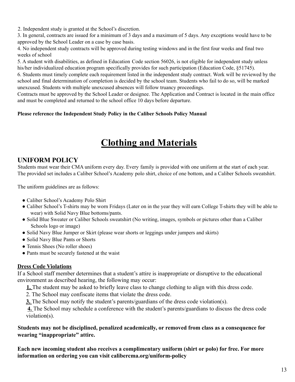2. Independent study is granted at the School's discretion.

3. In general, contracts are issued for a minimum of 3 days and a maximum of 5 days. Any exceptions would have to be approved by the School Leader on a case by case basis.

4. No independent study contracts will be approved during testing windows and in the first four weeks and final two weeks of school

5. A student with disabilities, as defined in Education Code section 56026, is not eligible for independent study unless his/her individualized education program specifically provides for such participation (Education Code, §51745).

6. Students must timely complete each requirement listed in the independent study contract. Work will be reviewed by the school and final determination of completion is decided by the school team. Students who fail to do so, will be marked unexcused. Students with multiple unexcused absences will follow truancy proceedings.

Contracts must be approved by the School Leader or designee. The Application and Contract is located in the main office and must be completed and returned to the school office 10 days before departure.

#### **Please reference the Independent Study Policy in the Caliber Schools Policy Manual**

# **Clothing and Materials**

# **UNIFORM POLICY**

Students must wear their CMA uniform every day. Every family is provided with one uniform at the start of each year. The provided set includes a Caliber School's Academy polo shirt, choice of one bottom, and a Caliber Schools sweatshirt.

The uniform guidelines are as follows:

- Caliber School's Academy Polo Shirt
- Caliber School's T-shirts may be worn Fridays (Later on in the year they will earn College T-shirts they will be able to wear) with Solid Navy Blue bottoms/pants.
- Solid Blue Sweater or Caliber Schools sweatshirt (No writing, images, symbols or pictures other than a Caliber Schools logo or image)
- Solid Navy Blue Jumper or Skirt (please wear shorts or leggings under jumpers and skirts)
- Solid Navy Blue Pants or Shorts
- Tennis Shoes (No roller shoes)
- Pants must be securely fastened at the waist

#### **Dress Code Violations**

If a School staff member determines that a student's attire is inappropriate or disruptive to the educational environment as described hearing, the following may occur:

**1.** The student may be asked to briefly leave class to change clothing to align with this dress code.

2. The School may confiscate items that violate the dress code.

**3.** The School may notify the student's parents/guardians of the dress code violation(s).

**4.** The School may schedule a conference with the student's parents/guardians to discuss the dress code violation(s).

**Students may not be disciplined, penalized academically, or removed from class as a consequence for wearing "inappropriate" attire.**

**Each new incoming student also receives a complimentary uniform (shirt or polo) for free. For more information on ordering you can visit calibercma.org/uniform-policy**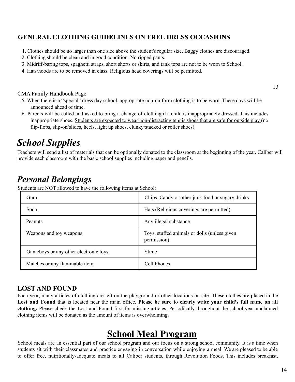## **GENERAL CLOTHING GUIDELINES ON FREE DRESS OCCASIONS**

- 1. Clothes should be no larger than one size above the student's regular size. Baggy clothes are discouraged.
- 2. Clothing should be clean and in good condition. No ripped pants.
- 3. Midriff-baring tops, spaghetti straps, short shorts or skirts, and tank tops are not to be worn to School.
- 4. Hats/hoods are to be removed in class. Religious head coverings will be permitted.

#### CMA Family Handbook Page

- 5. When there is a "special" dress day school, appropriate non-uniform clothing is to be worn. These days will be announced ahead of time.
- 6. Parents will be called and asked to bring a change of clothing if a child is inappropriately dressed. This includes inappropriate shoes. Students are expected to wear non-distracting tennis shoes that are safe for outside play (no flip-flops, slip-on/slides, heels, light up shoes, clunky/stacked or roller shoes).

# *School Supplies*

Teachers will send a list of materials that can be optionally donated to the classroom at the beginning of the year. Caliber will provide each classroom with the basic school supplies including paper and pencils.

# *Personal Belongings*

Students are NOT allowed to have the following items at School:

| Gum                                   | Chips, Candy or other junk food or sugary drinks            |
|---------------------------------------|-------------------------------------------------------------|
| Soda                                  | Hats (Religious coverings are permitted)                    |
| Peanuts                               | Any illegal substance                                       |
| Weapons and toy weapons               | Toys, stuffed animals or dolls (unless given<br>permission) |
| Gameboys or any other electronic toys | Slime                                                       |
| Matches or any flammable item         | Cell Phones                                                 |

#### **LOST AND FOUND**

Each year, many articles of clothing are left on the playground or other locations on site. These clothes are placed in the Lost and Found that is located near the main office. Please be sure to clearly write your child's full name on all **clothing.** Please check the Lost and Found first for missing articles. Periodically throughout the school year unclaimed clothing items will be donated as the amount of items is overwhelming.

# **School Meal Program**

School meals are an essential part of our school program and our focus on a strong school community. It is a time when students sit with their classmates and practice engaging in conversation while enjoying a meal. We are pleased to be able to offer free, nutritionally-adequate meals to all Caliber students, through Revolution Foods. This includes breakfast,

13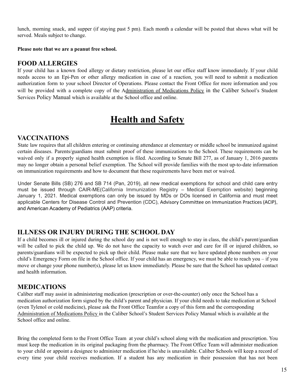lunch, morning snack, and supper (if staying past 5 pm). Each month a calendar will be posted that shows what will be served. Meals subject to change.

#### **Please note that we are a peanut free school.**

#### **FOOD ALLERGIES**

If your child has a known food allergy or dietary restriction, please let our office staff know immediately. If your child needs access to an Epi-Pen or other allergy medication in case of a reaction, you will need to submit a medication authorization form to your school Director of Operations. Please contact the Front Office for more information and you will be provided with a complete copy of the Administration of Medications Policy in the Caliber School's Student Services Policy Manual which is available at the School office and online.

# **Health and Safety**

#### **VACCINATIONS**

State law requires that all children entering or continuing attendance at elementary or middle school be immunized against certain diseases. Parents/guardians must submit proof of these immunizations to the School. These requirements can be waived only if a properly signed health exemption is filed. According to Senate Bill 277, as of January 1, 2016 parents may no longer obtain a personal belief exemption. The School will provide families with the most up-to-date information on immunization requirements and how to document that these requirements have been met or waived.

Under Senate Bills (SB) 276 and SB 714 (Pan, 2019), all new medical exemptions for school and child care entry must be issued through CAIR-ME(California Immunization Registry – Medical Exemption website) beginning January 1, 2021. Medical exemptions can only be issued by MDs or DOs licensed in California and must meet applicable Centers for Disease Control and Prevention (CDC), Advisory Committee on [Immunization](https://www.cdc.gov/vaccines/hcp/acip-recs/general-recs/index.html) Practices (ACIP), and American Academy of Pediatrics (AAP) criteria.

#### **ILLNESS OR INJURY DURING THE SCHOOL DAY**

If a child becomes ill or injured during the school day and is not well enough to stay in class, the child's parent/guardian will be called to pick the child up. We do not have the capacity to watch over and care for ill or injured children, so parents/guardians will be expected to pick up their child. Please make sure that we have updated phone numbers on your child's Emergency Form on file in the School office. If your child has an emergency, we must be able to reach you – if you move or change your phone number(s), please let us know immediately. Please be sure that the School has updated contact and health information.

#### **MEDICATIONS**

Caliber staff may assist in administering medication (prescription or over-the-counter) only once the School has a medication authorization form signed by the child's parent and physician. If your child needs to take medication at School (even Tylenol or cold medicine), please ask the Front Office Teamfor a copy of this form and the corresponding Administration of Medications Policy in the Caliber School's Student Services Policy Manual which is available at the School office and online.

Bring the completed form to the Front Office Team at your child's school along with the medication and prescription. You must keep the medication in its original packaging from the pharmacy. The Front Office Team will administer medication to your child or appoint a designee to administer medication if he/she is unavailable. Caliber Schools will keep a record of every time your child receives medication. If a student has any medication in their possession that has not been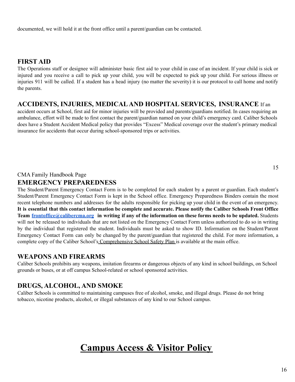documented, we will hold it at the front office until a parent/guardian can be contacted.

#### **FIRST AID**

The Operations staff or designee will administer basic first aid to your child in case of an incident. If your child is sick or injured and you receive a call to pick up your child, you will be expected to pick up your child. For serious illness or injuries 911 will be called. If a student has a head injury (no matter the severity) it is our protocol to call home and notify the parents.

#### **ACCIDENTS, INJURIES, MEDICALAND HOSPITAL SERVICES, INSURANCE** If an

accident occurs at School, first aid for minor injuries will be provided and parents/guardians notified. In cases requiring an ambulance, effort will be made to first contact the parent/guardian named on your child's emergency card. Caliber Schools does have a Student Accident Medical policy that provides "Excess" Medical coverage over the student's primary medical insurance for accidents that occur during school-sponsored trips or activities.

#### CMA Family Handbook Page

#### **EMERGENCY PREPAREDNESS**

The Student/Parent Emergency Contact Form is to be completed for each student by a parent or guardian. Each student's Student/Parent Emergency Contact Form is kept in the School office. Emergency Preparedness Binders contain the most recent telephone numbers and addresses for the adults responsible for picking up your child in the event of an emergency. It is essential that this contact information be complete and accurate. Please notify the Caliber Schools Front Office Team [frontoffice@calibercma.org](mailto:frontoffice@calibercma.org) in writing if any of the information on these forms needs to be updated. Students will not be released to individuals that are not listed on the Emergency Contact Form unless authorized to do so in writing by the individual that registered the student. Individuals must be asked to show ID. Information on the Student/Parent Emergency Contact Form can only be changed by the parent/guardian that registered the child. For more information, a complete copy of the Caliber School's Comprehensive School Safety Plan is available at the main office.

#### **WEAPONS AND FIREARMS**

Caliber Schools prohibits any weapons, imitation firearms or dangerous objects of any kind in school buildings, on School grounds or buses, or at off campus School-related or school sponsored activities.

## **DRUGS, ALCOHOL, AND SMOKE**

Caliber Schools is committed to maintaining campuses free of alcohol, smoke, and illegal drugs. Please do not bring tobacco, nicotine products, alcohol, or illegal substances of any kind to our School campus.

# **Campus Access & Visitor Policy**

15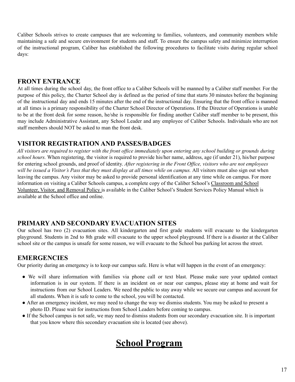Caliber Schools strives to create campuses that are welcoming to families, volunteers, and community members while maintaining a safe and secure environment for students and staff. To ensure the campus safety and minimize interruption of the instructional program, Caliber has established the following procedures to facilitate visits during regular school days:

#### **FRONT ENTRANCE**

At all times during the school day, the front office to a Caliber Schools will be manned by a Caliber staff member. For the purpose of this policy, the Charter School day is defined as the period of time that starts 30 minutes before the beginning of the instructional day and ends 15 minutes after the end of the instructional day. Ensuring that the front office is manned at all times is a primary responsibility of the Charter School Director of Operations. If the Director of Operations is unable to be at the front desk for some reason, he/she is responsible for finding another Caliber staff member to be present, this may include Administrative Assistant, any School Leader and any employee of Caliber Schools. Individuals who are not staff members should NOT be asked to man the front desk.

#### **VISITOR REGISTRATION AND PASSES/BADGES**

All visitors are required to register with the front office immediately upon entering any school building or grounds during *school hours.* When registering, the visitor is required to provide his/her name, address, age (if under 21), his/her purpose for entering school grounds, and proof of identity. *After registering in the Front Of ice, visitors who are not employees* will be issued a Visitor's Pass that they must display at all times while on campus. All visitors must also sign out when leaving the campus. Any visitor may be asked to provide personal identification at any time while on campus. For more information on visiting a Caliber Schools campus, a complete copy of the Caliber School's Classroom and School Volunteer, Visitor, and Removal Policy is available in the Caliber School's Student Services Policy Manual which is available at the School office and online.

## **PRIMARY AND SECONDARY EVACUATION SITES**

Our school has two (2) evacuation sites. All kindergarten and first grade students will evacuate to the kindergarten playground. Students in 2nd to 8th grade will evacuate to the upper school playground. If there is a disaster at the Caliber school site or the campus is unsafe for some reason, we will evacuate to the School bus parking lot across the street.

## **EMERGENCIES**

Our priority during an emergency is to keep our campus safe. Here is what will happen in the event of an emergency:

- We will share information with families via phone call or text blast. Please make sure your updated contact information is in our system. If there is an incident on or near our campus, please stay at home and wait for instructions from our School Leaders. We need the public to stay away while we secure our campus and account for all students. When it is safe to come to the school, you will be contacted.
- After an emergency incident, we may need to change the way we dismiss students. You may be asked to present a photo ID. Please wait for instructions from School Leaders before coming to campus.
- If the School campus is not safe, we may need to dismiss students from our secondary evacuation site. It is important that you know where this secondary evacuation site is located (see above).

# **School Program**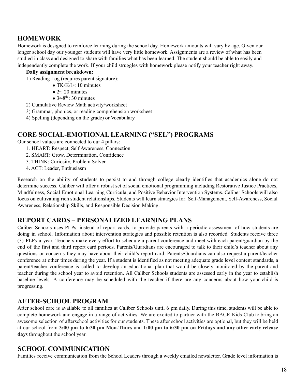## **HOMEWORK**

Homework is designed to reinforce learning during the school day. Homework amounts will vary by age. Given our longer school day our younger students will have very little homework. Assignments are a review of what has been studied in class and designed to share with families what has been learned. The student should be able to easily and independently complete the work. If your child struggles with homework please notify your teacher right away.

#### **Daily assignment breakdown:**

- 1) Reading Log (requires parent signature):
	- TK/K/1s: 10 minutes
		- $\bullet$  2<sup>nd</sup>: 20 minutes
		- $3^{rd} 8^{th}$ : 30 minutes
- 2) Cumulative Review Math activity/worksheet
- 3) Grammar, phonics, or reading comprehension worksheet
- 4) Spelling (depending on the grade) or Vocabulary

## **CORE SOCIAL-EMOTIONAL LEARNING ("SEL") PROGRAMS**

Our school values are connected to our 4 pillars:

- 1. HEART: Respect, Self Awareness, Connection
- 2. SMART: Grow, Determination, Confidence
- 3. THINK: Curiosity, Problem Solver
- 4. ACT: Leader, Enthusiasm

Research on the ability of students to persist to and through college clearly identifies that academics alone do not determine success. Caliber will offer a robust set of social emotional programming including Restorative Justice Practices, Mindfulness, Social Emotional Learning Curricula, and Positive Behavior Intervention Systems. Caliber Schools will also focus on cultivating rich student relationships. Students will learn strategies for: Self-Management, Self-Awareness, Social Awareness, Relationship Skills, and Responsible Decision Making.

## **REPORT CARDS – PERSONALIZED LEARNING PLANS**

Caliber Schools uses PLPs, instead of report cards, to provide parents with a periodic assessment of how students are doing in school. Information about intervention strategies and possible retention is also recorded. Students receive three (3) PLPs a year. Teachers make every effort to schedule a parent conference and meet with each parent/guardian by the end of the first and third report card periods. Parents/Guardians are encouraged to talk to their child's teacher about any questions or concerns they may have about their child's report card. Parents/Guardians can also request a parent/teacher conference at other times during the year. If a student is identified as not meeting adequate grade level content standards, a parent/teacher conference is called to develop an educational plan that would be closely monitored by the parent and teacher during the school year to avoid retention. All Caliber Schools students are assessed early in the year to establish baseline levels. A conference may be scheduled with the teacher if there are any concerns about how your child is progressing.

## **AFTER-SCHOOL PROGRAM**

After school care is available to all families at Caliber Schools until 6 pm daily. During this time, students will be able to complete homework and engage in a range of activities. We are excited to partner with the BACR Kids Club to bring an awesome selection of afterschool activities for our students. These after school activities are optional, but they will be held at our school from 3:00 pm to 6:30 pm Mon-Thurs and 1:00 pm to 6:30 pm on Fridays and any other early release **days** throughout the school year.

## **SCHOOL COMMUNICATION**

Families receive communication from the School Leaders through a weekly emailed newsletter. Grade level information is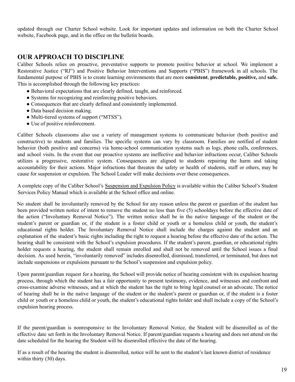updated through our Charter School website. Look for important updates and information on both the Charter School website, Facebook page, and in the office on the bulletin boards.

#### **OUR APPROACH TO DISCIPLINE**

Caliber Schools relies on proactive, preventative supports to promote positive behavior at school. We implement a Restorative Justice ("RJ") and Positive Behavior Interventions and Supports ("PBIS") framework in all schools. The fundamental purpose of PBIS is to create learning environments that are more **consistent**, **predictable, positive,** and **safe.** This is accomplished through the following key practices:

- Behavioral expectations that are clearly defined, taught, and reinforced.
- Systems for recognizing and reinforcing positive behaviors.
- Consequences that are clearly defined and consistently implemented.
- Data based decision making.
- Multi-tiered systems of support ("MTSS").
- Use of positive reinforcement.

Caliber Schools classrooms also use a variety of management systems to communicate behavior (both positive and constructive) to students and families. The specific systems can vary by classroom. Families are notified of student behavior (both positive and concerns) via home-school communication systems such as logs, phone calls, conferences, and school visits. In the event that our proactive systems are ineffective and behavior infractions occur, Caliber Schools utilizes a progressive, restorative system. Consequences are aligned to students repairing the harm and taking accountability for their actions. Major infractions that threaten the safety or health of students, staff or others, may be cause for suspension or expulsion. The School Leader will make decisions over these consequences.

A complete copy of the Caliber School's Suspension and Expulsion Policy is available within the Caliber School's Student Services Policy Manual which is available at the School office and online.

No student shall be involuntarily removed by the School for any reason unless the parent or guardian of the student has been provided written notice of intent to remove the student no less than five (5) schooldays before the effective date of the action ("Involuntary Removal Notice"). The written notice shall be in the native language of the student or the student's parent or guardian or, if the student is a foster child or youth or a homeless child or youth, the student's educational rights holder. The Involuntary Removal Notice shall include the charges against the student and an explanation of the student's basic rights including the right to request a hearing before the effective date of the action. The hearing shall be consistent with the School's expulsion procedures. If the student's parent, guardian, or educational rights holder requests a hearing, the student shall remain enrolled and shall not be removed until the School issues a final decision. As used herein, "involuntarily removed" includes disenrolled, dismissed, transferred, or terminated, but does not include suspensions or expulsions pursuant to the School's suspension and expulsion policy.

Upon parent/guardian request for a hearing, the School will provide notice of hearing consistent with its expulsion hearing process, through which the student has a fair opportunity to present testimony, evidence, and witnesses and confront and cross-examine adverse witnesses, and at which the student has the right to bring legal counsel or an advocate. The notice of hearing shall be in the native language of the student or the student's parent or guardian or, if the student is a foster child or youth or a homeless child or youth, the student's educational rights holder and shall include a copy of the School's expulsion hearing process.

If the parent/guardian is nonresponsive to the Involuntary Removal Notice, the Student will be disenrolled as of the effective date set forth in the Involuntary Removal Notice. If parent/guardian requests a hearing and does not attend on the date scheduled for the hearing the Student will be disenrolled effective the date of the hearing.

If as a result of the hearing the student is disenrolled, notice will be sent to the student's last known district of residence within thirty (30) days.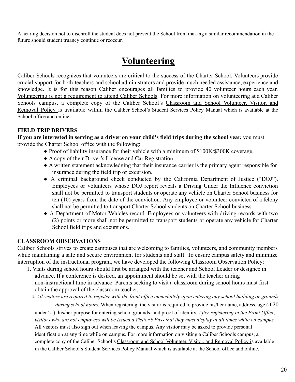A hearing decision not to disenroll the student does not prevent the School from making a similar recommendation in the future should student truancy continue or reoccur.

# **Volunteering**

Caliber Schools recognizes that volunteers are critical to the success of the Charter School. Volunteers provide crucial support for both teachers and school administrators and provide much needed assistance, experience and knowledge. It is for this reason Caliber encourages all families to provide 40 volunteer hours each year. Volunteering is not a requirement to attend Caliber Schools. For more information on volunteering at a Caliber Schools campus, a complete copy of the Caliber School's Classroom and School Volunteer, Visitor, and Removal Policy is available within the Caliber School's Student Services Policy Manual which is available at the School office and online.

#### **FIELD TRIP DRIVERS**

**If you are interested in serving as a driver on your child's field trips during the school year,** you must provide the Charter School office with the following:

- Proof of liability insurance for their vehicle with a minimum of \$100K/\$300K coverage.
- A copy of their Driver's License and Car Registration.
- A written statement acknowledging that their insurance carrier is the primary agent responsible for insurance during the field trip or excursion.
- A criminal background check conducted by the California Department of Justice ("DOJ"). Employees or volunteers whose DOJ report reveals a Driving Under the Influence conviction shall not be permitted to transport students or operate any vehicle on Charter School business for ten (10) years from the date of the conviction. Any employee or volunteer convicted of a felony shall not be permitted to transport Charter School students on Charter School business.
- A Department of Motor Vehicles record. Employees or volunteers with driving records with two (2) points or more shall not be permitted to transport students or operate any vehicle for Charter School field trips and excursions.

#### **CLASSROOM OBSERVATIONS**

Caliber Schools strives to create campuses that are welcoming to families, volunteers, and community members while maintaining a safe and secure environment for students and staff. To ensure campus safety and minimize interruption of the instructional program, we have developed the following Classroom Observation Policy:

- 1. Visits during school hours should first be arranged with the teacher and School Leader or designee in advance. If a conference is desired, an appointment should be set with the teacher during non-instructional time in advance. Parents seeking to visit a classroom during school hours must first obtain the approval of the classroom teacher.
	- 2. All visitors are required to register with the front office immediately upon entering any school building or grounds

*during school hours.* When registering, the visitor is required to provide his/her name, address, age (if 20 under 21), his/her purpose for entering school grounds, and proof of identity. *After registering in the Front Of ice,* visitors who are not employees will be issued a Visitor's Pass that they must display at all times while on campus. All visitors must also sign out when leaving the campus. Any visitor may be asked to provide personal identification at any time while on campus. For more information on visiting a Caliber Schools campus, a complete copy of the Caliber School's Classroom and School Volunteer, Visitor, and Removal Policy is available in the Caliber School's Student Services Policy Manual which is available at the School office and online.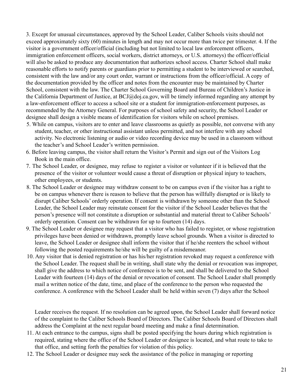3. Except for unusual circumstances, approved by the School Leader, Caliber Schools visits should not exceed approximately sixty (60) minutes in length and may not occur more than twice per trimester. 4. If the visitor is a government officer/official (including but not limited to local law enforcement officers, immigration enforcement officers, social workers, district attorneys, or U.S. attorneys) the officer/official will also be asked to produce any documentation that authorizes school access. Charter School shall make reasonable efforts to notify parents or guardians prior to permitting a student to be interviewed or searched, consistent with the law and/or any court order, warrant or instructions from the officer/official. A copy of the documentation provided by the officer and notes from the encounter may be maintained by Charter School, consistent with the law. The Charter School Governing Board and Bureau of Children's Justice in the California Department of Justice, at BCJ@doj.ca.gov, will be timely informed regarding any attempt by a law-enforcement officer to access a school site or a student for immigration-enforcement purposes, as recommended by the Attorney General. For purposes of school safety and security, the School Leader or designee shall design a visible means of identification for visitors while on school premises.

- 5. While on campus, visitors are to enter and leave classrooms as quietly as possible, not converse with any student, teacher, or other instructional assistant unless permitted, and not interfere with any school activity. No electronic listening or audio or video recording device may be used in a classroom without the teacher's and School Leader's written permission.
- 6. Before leaving campus, the visitor shall return the Visitor's Permit and sign out of the Visitors Log Book in the main office.
- 7. The School Leader, or designee, may refuse to register a visitor or volunteer if it is believed that the presence of the visitor or volunteer would cause a threat of disruption or physical injury to teachers, other employees, or students.
- 8. The School Leader or designee may withdraw consent to be on campus even if the visitor has a right to be on campus whenever there is reason to believe that the person has willfully disrupted or is likely to disrupt Caliber Schools' orderly operation. If consent is withdrawn by someone other than the School Leader, the School Leader may reinstate consent for the visitor if the School Leader believes that the person's presence will not constitute a disruption or substantial and material threat to Caliber Schools' orderly operation. Consent can be withdrawn for up to fourteen (14) days.
- 9. The School Leader or designee may request that a visitor who has failed to register, or whose registration privileges have been denied or withdrawn, promptly leave school grounds. When a visitor is directed to leave, the School Leader or designee shall inform the visitor that if he/she reenters the school without following the posted requirements he/she will be guilty of a misdemeanor.
- 10. Any visitor that is denied registration or has his/her registration revoked may request a conference with the School Leader. The request shall be in writing, shall state why the denial or revocation was improper, shall give the address to which notice of conference is to be sent, and shall be delivered to the School Leader with fourteen (14) days of the denial or revocation of consent. The School Leader shall promptly mail a written notice of the date, time, and place of the conference to the person who requested the conference. A conference with the School Leader shall be held within seven (7) days after the School

Leader receives the request. If no resolution can be agreed upon, the School Leader shall forward notice of the complaint to the Caliber Schools Board of Directors. The Caliber Schools Board of Directors shall address the Complaint at the next regular board meeting and make a final determination.

- 11. At each entrance to the campus, signs shall be posted specifying the hours during which registration is required, stating where the office of the School Leader or designee is located, and what route to take to that office, and setting forth the penalties for violation of this policy.
- 12. The School Leader or designee may seek the assistance of the police in managing or reporting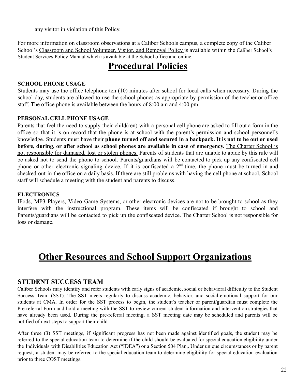any visitor in violation of this Policy.

For more information on classroom observations at a Caliber Schools campus, a complete copy of the Caliber School's Classroom and School Volunteer, Visitor, and Removal Policy is available within the Caliber School's Student Services Policy Manual which is available at the School office and online.

# **Procedural Policies**

#### **SCHOOL PHONE USAGE**

Students may use the office telephone ten (10) minutes after school for local calls when necessary. During the school day, students are allowed to use the school phones as appropriate by permission of the teacher or office staff. The office phone is available between the hours of 8:00 am and 4:00 pm.

#### **PERSONAL CELL PHONE USAGE**

Parents that feel the need to supply their child(ren) with a personal cell phone are asked to fill out a form in the office so that it is on record that the phone is at school with the parent's permission and school personnel's knowledge. Students must have their **phone turned off and secured in a backpack. It is not to be out or used before, during, or after school as school phones are available in case of emergency.** The Charter School is not responsible for damaged, lost or stolen phones. Parents of students that are unable to abide by this rule will be asked not to send the phone to school. Parents/guardians will be contacted to pick up any confiscated cell phone or other electronic signaling device. If it is confiscated a 2<sup>nd</sup> time, the phone must be turned in and checked out in the office on a daily basis. If there are still problems with having the cell phone at school, School staff will schedule a meeting with the student and parents to discuss.

#### **ELECTRONICS**

IPods, MP3 Players, Video Game Systems, or other electronic devices are not to be brought to school as they interfere with the instructional program. These items will be confiscated if brought to school and Parents/guardians will be contacted to pick up the confiscated device. The Charter School is not responsible for loss or damage.

# **Other Resources and School Support Organizations**

## **STUDENT SUCCESS TEAM**

Caliber Schools may identify and refer students with early signs of academic, social or behavioral difficulty to the Student Success Team (SST). The SST meets regularly to discuss academic, behavior, and social-emotional support for our students at CMA. In order for the SST process to begin, the student's teacher or parent/guardian must complete the Pre-referral Form and hold a meeting with the SST to review current student information and intervention strategies that have already been used. During the pre-referral meeting, a SST meeting date may be scheduled and parents will be notified of next steps to support their child.

After three (3) SST meetings, if significant progress has not been made against identified goals, the student may be referred to the special education team to determine if the child should be evaluated for special education eligibility under the Individuals with Disabilities Education Act ("IDEA") or a Section 504 Plan,. Under unique circumstances or by parent request, a student may be referred to the special education team to determine eligibility for special education evaluation prior to three COST meetings.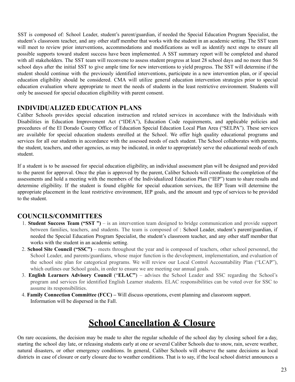SST is composed of: School Leader, student's parent/guardian, if needed the Special Education Program Specialist, the student's classroom teacher, and any other staff member that works with the student in an academic setting. The SST team will meet to review prior interventions, accommodations and modifications as well as identify next steps to ensure all possible supports toward student success have been implemented. A SST summary report will be completed and shared with all stakeholders. The SST team will reconvene to assess student progress at least 28 school days and no more than 56 school days after the initial SST to give ample time for new interventions to yield progress. The SST will determine if the student should continue with the previously identified interventions, participate in a new intervention plan, or if special education eligibility should be considered. CMA will utilize general education intervention strategies prior to special education evaluation where appropriate to meet the needs of students in the least restrictive environment. Students will only be assessed for special education eligibility with parent consent.

#### **INDIVIDUALIZED EDUCATION PLANS**

Caliber Schools provides special education instruction and related services in accordance with the Individuals with Disabilities in Education Improvement Act ("IDEA"), Education Code requirements, and applicable policies and procedures of the El Dorado County Office of Education Special Education Local Plan Area ("SELPA"). These services are available for special education students enrolled at the School. We offer high quality educational programs and services for all our students in accordance with the assessed needs of each student. The School collaborates with parents, the student, teachers, and other agencies, as may be indicated, in order to appropriately serve the educational needs of each student.

If a student is to be assessed for special education eligibility, an individual assessment plan will be designed and provided to the parent for approval. Once the plan is approved by the parent, Caliber Schools will coordinate the completion of the assessments and hold a meeting with the members of the Individualized Education Plan ("IEP") team to share results and determine eligibility. If the student is found eligible for special education services, the IEP Team will determine the appropriate placement in the least restrictive environment, IEP goals, and the amount and type of services to be provided to the student.

## **COUNCILS/COMMITTEES**

- 1. **Student Success Team ("SST ")** is an intervention team designed to bridge communication and provide support between families, teachers, and students. The team is composed of : School Leader, student's parent/guardian, if needed the Special Education Program Specialist, the student's classroom teacher, and any other staff member that works with the student in an academic setting.
- 2. **School Site Council ("SSC")** meets throughout the year and is composed of teachers, other school personnel, the School Leader, and parents/guardians, whose major function is the development, implementation, and evaluation of the school site plan for categorical programs. We will review our Local Control Accountability Plan ("LCAP"), which outlines our School goals, in order to ensure we are meeting our annual goals.
- 3. **English Learners Advisory Council** ("**ELAC"**) advises the School Leader and SSC regarding the School's program and services for identified English Learner students. ELAC responsibilities can be voted over for SSC to assume its responsibilities.
- 4. **Family Connection Committee (FCC) –** Will discuss operations, event planning and classroom support. Information will be dispersed in the Fall.

# **School Cancellation & Closure**

On rare occasions, the decision may be made to alter the regular schedule of the school day by closing school for a day, starting the school day late, or releasing students early at one or several Caliber Schools due to snow, rain, severe weather, natural disasters, or other emergency conditions. In general, Caliber Schools will observe the same decisions as local districts in case of closure or early closure due to weather conditions. That is to say, if the local school district announces a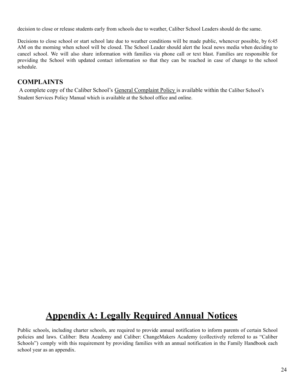decision to close or release students early from schools due to weather, Caliber School Leaders should do the same.

Decisions to close school or start school late due to weather conditions will be made public, whenever possible, by 6:45 AM on the morning when school will be closed. The School Leader should alert the local news media when deciding to cancel school. We will also share information with families via phone call or text blast. Families are responsible for providing the School with updated contact information so that they can be reached in case of change to the school schedule.

# **COMPLAINTS**

A complete copy of the Caliber School's General Complaint Policy is available within the Caliber School's Student Services Policy Manual which is available at the School office and online.

# **Appendix A: Legally Required Annual Notices**

Public schools, including charter schools, are required to provide annual notification to inform parents of certain School policies and laws. Caliber: Beta Academy and Caliber: ChangeMakers Academy (collectively referred to as "Caliber Schools") comply with this requirement by providing families with an annual notification in the Family Handbook each school year as an appendix.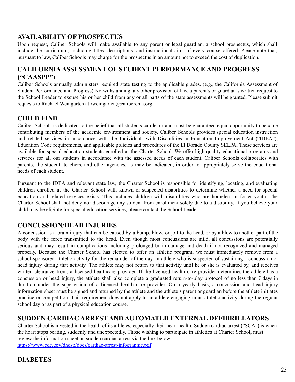## **AVAILABILITY OF PROSPECTUS**

Upon request, Caliber Schools will make available to any parent or legal guardian, a school prospectus, which shall include the curriculum, including titles, descriptions, and instructional aims of every course offered. Please note that, pursuant to law, Caliber Schools may charge for the prospectus in an amount not to exceed the cost of duplication.

## **CALIFORNIAASSESSMENT OF STUDENT PERFORMANCE AND PROGRESS ("CAASPP")**

Caliber Schools annually administers required state testing to the applicable grades. (e.g., the California Assessment of Student Performance and Progress) Notwithstanding any other provision of law, a parent's or guardian's written request to the School Leader to excuse his or her child from any or all parts of the state assessments will be granted. Please submit requests to Rachael Weingarten at rweingarten@calibercma.org.

## **CHILD FIND**

Caliber Schools is dedicated to the belief that all students can learn and must be guaranteed equal opportunity to become contributing members of the academic environment and society. Caliber Schools provides special education instruction and related services in accordance with the Individuals with Disabilities in Education Improvement Act ("IDEA"), Education Code requirements, and applicable policies and procedures of the El Dorado County SELPA. These services are available for special education students enrolled at the Charter School. We offer high quality educational programs and services for all our students in accordance with the assessed needs of each student. Caliber Schools collaborates with parents, the student, teachers, and other agencies, as may be indicated, in order to appropriately serve the educational needs of each student.

Pursuant to the IDEA and relevant state law, the Charter School is responsible for identifying, locating, and evaluating children enrolled at the Charter School with known or suspected disabilities to determine whether a need for special education and related services exists. This includes children with disabilities who are homeless or foster youth. The Charter School shall not deny nor discourage any student from enrollment solely due to a disability. If you believe your child may be eligible for special education services, please contact the School Leader.

## **CONCUSSION/HEAD INJURIES**

A concussion is a brain injury that can be caused by a bump, blow, or jolt to the head, or by a blow to another part of the body with the force transmitted to the head. Even though most concussions are mild, all concussions are potentially serious and may result in complications including prolonged brain damage and death if not recognized and managed properly. Because the Charter School has elected to offer an athletic program, we must immediately remove from a school-sponsored athletic activity for the remainder of the day an athlete who is suspected of sustaining a concussion or head injury during that activity. The athlete may not return to that activity until he or she is evaluated by, and receives written clearance from, a licensed healthcare provider. If the licensed health care provider determines the athlete has a concussion or head injury, the athlete shall also complete a graduated return-to-play protocol of no less than 7 days in duration under the supervision of a licensed health care provider. On a yearly basis, a concussion and head injury information sheet must be signed and returned by the athlete and the athlete's parent or guardian before the athlete initiates practice or competition. This requirement does not apply to an athlete engaging in an athletic activity during the regular school day or as part of a physical education course.

#### **SUDDEN CARDIAC ARREST AND AUTOMATED EXTERNAL DEFIBRILLATORS**

Charter School is invested in the health of its athletes, especially their heart health. Sudden cardiac arrest ("SCA") is when the heart stops beating, suddenly and unexpectedly. Those wishing to participate in athletics at Charter School, must review the information sheet on sudden cardiac arrest via the link below: https://www.cdc.gov/dhdsp/docs/cardiac-arrest-infographic.pdf

#### **DIABETES**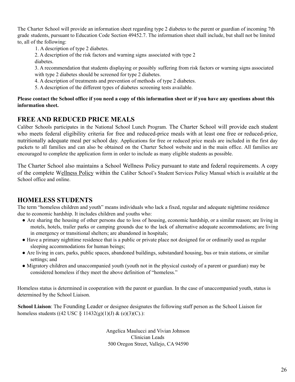The Charter School will provide an information sheet regarding type 2 diabetes to the parent or guardian of incoming 7th grade students, pursuant to Education Code Section 49452.7. The information sheet shall include, but shall not be limited to, all of the following:

1. A description of type 2 diabetes.

2. A description of the risk factors and warning signs associated with type 2 diabetes.

3. A recommendation that students displaying or possibly suffering from risk factors or warning signs associated with type 2 diabetes should be screened for type 2 diabetes.

- 4. A description of treatments and prevention of methods of type 2 diabetes.
- 5. A description of the different types of diabetes screening tests available.

#### **Please contact the School office if you need a copy of this information sheet or if you have any questions about this information sheet.**

## **FREE AND REDUCED PRICE MEALS**

Caliber Schools participates in the National School Lunch Program. The Charter School will provide each student who meets federal eligibility criteria for free and reduced-price meals with at least one free or reduced-price, nutritionally adequate meal per school day. Applications for free or reduced price meals are included in the first day packets to all families and can also be obtained on the Charter School website and in the main office. All families are encouraged to complete the application form in order to include as many eligible students as possible.

The Charter School also maintains a School Wellness Policy pursuant to state and federal requirements. A copy of the complete Wellness Policy within the Caliber School's Student Services Policy Manual which is available at the School office and online.

#### **HOMELESS STUDENTS**

The term "homeless children and youth" means individuals who lack a fixed, regular and adequate nighttime residence due to economic hardship. It includes children and youths who:

- Are sharing the housing of other persons due to loss of housing, economic hardship, or a similar reason; are living in motels, hotels, trailer parks or camping grounds due to the lack of alternative adequate accommodations; are living in emergency or transitional shelters; are abandoned in hospitals;
- Have a primary nighttime residence that is a public or private place not designed for or ordinarily used as regular sleeping accommodations for human beings;
- Are living in cars, parks, public spaces, abandoned buildings, substandard housing, bus or train stations, or similar settings; and
- Migratory children and unaccompanied youth (youth not in the physical custody of a parent or guardian) may be considered homeless if they meet the above definition of "homeless."

Homeless status is determined in cooperation with the parent or guardian. In the case of unaccompanied youth, status is determined by the School Liaison.

**School Liaison**: The Founding Leader or designee designates the following staff person as the School Liaison for homeless students ((42 USC  $\S$  11432(g)(1)(J) & (e)(3)(C).):

> Angelica Maulucci and Vivian Johnson Clinician Leads 500 Oregon Street, Vallejo, CA 94590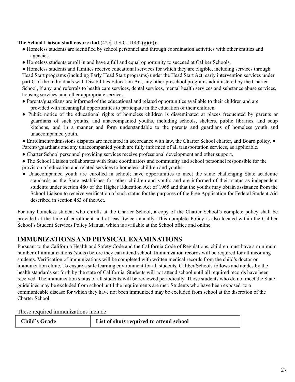#### **The School Liaison shall ensure that**  $(42 \text{ § U.S.C. } 11432(g)(6))$ :

- Homeless students are identified by school personnel and through coordination activities with other entities and agencies.
- Homeless students enroll in and have a full and equal opportunity to succeed at Caliber Schools.

● Homeless students and families receive educational services for which they are eligible, including services through Head Start programs (including Early Head Start programs) under the Head Start Act, early intervention services under part C of the Individuals with Disabilities Education Act, any other preschool programs administered by the Charter School, if any, and referrals to health care services, dental services, mental health services and substance abuse services, housing services, and other appropriate services.

- Parents/guardians are informed of the educational and related opportunities available to their children and are provided with meaningful opportunities to participate in the education of their children.
- Public notice of the educational rights of homeless children is disseminated at places frequented by parents or guardians of such youths, and unaccompanied youths, including schools, shelters, public libraries, and soup kitchens, and in a manner and form understandable to the parents and guardians of homeless youth and unaccompanied youth.
- Enrollment/admissions disputes are mediated in accordance with law, the Charter School charter, and Board policy. Parents/guardians and any unaccompanied youth are fully informed of all transportation services, as applicable.
- Charter School personnel providing services receive professional development and other support.
- The School Liaison collaborates with State coordinators and community and school personnel responsible for the provision of education and related services to homeless children and youths.
- Unaccompanied youth are enrolled in school; have opportunities to meet the same challenging State academic standards as the State establishes for other children and youth; and are informed of their status as independent students under section 480 of the Higher Education Act of 1965 and that the youths may obtain assistance from the School Liaison to receive verification of such status for the purposes of the Free Application for Federal Student Aid described in section 483 of the Act.

For any homeless student who enrolls at the Charter School, a copy of the Charter School's complete policy shall be provided at the time of enrollment and at least twice annually. This complete Policy is also located within the Caliber School's Student Services Policy Manual which is available at the School office and online.

# **IMMUNIZATIONS AND PHYSICAL EXAMINATIONS**

Pursuant to the California Health and Safety Code and the California Code of Regulations, children must have a minimum number of immunizations (shots) before they can attend school. Immunization records will be required for all incoming students. Verification of immunizations will be completed with written medical records from the child's doctor or immunization clinic. To ensure a safe learning environment for all students, Caliber Schools follows and abides by the health standards set forth by the state of California. Students will not attend school until all required records have been received. The immunization status of all students will be reviewed periodically. Those students who do not meet the State guidelines may be excluded from school until the requirements are met. Students who have been exposed to a communicable disease for which they have not been immunized may be excluded from school at the discretion of the Charter School.

These required immunizations include:

| <b>Child's Grade</b> | List of shots required to attend school |  |
|----------------------|-----------------------------------------|--|
|                      |                                         |  |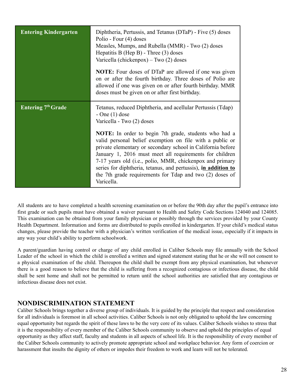| <b>Entering Kindergarten</b> | Diphtheria, Pertussis, and Tetanus (DTaP) - Five (5) doses<br>Polio - Four (4) doses<br>Measles, Mumps, and Rubella (MMR) - Two (2) doses<br>Hepatitis B (Hep B) - Three $(3)$ doses<br>Varicella (chickenpox) – Two $(2)$ doses<br><b>NOTE:</b> Four doses of DTaP are allowed if one was given<br>on or after the fourth birthday. Three doses of Polio are<br>allowed if one was given on or after fourth birthday. MMR<br>doses must be given on or after first birthday.                                                                                             |
|------------------------------|---------------------------------------------------------------------------------------------------------------------------------------------------------------------------------------------------------------------------------------------------------------------------------------------------------------------------------------------------------------------------------------------------------------------------------------------------------------------------------------------------------------------------------------------------------------------------|
| <b>Entering 7th Grade</b>    | Tetanus, reduced Diphtheria, and acellular Pertussis (Tdap)<br>$- One(1) dose$<br>Varicella - Two (2) doses<br><b>NOTE:</b> In order to begin 7th grade, students who had a<br>valid personal belief exemption on file with a public or<br>private elementary or secondary school in California before<br>January 1, 2016 must meet all requirements for children<br>7-17 years old (i.e., polio, MMR, chickenpox and primary<br>series for diphtheria, tetanus, and pertussis), in addition to<br>the 7th grade requirements for Tdap and two (2) doses of<br>Varicella. |

All students are to have completed a health screening examination on or before the 90th day after the pupil's entrance into first grade or such pupils must have obtained a waiver pursuant to Health and Safety Code Sections 124040 and 124085. This examination can be obtained from your family physician or possibly through the services provided by your County Health Department. Information and forms are distributed to pupils enrolled in kindergarten. If your child's medical status changes, please provide the teacher with a physician's written verification of the medical issue, especially if it impacts in any way your child's ability to perform schoolwork.

A parent/guardian having control or charge of any child enrolled in Caliber Schools may file annually with the School Leader of the school in which the child is enrolled a written and signed statement stating that he or she will not consent to a physical examination of the child. Thereupon the child shall be exempt from any physical examination, but whenever there is a good reason to believe that the child is suffering from a recognized contagious or infectious disease, the child shall be sent home and shall not be permitted to return until the school authorities are satisfied that any contagious or infectious disease does not exist.

## **NONDISCRIMINATION STATEMENT**

Caliber Schools brings together a diverse group of individuals. It is guided by the principle that respect and consideration for all individuals is foremost in all school activities. Caliber Schools is not only obligated to uphold the law concerning equal opportunity but regards the spirit of these laws to be the very core of its values. Caliber Schools wishes to stress that it is the responsibility of every member of the Caliber Schools community to observe and uphold the principles of equal opportunity as they affect staff, faculty and students in all aspects of school life. It is the responsibility of every member of the Caliber Schools community to actively promote appropriate school and workplace behavior. Any form of coercion or harassment that insults the dignity of others or impedes their freedom to work and learn will not be tolerated.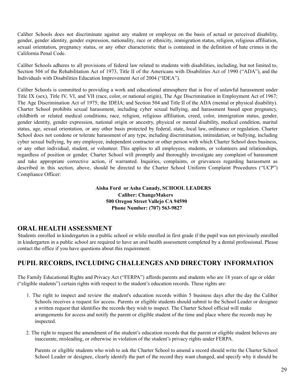Caliber Schools does not discriminate against any student or employee on the basis of actual or perceived disability, gender, gender identity, gender expression, nationality, race or ethnicity, immigration status, religion, religious affiliation, sexual orientation, pregnancy status, or any other characteristic that is contained in the definition of hate crimes in the California Penal Code.

Caliber Schools adheres to all provisions of federal law related to students with disabilities, including, but not limited to, Section 504 of the Rehabilitation Act of 1973, Title II of the Americans with Disabilities Act of 1990 ("ADA"), and the Individuals with Disabilities Education Improvement Act of 2004 ("IDEA").

Caliber Schools is committed to providing a work and educational atmosphere that is free of unlawful harassment under Title IX (sex), Title IV, VI, and VII (race, color, or national origin), The Age Discrimination in Employment Act of 1967; The Age Discrimination Act of 1975; the IDEIA; and Section 504 and Title II of the ADA (mental or physical disability). Charter School prohibits sexual harassment, including cyber sexual bullying, and harassment based upon pregnancy, childbirth or related medical conditions, race, religion, religious affiliation, creed, color, immigration status, gender, gender identity, gender expression, national origin or ancestry, physical or mental disability, medical condition, marital status, age, sexual orientation, or any other basis protected by federal, state, local law, ordinance or regulation. Charter School does not condone or tolerate harassment of any type, including discrimination, intimidation, or bullying, including cyber sexual bullying, by any employee, independent contractor or other person with which Charter School does business, or any other individual, student, or volunteer. This applies to all employees, students, or volunteers and relationships, regardless of position or gender. Charter School will promptly and thoroughly investigate any complaint of harassment and take appropriate corrective action, if warranted. Inquiries, complaints, or grievances regarding harassment as described in this section, above, should be directed to the Charter School Uniform Complaint Procedures ("UCP") Compliance Officer:

#### **Aisha Ford or Asha Canady, SCHOOL LEADERS Caliber: ChangeMakers 500 Oregon Street Vallejo CA 94590 Phone Number: (707) 563-9827**

#### **ORAL HEALTH ASSESSMENT**

Students enrolled in kindergarten in a public school or while enrolled in first grade if the pupil was not previously enrolled in kindergarten in a public school are required to have an oral health assessment completed by a dental professional. Please contact the office if you have questions about this requirement.

## **PUPIL RECORDS, INCLUDING CHALLENGES AND DIRECTORY INFORMATION**

The Family Educational Rights and Privacy Act ("FERPA") affords parents and students who are 18 years of age or older ("eligible students") certain rights with respect to the student's education records. These rights are:

- 1. The right to inspect and review the student's education records within 5 business days after the day the Caliber Schools receives a request for access. Parents or eligible students should submit to the School Leader or designee a written request that identifies the records they wish to inspect. The Charter School official will make arrangements for access and notify the parent or eligible student of the time and place where the records may be inspected.
- 2. The right to request the amendment of the student's education records that the parent or eligible student believes are inaccurate, misleading, or otherwise in violation of the student's privacy rights under FERPA.

Parents or eligible students who wish to ask the Charter School to amend a record should write the Charter School School Leader or designee, clearly identify the part of the record they want changed, and specify why it should be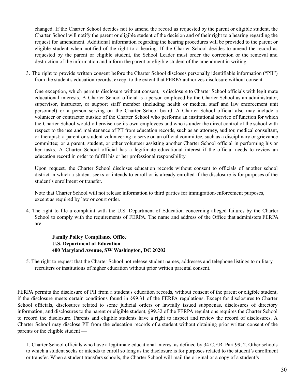changed. If the Charter School decides not to amend the record as requested by the parent or eligible student, the Charter School will notify the parent or eligible student of the decision and of their right to a hearing regarding the request for amendment. Additional information regarding the hearing procedures will be provided to the parent or eligible student when notified of the right to a hearing. If the Charter School decides to amend the record as requested by the parent or eligible student, the School Leader must order the correction or the removal and destruction of the information and inform the parent or eligible student of the amendment in writing.

3. The right to provide written consent before the Charter School discloses personally identifiable information ("PII") from the student's education records, except to the extent that FERPA authorizes disclosure without consent.

One exception, which permits disclosure without consent, is disclosure to Charter School officials with legitimate educational interests. A Charter School official is a person employed by the Charter School as an administrator, supervisor, instructor, or support staff member (including health or medical staff and law enforcement unit personnel) or a person serving on the Charter School board. A Charter School official also may include a volunteer or contractor outside of the Charter School who performs an institutional service of function for which the Charter School would otherwise use its own employees and who is under the direct control of the school with respect to the use and maintenance of PII from education records, such as an attorney, auditor, medical consultant, or therapist; a parent or student volunteering to serve on an official committee, such as a disciplinary or grievance committee; or a parent, student, or other volunteer assisting another Charter School official in performing his or her tasks. A Charter School official has a legitimate educational interest if the official needs to review an education record in order to fulfill his or her professional responsibility.

Upon request, the Charter School discloses education records without consent to officials of another school district in which a student seeks or intends to enroll or is already enrolled if the disclosure is for purposes of the student's enrollment or transfer.

Note that Charter School will not release information to third parties for immigration-enforcement purposes, except as required by law or court order.

4. The right to file a complaint with the U.S. Department of Education concerning alleged failures by the Charter School to comply with the requirements of FERPA. The name and address of the Office that administers FERPA are:

**Family Policy Compliance Office U.S. Department of Education 400 Maryland Avenue, SW Washington, DC 20202**

5. The right to request that the Charter School not release student names, addresses and telephone listings to military recruiters or institutions of higher education without prior written parental consent.

FERPA permits the disclosure of PII from a student's education records, without consent of the parent or eligible student, if the disclosure meets certain conditions found in §99.31 of the FERPA regulations. Except for disclosures to Charter School officials, disclosures related to some judicial orders or lawfully issued subpoenas, disclosures of directory information, and disclosures to the parent or eligible student, §99.32 of the FERPA regulations requires the Charter School to record the disclosure. Parents and eligible students have a right to inspect and review the record of disclosures. A Charter School may disclose PII from the education records of a student without obtaining prior written consent of the parents or the eligible student —

1. Charter School officials who have a legitimate educational interest as defined by 34 C.F.R. Part 99; 2. Other schools to which a student seeks or intends to enroll so long as the disclosure is for purposes related to the student's enrollment or transfer. When a student transfers schools, the Charter School will mail the original or a copy of a student's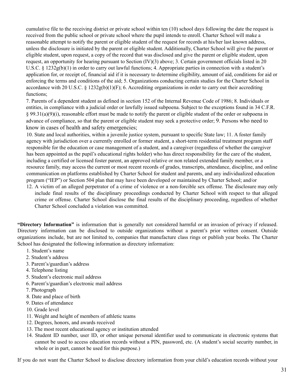cumulative file to the receiving district or private school within ten (10) school days following the date the request is received from the public school or private school where the pupil intends to enroll. Charter School will make a reasonable attempt to notify the parent or eligible student of the request for records at his/her last known address, unless the disclosure is initiated by the parent or eligible student. Additionally, Charter School will give the parent or eligible student, upon request, a copy of the record that was disclosed and give the parent or eligible student, upon request, an opportunity for hearing pursuant to Section (IV)(3) above; 3. Certain government officials listed in 20 U.S.C. § 1232g(b)(1) in order to carry out lawful functions; 4. Appropriate parties in connection with a student's application for, or receipt of, financial aid if it is necessary to determine eligibility, amount of aid, conditions for aid or enforcing the terms and conditions of the aid; 5. Organizations conducting certain studies for the Charter School in accordance with 20 U.S.C. § 1232g(b)(1)(F); 6. Accrediting organizations in order to carry out their accrediting functions;

7. Parents of a dependent student as defined in section 152 of the Internal Revenue Code of 1986; 8. Individuals or entities, in compliance with a judicial order or lawfully issued subpoena. Subject to the exceptions found in 34 C.F.R. § 99.31(a)(9)(i), reasonable effort must be made to notify the parent or eligible student of the order or subpoena in advance of compliance, so that the parent or eligible student may seek a protective order; 9. Persons who need to know in cases of health and safety emergencies;

10. State and local authorities, within a juvenile justice system, pursuant to specific State law; 11. A foster family agency with jurisdiction over a currently enrolled or former student, a short-term residential treatment program staff responsible for the education or case management of a student, and a caregiver (regardless of whether the caregiver has been appointed as the pupil's educational rights holder) who has direct responsibility for the care of the student, including a certified or licensed foster parent, an approved relative or non related extended family member, or a resource family, may access the current or most recent records of grades, transcripts, attendance, discipline, and online communication on platforms established by Charter School for student and parents, and any individualized education program ("IEP") or Section 504 plan that may have been developed or maintained by Charter School; and/or

12. A victim of an alleged perpetrator of a crime of violence or a non-forcible sex offense. The disclosure may only include final results of the disciplinary proceedings conducted by Charter School with respect to that alleged crime or offense. Charter School disclose the final results of the disciplinary proceeding, regardless of whether Charter School concluded a violation was committed.

**"Directory Information"** is information that is generally not considered harmful or an invasion of privacy if released. Directory information can be disclosed to outside organizations without a parent's prior written consent. Outside organizations include, but are not limited to, companies that manufacture class rings or publish year books. The Charter School has designated the following information as directory information:

- 1. Student's name
- 2. Student's address
- 3. Parent's/guardian's address
- 4. Telephone listing
- 5. Student's electronic mail address
- 6. Parent's/guardian's electronic mail address
- 7. Photograph
- 8. Date and place of birth
- 9. Dates of attendance
- 10. Grade level
- 11. Weight and height of members of athletic teams
- 12. Degrees, honors, and awards received
- 13. The most recent educational agency or institution attended
- 14. Student ID number, user ID, or other unique personal identifier used to communicate in electronic systems that cannot be used to access education records without a PIN, password, etc. (A student's social security number, in whole or in part, cannot be used for this purpose.)

If you do not want the Charter School to disclose directory information from your child's education records without your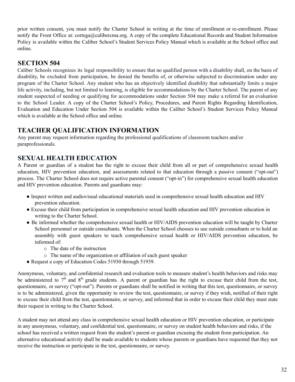prior written consent, you must notify the Charter School in writing at the time of enrollment or re-enrollment. Please notify the Front Office at: cortega@calibercma.org. A copy of the complete Educational Records and Student Information Policy is available within the Caliber School's Student Services Policy Manual which is available at the School office and online.

#### **SECTION 504**

Caliber Schools recognizes its legal responsibility to ensure that no qualified person with a disability shall, on the basis of disability, be excluded from participation, be denied the benefits of, or otherwise subjected to discrimination under any program of the Charter School. Any student who has an objectively identified disability that substantially limits a major life activity, including, but not limited to learning, is eligible for accommodations by the Charter School. The parent of any student suspected of needing or qualifying for accommodations under Section 504 may make a referral for an evaluation to the School Leader. A copy of the Charter School's Policy, Procedures, and Parent Rights Regarding Identification, Evaluation and Education Under Section 504 is available within the Caliber School's Student Services Policy Manual which is available at the School office and online.

#### **TEACHER QUALIFICATION INFORMATION**

Any parent may request information regarding the professional qualifications of classroom teachers and/or paraprofessionals.

## **SEXUAL HEALTH EDUCATION**

A Parent or guardian of a student has the right to excuse their child from all or part of comprehensive sexual health education, HIV prevention education, and assessments related to that education through a passive consent ("opt-out") process. The Charter School does not require active parental consent ("opt-in") for comprehensive sexual health education and HIV prevention education. Parents and guardians may:

- Inspect written and audiovisual educational materials used in comprehensive sexual health education and HIV prevention education.
- Excuse their child from participation in comprehensive sexual health education and HIV prevention education in writing to the Charter School.
- Be informed whether the comprehensive sexual health or HIV/AIDS prevention education will be taught by Charter School personnel or outside consultants. When the Charter School chooses to use outside consultants or to hold an assembly with guest speakers to teach comprehensive sexual health or HIV/AIDS prevention education, be informed of:
	- o The date of the instruction
	- o The name of the organization or affiliation of each guest speaker
- Request a copy of Education Codes 51930 through 51939.

Anonymous, voluntary, and confidential research and evaluation tools to measure student's health behaviors and risks may be administered to  $7<sup>th</sup>$  and  $8<sup>th</sup>$  grade students. A parent or guardian has the right to excuse their child from the test, questionnaire, or survey ("opt-out"). Parents or guardians shall be notified in writing that this test, questionnaire, or survey is to be administered, given the opportunity to review the test, questionnaire, or survey if they wish, notified of their right to excuse their child from the test, questionnaire, or survey, and informed that in order to excuse their child they must state their request in writing to the Charter School.

A student may not attend any class in comprehensive sexual health education or HIV prevention education, or participate in any anonymous, voluntary, and confidential test, questionnaire, or survey on student health behaviors and risks, if the school has received a written request from the student's parent or guardian excusing the student from participation. An alternative educational activity shall be made available to students whose parents or guardians have requested that they not receive the instruction or participate in the test, questionnaire, or survey.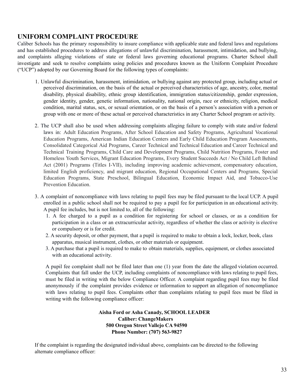# **UNIFORM COMPLAINT PROCEDURE**

Caliber Schools has the primary responsibility to insure compliance with applicable state and federal laws and regulations and has established procedures to address allegations of unlawful discrimination, harassment, intimidation, and bullying, and complaints alleging violations of state or federal laws governing educational programs. Charter School shall investigate and seek to resolve complaints using policies and procedures known as the Uniform Complaint Procedure ("UCP") adopted by our Governing Board for the following types of complaints:

- 1. Unlawful discrimination, harassment, intimidation, or bullying against any protected group, including actual or perceived discrimination, on the basis of the actual or perceived characteristics of age, ancestry, color, mental disability, physical disability, ethnic group identification, immigration status/citizenship, gender expression, gender identity, gender, genetic information, nationality, national origin, race or ethnicity, religion, medical condition, marital status, sex, or sexual orientation, or on the basis of a person's association with a person or group with one or more of these actual or perceived characteristics in any Charter School program or activity.
- 2. The UCP shall also be used when addressing complaints alleging failure to comply with state and/or federal laws in: Adult Education Programs, After School Education and Safety Programs, Agricultural Vocational Education Programs, American Indian Education Centers and Early Child Education Program Assessments, Consolidated Categorical Aid Programs, Career Technical and Technical Education and Career Technical and Technical Training Programs, Child Care and Development Programs, Child Nutrition Programs, Foster and Homeless Youth Services, Migrant Education Programs, Every Student Succeeds Act / No Child Left Behind Act (2001) Programs (Titles I-VII), including improving academic achievement, compensatory education, limited English proficiency, and migrant education, Regional Occupational Centers and Programs, Special Education Programs, State Preschool, Bilingual Education, Economic Impact Aid, and Tobacco-Use Prevention Education.
- 3. A complaint of noncompliance with laws relating to pupil fees may be filed pursuant to the local UCP. A pupil enrolled in a public school shall not be required to pay a pupil fee for participation in an educational activity. A pupil fee includes, but is not limited to, all of the following:
	- 1. A fee charged to a pupil as a condition for registering for school or classes, or as a condition for participation in a class or an extracurricular activity, regardless of whether the class or activity is elective or compulsory or is for credit.
	- 2. A security deposit, or other payment, that a pupil is required to make to obtain a lock, locker, book, class apparatus, musical instrument, clothes, or other materials or equipment.
	- 3. A purchase that a pupil is required to make to obtain materials, supplies, equipment, or clothes associated with an educational activity.

A pupil fee complaint shall not be filed later than one (1) year from the date the alleged violation occurred. Complaints that fall under the UCP, including complaints of noncompliance with laws relating to pupil fees, must be filed in writing with the below Compliance Officer. A complaint regarding pupil fees may be filed anonymously if the complaint provides evidence or information to support an allegation of noncompliance with laws relating to pupil fees. Complaints other than complaints relating to pupil fees must be filed in writing with the following compliance officer:

> **Aisha Ford or Asha Canady, SCHOOL LEADER Caliber: ChangeMakers 500 Oregon Street Vallejo CA 94590 Phone Number: (707) 563-9827**

If the complaint is regarding the designated individual above, complaints can be directed to the following alternate compliance officer: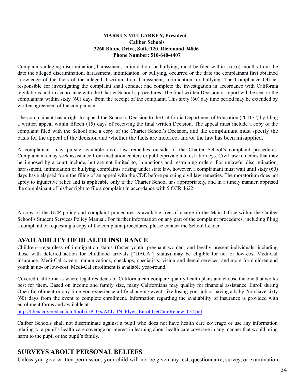#### **MARKUS MULLARKEY, President Caliber Schools 3260 Blume Drive, Suite 120, Richmond 94806 Phone Number: 510-640-4407**

Complaints alleging discrimination, harassment, intimidation, or bullying, must be filed within six (6) months from the date the alleged discrimination, harassment, intimidation, or bullying, occurred or the date the complainant first obtained knowledge of the facts of the alleged discrimination, harassment, intimidation, or bullying. The Compliance Officer responsible for investigating the complaint shall conduct and complete the investigation in accordance with California regulations and in accordance with the Charter School's procedures. The final written Decision or report will be sent to the complainant within sixty (60) days from the receipt of the complaint. This sixty (60) day time period may be extended by written agreement of the complainant.

The complainant has a right to appeal the School's Decision to the California Department of Education ("CDE") by filing a written appeal within fifteen (15) days of receiving the final written Decision. The appeal must include a copy of the complaint filed with the School and a copy of the Charter School's Decision, and the complainant must specify the basis for the appeal of the decision and whether the facts are incorrect and/or the law has been misapplied.

A complainant may pursue available civil law remedies outside of the Charter School's complaint procedures. Complainants may seek assistance from mediation centers or public/private interest attorneys. Civil law remedies that may be imposed by a court include, but are not limited to, injunctions and restraining orders. For unlawful discrimination, harassment, intimidation or bullying complaints arising under state law, however, a complainant must wait until sixty (60) days have elapsed from the filing of an appeal with the CDE before pursuing civil law remedies. The moratorium does not apply to injunctive relief and is applicable only if the Charter School has appropriately, and in a timely manner, apprised the complainant of his/her right to file a complaint in accordance with 5 CCR 4622.

A copy of the UCP policy and complaint procedures is available free of charge in the Main Office within the Caliber School's Student Services Policy Manual. For further information on any part of the complaint procedures, including filing a complaint or requesting a copy of the complaint procedures, please contact the School Leader.

#### **AVAILABILITY OF HEALTH INSURANCE**

Children—regardless of immigration status (foster youth, pregnant women, and legally present individuals, including those with deferred action for childhood arrivals ["DACA"] status) may be eligible for no- or low-cost Medi-Cal insurance. Medi-Cal covers immunizations, checkups, specialists, vision and dental services, and more for children and youth at no- or low-cost. Medi-Cal enrollment is available year-round.

Covered California is where legal residents of California can compare quality health plans and choose the one that works best for them. Based on income and family size, many Californians may qualify for financial assistance. Enroll during Open Enrollment or any time you experience a life-changing event, like losing your job or having a baby. You have sixty (60) days from the event to complete enrollment. Information regarding the availability of insurance is provided with enrollment forms and available at:

http://hbex.coveredca.com/toolkit/PDFs/ALL\_IN\_Flyer\_EnrollGetCareRenew\_CC.pdf

Caliber Schools shall not discriminate against a pupil who does not have health care coverage or use any information relating to a pupil's health care coverage or interest in learning about health care coverage in any manner that would bring harm to the pupil or the pupil's family.

## **SURVEYS ABOUT PERSONAL BELIEFS**

Unless you give written permission, your child will not be given any test, questionnaire, survey, or examination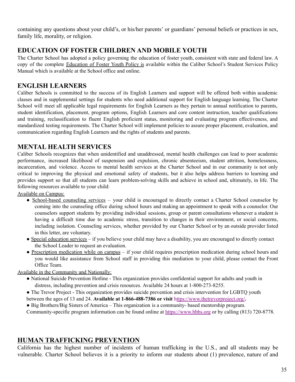containing any questions about your child's, or his/her parents' or guardians' personal beliefs or practices in sex, family life, morality, or religion.

# **EDUCATION OF FOSTER CHILDREN AND MOBILE YOUTH**

The Charter School has adopted a policy governing the education of foster youth, consistent with state and federal law. A copy of the complete Education of Foster Youth Policy is available within the Caliber School's Student Services Policy Manual which is available at the School office and online.

# **ENGLISH LEARNERS**

Caliber Schools is committed to the success of its English Learners and support will be offered both within academic classes and in supplemental settings for students who need additional support for English language learning. The Charter School will meet all applicable legal requirements for English Learners as they pertain to annual notification to parents, student identification, placement, program options, English Learners and core content instruction, teacher qualifications and training, reclassification to fluent English proficient status, monitoring and evaluating program effectiveness, and standardized testing requirements. The Charter School will implement policies to assure proper placement, evaluation, and communication regarding English Learners and the rights of students and parents.

# **MENTAL HEALTH SERVICES**

Caliber Schools recognizes that when unidentified and unaddressed, mental health challenges can lead to poor academic performance, increased likelihood of suspension and expulsion, chronic absenteeism, student attrition, homelessness, incarceration, and violence. Access to mental health services at the Charter School and in our community is not only critical to improving the physical and emotional safety of students, but it also helps address barriers to learning and provides support so that all students can learn problem-solving skills and achieve in school and, ultimately, in life. The following resources available to your child:

Available on Campus:

- School-based counseling services your child is encouraged to directly contact a Charter School counselor by coming into the counseling office during school hours and making an appointment to speak with a counselor. Our counselors support students by providing individual sessions, group or parent consultations whenever a student is having a difficult time due to academic stress, transition to changes in their environment, or social concerns, including isolation. Counseling services, whether provided by our Charter School or by an outside provider listed in this letter, are voluntary.
- Special education services if you believe your child may have a disability, you are encouraged to directly contact the School Leader to request an evaluation.
- Prescription medication while on campus if your child requires prescription medication during school hours and you would like assistance from School staff in providing this mediation to your child, please contact the Front Office Team.

Available in the Community and Nationally:

- National Suicide Prevention Hotline This organization provides confidential support for adults and youth in distress, including prevention and crisis resources. Available 24 hours at 1-800-273-8255.
- The Trevor Project This organization provides suicide prevention and crisis intervention for LGBTQ youth between the ages of 13 and 24. **Available at 1-866-488-7386 or visit** https://www.thetrevorproject.org/**.**
- Big Brothers/Big Sisters of America This organization is a community- based mentorship program.

Community-specific program information can be found online at https://www.bbbs.org or by calling (813) 720-8778.

# **HUMAN TRAFFICKING PREVENTION**

California has the highest number of incidents of human trafficking in the U.S., and all students may be vulnerable. Charter School believes it is a priority to inform our students about (1) prevalence, nature of and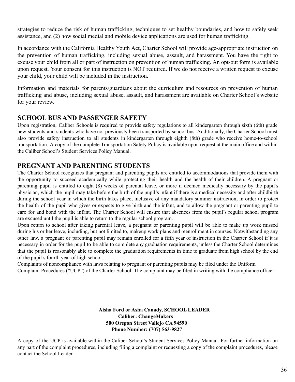strategies to reduce the risk of human trafficking, techniques to set healthy boundaries, and how to safely seek assistance, and (2) how social medial and mobile device applications are used for human trafficking.

In accordance with the California Healthy Youth Act, Charter School will provide age-appropriate instruction on the prevention of human trafficking, including sexual abuse, assault, and harassment. You have the right to excuse your child from all or part of instruction on prevention of human trafficking. An opt-out form is available upon request. Your consent for this instruction is NOT required. If we do not receive a written request to excuse your child, your child will be included in the instruction.

Information and materials for parents/guardians about the curriculum and resources on prevention of human trafficking and abuse, including sexual abuse, assault, and harassment are available on Charter School's website for your review.

# **SCHOOL BUS AND PASSENGER SAFETY**

Upon registration, Caliber Schools is required to provide safety regulations to all kindergarten through sixth (6th) grade new students and students who have not previously been transported by school bus. Additionally, the Charter School must also provide safety instruction to all students in kindergarten through eighth (8th) grade who receive home-to-school transportation. A copy of the complete Transportation Safety Policy is available upon request at the main office and within the Caliber School's Student Services Policy Manual.

# **PREGNANT AND PARENTING STUDENTS**

The Charter School recognizes that pregnant and parenting pupils are entitled to accommodations that provide them with the opportunity to succeed academically while protecting their health and the health of their children. A pregnant or parenting pupil is entitled to eight (8) weeks of parental leave, or more if deemed medically necessary by the pupil's physician, which the pupil may take before the birth of the pupil's infant if there is a medical necessity and after childbirth during the school year in which the birth takes place, inclusive of any mandatory summer instruction, in order to protect the health of the pupil who gives or expects to give birth and the infant, and to allow the pregnant or parenting pupil to care for and bond with the infant. The Charter School will ensure that absences from the pupil's regular school program are excused until the pupil is able to return to the regular school program.

Upon return to school after taking parental leave, a pregnant or parenting pupil will be able to make up work missed during his or her leave, including, but not limited to, makeup work plans and reenrollment in courses. Notwithstanding any other law, a pregnant or parenting pupil may remain enrolled for a fifth year of instruction in the Charter School if it is necessary in order for the pupil to be able to complete any graduation requirements, unless the Charter School determines that the pupil is reasonably able to complete the graduation requirements in time to graduate from high school by the end of the pupil's fourth year of high school.

Complaints of noncompliance with laws relating to pregnant or parenting pupils may be filed under the Uniform Complaint Procedures ("UCP") of the Charter School. The complaint may be filed in writing with the compliance officer:

#### **Aisha Ford or Asha Canady, SCHOOL LEADER Caliber: ChangeMakers 500 Oregon Street Vallejo CA 94590 Phone Number: (707) 563-9827**

A copy of the UCP is available within the Caliber School's Student Services Policy Manual. For further information on any part of the complaint procedures, including filing a complaint or requesting a copy of the complaint procedures, please contact the School Leader.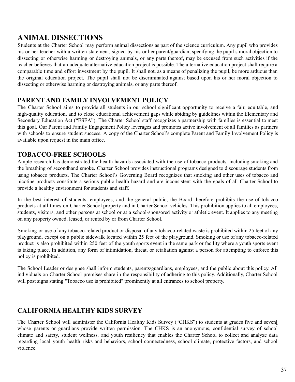# **ANIMAL DISSECTIONS**

Students at the Charter School may perform animal dissections as part of the science curriculum. Any pupil who provides his or her teacher with a written statement, signed by his or her parent/guardian, specifying the pupil's moral objection to dissecting or otherwise harming or destroying animals, or any parts thereof, may be excused from such activities if the teacher believes that an adequate alternative education project is possible. The alternative education project shall require a comparable time and effort investment by the pupil. It shall not, as a means of penalizing the pupil, be more arduous than the original education project. The pupil shall not be discriminated against based upon his or her moral objection to dissecting or otherwise harming or destroying animals, or any parts thereof.

## **PARENT AND FAMILY INVOLVEMENT POLICY**

The Charter School aims to provide all students in our school significant opportunity to receive a fair, equitable, and high-quality education, and to close educational achievement gaps while abiding by guidelines within the Elementary and Secondary Education Act ("ESEA"). The Charter School staff recognizes a partnership with families is essential to meet this goal. Our Parent and Family Engagement Policy leverages and promotes active involvement of all families as partners with schools to ensure student success. A copy of the Charter School's complete Parent and Family Involvement Policy is available upon request in the main office.

## **TOBACCO-FREE SCHOOLS**

Ample research has demonstrated the health hazards associated with the use of tobacco products, including smoking and the breathing of secondhand smoke. Charter School provides instructional programs designed to discourage students from using tobacco products. The Charter School's Governing Board recognizes that smoking and other uses of tobacco and nicotine products constitute a serious public health hazard and are inconsistent with the goals of all Charter School to provide a healthy environment for students and staff.

In the best interest of students, employees, and the general public, the Board therefore prohibits the use of tobacco products at all times on Charter School property and in Charter School vehicles. This prohibition applies to all employees, students, visitors, and other persons at school or at a school-sponsored activity or athletic event. It applies to any meeting on any property owned, leased, or rented by or from Charter School.

Smoking or use of any tobacco-related product or disposal of any tobacco-related waste is prohibited within 25 feet of any playground, except on a public sidewalk located within 25 feet of the playground. Smoking or use of any tobacco-related product is also prohibited within 250 feet of the youth sports event in the same park or facility where a youth sports event is taking place. In addition, any form of intimidation, threat, or retaliation against a person for attempting to enforce this policy is prohibited.

The School Leader or designee shall inform students, parents/guardians, employees, and the public about this policy. All individuals on Charter School premises share in the responsibility of adhering to this policy. Additionally, Charter School will post signs stating "Tobacco use is prohibited" prominently at all entrances to school property.

# **CALIFORNIA HEALTHY KIDS SURVEY**

The Charter School will administer the California Healthy Kids Survey ("CHKS") to students at grades five and seven[ whose parents or guardians provide written permission. The CHKS is an anonymous, confidential survey of school climate and safety, student wellness, and youth resiliency that enables the Charter School to collect and analyze data regarding local youth health risks and behaviors, school connectedness, school climate, protective factors, and school violence.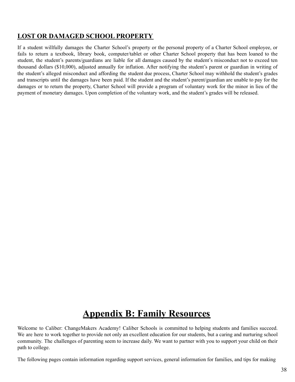## **LOST OR DAMAGED SCHOOL PROPERTY**

If a student willfully damages the Charter School's property or the personal property of a Charter School employee, or fails to return a textbook, library book, computer/tablet or other Charter School property that has been loaned to the student, the student's parents/guardians are liable for all damages caused by the student's misconduct not to exceed ten thousand dollars (\$10,000), adjusted annually for inflation. After notifying the student's parent or guardian in writing of the student's alleged misconduct and affording the student due process, Charter School may withhold the student's grades and transcripts until the damages have been paid. If the student and the student's parent/guardian are unable to pay for the damages or to return the property, Charter School will provide a program of voluntary work for the minor in lieu of the payment of monetary damages. Upon completion of the voluntary work, and the student's grades will be released.

# **Appendix B: Family Resources**

Welcome to Caliber: ChangeMakers Academy! Caliber Schools is committed to helping students and families succeed. We are here to work together to provide not only an excellent education for our students, but a caring and nurturing school community. The challenges of parenting seem to increase daily. We want to partner with you to support your child on their path to college.

The following pages contain information regarding support services, general information for families, and tips for making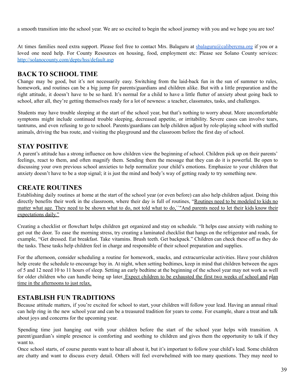a smooth transition into the school year. We are so excited to begin the school journey with you and we hope you are too!

At times families need extra support. Please feel free to contact Mrs. Balaguru at sbalaguru@calibercma.org if you or a loved one need help. For County Resources on housing, food, employment etc: Please see Solano County services: http://solanocounty.com/depts/hss/default.asp

## **BACK TO SCHOOL TIME**

Change may be good, but it's not necessarily easy. Switching from the laid-back fun in the sun of summer to rules, homework, and routines can be a big jump for parents/guardians and children alike. But with a little preparation and the right attitude, it doesn't have to be so hard. It's normal for a child to have a little flutter of anxiety about going back to school, after all, they're getting themselves ready for a lot of newness: a teacher, classmates, tasks, and challenges.

Students may have trouble sleeping at the start of the school year, but that's nothing to worry about. More uncomfortable symptoms might include continued trouble sleeping, decreased appetite, or irritability. Severe cases can involve tears, tantrums, and even refusing to go to school. Parents/guardians can help children adjust by role-playing school with stuffed animals, driving the bus route, and visiting the playground and the classroom before the first day of school.

## **STAY POSITIVE**

A parent's attitude has a strong influence on how children view the beginning of school. Children pick up on their parents' feelings, react to them, and often magnify them. Sending them the message that they can do it is powerful. Be open to discussing your own previous school anxieties to help normalize your child's emotions. Emphasize to your children that anxiety doesn't have to be a stop signal; it is just the mind and body's way of getting ready to try something new.

## **CREATE ROUTINES**

Establishing daily routines at home at the start of the school year (or even before) can also help children adjust. Doing this directly benefits their work in the classroom, where their day is full of routines, "Routines need to be modeled to kids no matter what age. They need to be shown what to do, not told what to do, ``"And parents need to let their kids know their expectations daily."

Creating a checklist or flowchart helps children get organized and stay on schedule. "It helps ease anxiety with rushing to get out the door. To ease the morning stress, try creating a laminated checklist that hangs on the refrigerator and reads, for example, "Get dressed. Eat breakfast. Take vitamins. Brush teeth. Get backpack." Children can check these off as they do the tasks. These tasks help children feel in charge and responsible of their school preparation and supplies.

For the afternoon, consider scheduling a routine for homework, snacks, and extracurricular activities. Have your children help create the schedule to encourage buy in. At night, when setting bedtimes, keep in mind that children between the ages of 5 and 12 need 10 to 11 hours of sleep. Setting an early bedtime at the beginning of the school year may not work as well for older children who can handle being up later. Expect children to be exhausted the first two weeks of school and plan time in the afternoons to just relax.

# **ESTABLISH FUN TRADITIONS**

Because attitude matters, if you're excited for school to start, your children will follow your lead. Having an annual ritual can help ring in the new school year and can be a treasured tradition for years to come. For example, share a treat and talk about joys and concerns for the upcoming year.

Spending time just hanging out with your children before the start of the school year helps with transition. A parent/guardian's simple presence is comforting and soothing to children and gives them the opportunity to talk if they want to.

Once school starts, of course parents want to hear all about it, but it's important to follow your child's lead. Some children are chatty and want to discuss every detail. Others will feel overwhelmed with too many questions. They may need to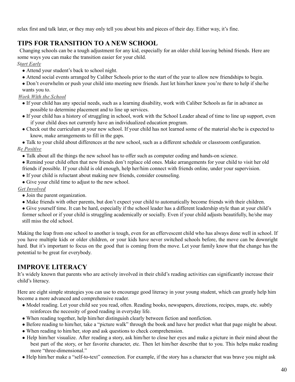relax first and talk later, or they may only tell you about bits and pieces of their day. Either way, it's fine.

# **TIPS FOR TRANSITION TO A NEW SCHOOL**

Changing schools can be a tough adjustment for any kid, especially for an older child leaving behind friends. Here are some ways you can make the transition easier for your child.

*Start Early*

- Attend your student's back to school night.
- Attend social events arranged by Caliber Schools prior to the start of the year to allow new friendships to begin.
- Don't overwhelm or push your child into meeting new friends. Just let him/her know you're there to help if she/he wants you to.

### *Work With the School*

- If your child has any special needs, such as a learning disability, work with Caliber Schools as far in advance as possible to determine placement and to line up services.
- If your child has a history of struggling in school, work with the School Leader ahead of time to line up support, even if your child does not currently have an individualized education program.
- Check out the curriculum at your new school. If your child has not learned some of the material she/he is expected to know, make arrangements to fill in the gaps.
- Talk to your child about differences at the new school, such as a different schedule or classroom configuration. *Be Positive*
	- Talk about all the things the new school has to offer such as computer coding and hands-on science.
	- Remind your child often that new friends don't replace old ones. Make arrangements for your child to visit her old friends if possible. If your child is old enough, help her/him connect with friends online, under your supervision.
	- If your child is reluctant about making new friends, consider counseling.
	- Give your child time to adjust to the new school.

### *Get Involved*

- Join the parent organization.
- Make friends with other parents, but don't expect your child to automatically become friends with their children.
- Give yourself time. It can be hard, especially if the school leader has a different leadership style than at your child's former school or if your child is struggling academically or socially. Even if your child adjusts beautifully, he/she may still miss the old school.

Making the leap from one school to another is tough, even for an effervescent child who has always done well in school. If you have multiple kids or older children, or your kids have never switched schools before, the move can be downright hard. But it's important to focus on the good that is coming from the move. Let your family know that the change has the potential to be great for everybody.

# **IMPROVE LITERACY**

It's widely known that parents who are actively involved in their child's reading activities can significantly increase their child's literacy.

Here are eight simple strategies you can use to encourage good literacy in your young student, which can greatly help him become a more advanced and comprehensive reader.

- Model reading. Let your child see you read, often. Reading books, newspapers, directions, recipes, maps, etc. subtly reinforces the necessity of good reading in everyday life.
- When reading together, help him/her distinguish clearly between fiction and nonfiction.
- Before reading to him/her, take a "picture walk" through the book and have her predict what that page might be about.
- When reading to him/her, stop and ask questions to check comprehension.
- Help him/her visualize. After reading a story, ask him/her to close her eyes and make a picture in their mind about the best part of the story, or her favorite character, etc. Then let him/her describe that to you. This helps make reading more "three-dimensional."
- Help him/her make a "self-to-text" connection. For example, if the story has a character that was brave you might ask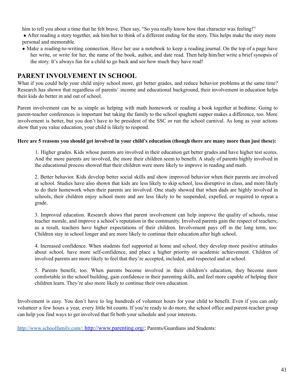him to tell you about a time that he felt brave. Then say, "So you really know how that character was feeling!"

- After reading a story together, ask him/her to think of a different ending for the story. This helps make the story more personal and memorable.
- Make a reading-to-writing connection. Have her use a notebook to keep a reading journal. On the top of a page have her write, or write for her, the name of the book, author, and date read. Then help him/her write a brief synopsis of the story. It's always fun for a child to go back and see how much they have read!

### **PARENT INVOLVEMENT IN SCHOOL**

What if you could help your child enjoy school more, get better grades, and reduce behavior problems at the same time? Research has shown that regardless of parents' income and educational background, their involvement in education helps their kids do better in and out of school.

Parent involvement can be as simple as helping with math homework or reading a book together at bedtime. Going to parent-teacher conferences is important but taking the family to the school spaghetti supper makes a difference, too. More involvement is better, but you don't have to be president of the SSC or run the school carnival. As long as your actions show that you value education, your child is likely to respond.

#### Here are 5 reasons you should get involved in your child's education (though there are many more than just these):

1. Higher grades. Kids whose parents are involved in their education get better grades and have higher test scores. And the more parents are involved, the more their children seem to benefit. A study of parents highly involved in the educational process showed that their children were more likely to improve in reading and math.

2. Better behavior. Kids develop better social skills and show improved behavior when their parents are involved at school. Studies have also shown that kids are less likely to skip school, less disruptive in class, and more likely to do their homework when their parents are involved. One study showed that when dads are highly involved in schools, their children enjoy school more and are less likely to be suspended, expelled, or required to repeat a grade.

3. Improved education. Research shows that parent involvement can help improve the quality of schools, raise teacher morale, and improve a school's reputation in the community. Involved parents gain the respect of teachers; as a result, teachers have higher expectations of their children. Involvement pays off in the long term, too: Children stay in school longer and are more likely to continue their education after high school.

4. Increased confidence. When students feel supported at home and school, they develop more positive attitudes about school, have more self-confidence, and place a higher priority on academic achievement. Children of involved parents are more likely to feel that they're accepted, included, and respected and at school.

5. Parents benefit, too. When parents become involved in their children's education, they become more comfortable in the school building, gain confidence in their parenting skills, and feel more capable of helping their children learn. They're also more likely to continue their own education.

Involvement is easy. You don't have to log hundreds of volunteer hours for your child to benefit. Even if you can only volunteer a few hours a year, every little bit counts. If you're ready to do more, the school office and parent-teacher group can help you find ways to get involved that fit both your schedule and your interests.

http://www.schoolfamily.com/; http://www.parenting.org/; Parents/Guardians and Students: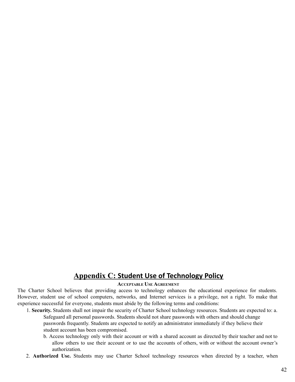# **Appendix C: Student Use of Technology Policy**

#### **ACCEPTABLE USE AGREEMENT**

The Charter School believes that providing access to technology enhances the educational experience for students. However, student use of school computers, networks, and Internet services is a privilege, not a right. To make that experience successful for everyone, students must abide by the following terms and conditions:

- 1. **Security.** Students shall not impair the security of Charter School technology resources. Students are expected to: a. Safeguard all personal passwords. Students should not share passwords with others and should change passwords frequently. Students are expected to notify an administrator immediately if they believe their student account has been compromised.
	- b. Access technology only with their account or with a shared account as directed by their teacher and not to allow others to use their account or to use the accounts of others, with or without the account owner's authorization.
- 2. **Authorized Use.** Students may use Charter School technology resources when directed by a teacher, when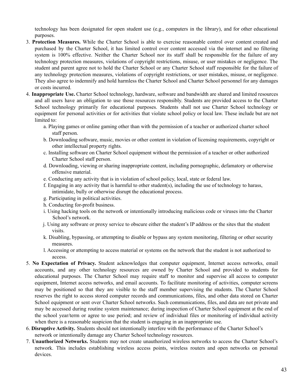technology has been designated for open student use (e.g., computers in the library), and for other educational purposes.

- 3. **Protection Measures.** While the Charter School is able to exercise reasonable control over content created and purchased by the Charter School, it has limited control over content accessed via the internet and no filtering system is 100% effective. Neither the Charter School nor its staff shall be responsible for the failure of any technology protection measures, violations of copyright restrictions, misuse, or user mistakes or negligence. The student and parent agree not to hold the Charter School or any Charter School staff responsible for the failure of any technology protection measures, violations of copyright restrictions, or user mistakes, misuse, or negligence. They also agree to indemnify and hold harmless the Charter School and Charter School personnel for any damages or costs incurred.
- 4. **Inappropriate Use.** Charter School technology, hardware, software and bandwidth are shared and limited resources and all users have an obligation to use those resources responsibly. Students are provided access to the Charter School technology primarily for educational purposes. Students shall not use Charter School technology or equipment for personal activities or for activities that violate school policy or local law. These include but are not limited to:
	- a. Playing games or online gaming other than with the permission of a teacher or authorized charter school staff person.
	- b. Downloading software, music, movies or other content in violation of licensing requirements, copyright or other intellectual property rights.
	- c. Installing software on Charter School equipment without the permission of a teacher or other authorized Charter School staff person.
	- d. Downloading, viewing or sharing inappropriate content, including pornographic, defamatory or otherwise offensive material.
	- e. Conducting any activity that is in violation of school policy, local, state or federal law.
	- f. Engaging in any activity that is harmful to other student(s), including the use of technology to harass, intimidate, bully or otherwise disrupt the educational process.
	- g. Participating in political activities.
	- h. Conducting for-profit business.
	- i. Using hacking tools on the network or intentionally introducing malicious code or viruses into the Charter School's network.
	- j. Using any software or proxy service to obscure either the student's IP address or the sites that the student visits.
	- k. Disabling, bypassing, or attempting to disable or bypass any system monitoring, filtering or other security measures.
	- l. Accessing or attempting to access material or systems on the network that the student is not authorized to access.
- 5. **No Expectation of Privacy.** Student acknowledges that computer equipment, Internet access networks, email accounts, and any other technology resources are owned by Charter School and provided to students for educational purposes. The Charter School may require staff to monitor and supervise all access to computer equipment, Internet access networks, and email accounts. To facilitate monitoring of activities, computer screens may be positioned so that they are visible to the staff member supervising the students. The Charter School reserves the right to access stored computer records and communications, files, and other data stored on Charter School equipment or sent over Charter School networks. Such communications, files, and data are not private and may be accessed during routine system maintenance; during inspection of Charter School equipment at the end of the school year/term or agree to use period; and review of individual files or monitoring of individual activity when there is a reasonable suspicion that the student is engaging in an inappropriate use.
- 6. **Disruptive Activity.** Students should not intentionally interfere with the performance of the Charter School's network or intentionally damage any Charter School technology resources.
- 7. **Unauthorized Networks.** Students may not create unauthorized wireless networks to access the Charter School's network. This includes establishing wireless access points, wireless routers and open networks on personal devices.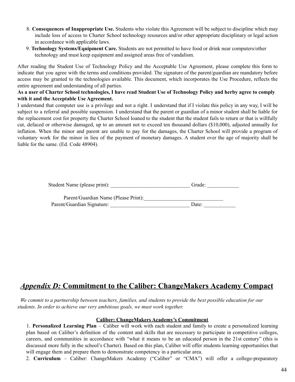- 8. **Consequences of Inappropriate Use.** Students who violate this Agreement will be subject to discipline which may include loss of access to Charter School technology resources and/or other appropriate disciplinary or legal action in accordance with applicable laws.
- 9. **Technology Systems/Equipment Care.** Students are not permitted to have food or drink near computers/other technology and must keep equipment and assigned areas free of vandalism.

After reading the Student Use of Technology Policy and the Acceptable Use Agreement, please complete this form to indicate that you agree with the terms and conditions provided. The signature of the parent/guardian are mandatory before access may be granted to the technologies available. This document, which incorporates the Use Procedure, reflects the entire agreement and understanding of all parties.

#### As a user of Charter School technologies, I have read Student Use of Technology Policy and herby agree to comply **with it and the Acceptable Use Agreement.**

I understand that computer use is a privilege and not a right. I understand that if I violate this policy in any way, I will be subject to a referral and possible suspension. I understand that the parent or guardian of a minor student shall be liable for the replacement cost for property the Charter School loaned to the student that the student fails to return or that is willfully cut, defaced or otherwise damaged, up to an amount not to exceed ten thousand dollars (\$10,000), adjusted annually for inflation. When the minor and parent are unable to pay for the damages, the Charter School will provide a program of voluntary work for the minor in lieu of the payment of monetary damages. A student over the age of majority shall be liable for the same. (Ed. Code 48904).

| Student Name (please print): |  | Grade: |
|------------------------------|--|--------|
|------------------------------|--|--------|

Parent/Guardian Name (Please Print): Parent/Guardian Signature: \_\_\_\_\_\_\_\_\_\_\_\_\_\_\_\_\_\_\_\_\_\_\_\_\_\_\_\_\_\_ Date: \_\_\_\_\_\_\_\_\_\_\_\_

# *Appendix D:* **Commitment to the Caliber: ChangeMakers Academy Compact**

We commit to a partnership between teachers, families, and students to provide the best possible education for our *students. In order to achieve our very ambitious goals, we must work together.*

#### **Caliber: ChangeMakers Academy's Commitment**

1. **Personalized Learning Plan** – Caliber will work with each student and family to create a personalized learning plan based on Caliber's definition of the content and skills that are necessary to participate in competitive colleges, careers, and communities in accordance with "what it means to be an educated person in the 21st century" (this is discussed more fully in the school's Charter). Based on this plan, Caliber will offer students learning opportunities that will engage them and prepare them to demonstrate competency in a particular area.

2. **Curriculum** – Caliber: ChangeMakers Academy ("Caliber" or "CMA") will offer a college-preparatory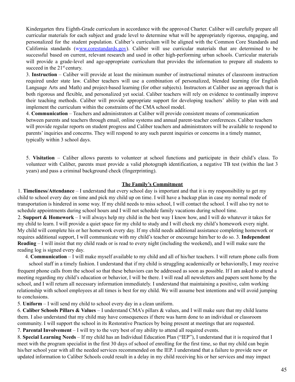Kindergarten thru Eighth-Grade curriculum in accordance with the approved Charter. Caliber will carefully prepare all curricular materials for each subject and grade level to determine what will be appropriately rigorous, engaging, and personalized for the student population. Caliber's curriculum will be aligned with the Common Core Standards and California standards (www.corestandards.gov). Caliber will use curricular materials that are determined to be successful based on current, relevant research and used in other high-performing urban schools. Curricular materials will provide a grade-level and age-appropriate curriculum that provides the information to prepare all students to succeed in the 21<sup>st</sup> century.

3. **Instruction** – Caliber will provide at least the minimum number of instructional minutes of classroom instruction required under state law. Caliber teachers will use a combination of personalized, blended learning (for English Language Arts and Math) and project-based learning (for other subjects). Instructors at Caliber use an approach that is both rigorous and flexible, and personalized yet social. Caliber teachers will rely on evidence to continually improve their teaching methods. Caliber will provide appropriate support for developing teachers' ability to plan with and implement the curriculum within the constraints of the CMA school model.

4. **Communication** – Teachers and administrators at Caliber will provide consistent means of communication between parents and teachers through email, online systems and annual parent-teacher conferences. Caliber teachers will provide regular reports on student progress and Caliber teachers and administrators will be available to respond to parents' inquiries and concerns. They will respond to any such parent inquiries or concerns in a timely manner, typically within 3 school days.

5. **Visitation** – Caliber allows parents to volunteer at school functions and participate in their child's class. To volunteer with Caliber, parents must provide a valid photograph identification, a negative TB test (within the last 3 years) and pass a criminal background check (fingerprinting).

#### **The Family's Commitment**

1. **Timeliness/Attendance** – I understand that every school day is important and that it is my responsibility to get my child to school every day on time and pick my child up on time. I will have a backup plan in case my normal mode of transportation is hindered in some way. If my child needs to miss school, I will contact the school. I will also try not to schedule appointments during school hours and I will not schedule family vacations during school time.

2. **Support & Homework** – I will always help my child in the best way I know how, and I will do whatever it takes for my child to learn. I will provide a quiet space for my child to study and I will check my child's homework every night. My child will complete his or her homework every day. If my child needs additional assistance completing homework or requires additional support, I will communicate with my child's teacher or encourage him/her to do so. 3. **Independent Reading** – I will insist that my child reads or is read to every night (including the weekend), and I will make sure the reading log is signed every day.

4. **Communication** – I will make myself available to my child and all of his/her teachers. I will return phone calls from

school staff in a timely fashion. I understand that if my child is struggling academically or behaviorally, I may receive frequent phone calls from the school so that these behaviors can be addressed as soon as possible. If I am asked to attend a meeting regarding my child's education or behavior, I will be there. I will read all newsletters and papers sent home by the school, and I will return all necessary information immediately. I understand that maintaining a positive, calm working relationship with school employees at all times is best for my child. We will assume best intentions and will avoid jumping to conclusions.

5. **Uniform** – I will send my child to school every day in a clean uniform.

6. **Caliber Schools Pillars & Values** – I understand CMA's pillars & values, and I will make sure that my child learns them. I also understand that my child may have consequences if there was harm done to an individual or classroom community. I will support the school in its Restorative Practices by being present at meetings that are requested.

7. **Parental Involvement** – I will try to the very best of my ability to attend all required events.

8. **Special Learning Needs** – If my child has an Individual Education Plan ("IEP"), I understand that it is required that I meet with the program specialist in the first 30 days of school of enrolling for the first time, so that my child can begin his/her school year with all the needed services recommended on the IEP. I understand that a failure to provide new or updated information to Caliber Schools could result in a delay in my child receiving his or her services and may impact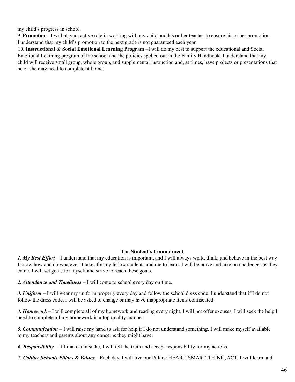my child's progress in school.

9. **Promotion** –I will play an active role in working with my child and his or her teacher to ensure his or her promotion. I understand that my child's promotion to the next grade is not guaranteed each year.

10. **Instructional & Social Emotional Learning Program** –I will do my best to support the educational and Social Emotional Learning program of the school and the policies spelled out in the Family Handbook. I understand that my child will receive small group, whole group, and supplemental instruction and, at times, have projects or presentations that he or she may need to complete at home.

#### **The Student's Commitment**

*1. My Best Effort* – I understand that my education is important, and I will always work, think, and behave in the best way I know how and do whatever it takes for my fellow students and me to learn. I will be brave and take on challenges as they come. I will set goals for myself and strive to reach these goals.

*2. Attendance and Timeliness* – I will come to school every day on time.

*3. Uniform –* I will wear my uniform properly every day and follow the school dress code. I understand that if I do not follow the dress code, I will be asked to change or may have inappropriate items confiscated.

*4. Homework* – I will complete all of my homework and reading every night. I will not offer excuses. I will seek the help I need to complete all my homework in a top-quality manner.

*5. Communication* – I will raise my hand to ask for help if I do not understand something. I will make myself available to my teachers and parents about any concerns they might have.

*6. Responsibility* – If I make a mistake, I will tell the truth and accept responsibility for my actions.

*7. Caliber Schools Pillars & Values* – Each day, I will live our Pillars: HEART, SMART, THINK, ACT. I will learn and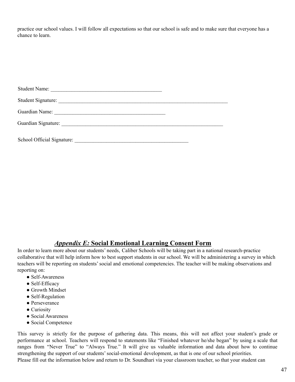practice our school values. I will follow all expectations so that our school is safe and to make sure that everyone has a chance to learn.

| <b>Student Name:</b>       |  |
|----------------------------|--|
|                            |  |
| Guardian Name:             |  |
|                            |  |
| School Official Signature: |  |

### *Appendix E:* **Social Emotional Learning Consent Form**

In order to learn more about our students' needs, Caliber Schools will be taking part in a national research-practice collaborative that will help inform how to best support students in our school. We will be administering a survey in which teachers will be reporting on students'social and emotional competencies. The teacher will be making observations and reporting on:

- Self-Awareness
- Self-Efficacy
- Growth Mindset
- Self-Regulation
- Perseverance
- Curiosity
- Social Awareness
- Social Competence

This survey is strictly for the purpose of gathering data. This means, this will not affect your student's grade or performance at school. Teachers will respond to statements like "Finished whatever he/she began" by using a scale that ranges from "Never True" to "Always True." It will give us valuable information and data about how to continue strengthening the support of our students'social-emotional development, as that is one of our school priorities. Please fill out the information below and return to Dr. Soundhari via your classroom teacher, so that your student can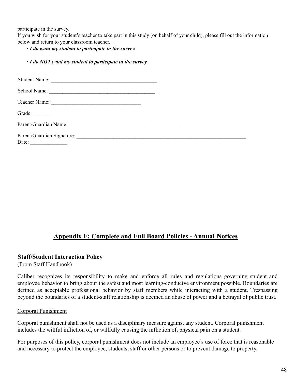participate in the survey.

If you wish for your student's teacher to take part in this study (on behalf of your child), please fill out the information below and return to your classroom teacher.

• *I do want my student to participate in the survey.*

|  |  |  |  |  |  |  | • I do NOT want my student to participate in the survey. |  |  |  |
|--|--|--|--|--|--|--|----------------------------------------------------------|--|--|--|
|--|--|--|--|--|--|--|----------------------------------------------------------|--|--|--|

| School Name:           |  |
|------------------------|--|
| Teacher Name:          |  |
| Grade: $\qquad \qquad$ |  |
|                        |  |
| Date: $\qquad \qquad$  |  |

## **Appendix F: Complete and Full Board Policies - Annual Notices**

#### **Staff/Student Interaction Policy**

(From Staff Handbook)

Caliber recognizes its responsibility to make and enforce all rules and regulations governing student and employee behavior to bring about the safest and most learning-conducive environment possible. Boundaries are defined as acceptable professional behavior by staff members while interacting with a student. Trespassing beyond the boundaries of a student-staff relationship is deemed an abuse of power and a betrayal of public trust.

#### Corporal Punishment

Corporal punishment shall not be used as a disciplinary measure against any student. Corporal punishment includes the willful infliction of, or willfully causing the infliction of, physical pain on a student.

For purposes of this policy, corporal punishment does not include an employee's use of force that is reasonable and necessary to protect the employee, students, staff or other persons or to prevent damage to property.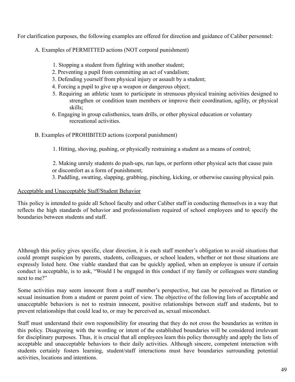For clarification purposes, the following examples are offered for direction and guidance of Caliber personnel:

A. Examples of PERMITTED actions (NOT corporal punishment)

- 1. Stopping a student from fighting with another student;
- 2. Preventing a pupil from committing an act of vandalism;
- 3. Defending yourself from physical injury or assault by a student;
- 4. Forcing a pupil to give up a weapon or dangerous object;
- 5. Requiring an athletic team to participate in strenuous physical training activities designed to strengthen or condition team members or improve their coordination, agility, or physical skills;
- 6. Engaging in group calisthenics, team drills, or other physical education or voluntary recreational activities.
- B. Examples of PROHIBITED actions (corporal punishment)
	- 1. Hitting, shoving, pushing, or physically restraining a student as a means of control;
	- 2. Making unruly students do push-ups, run laps, or perform other physical acts that cause pain or discomfort as a form of punishment;
	- 3. Paddling, swatting, slapping, grabbing, pinching, kicking, or otherwise causing physical pain.

#### Acceptable and Unacceptable Staff/Student Behavior

This policy is intended to guide all School faculty and other Caliber staff in conducting themselves in a way that reflects the high standards of behavior and professionalism required of school employees and to specify the boundaries between students and staff.

Although this policy gives specific, clear direction, it is each staff member's obligation to avoid situations that could prompt suspicion by parents, students, colleagues, or school leaders, whether or not those situations are expressly listed here. One viable standard that can be quickly applied, when an employee is unsure if certain conduct is acceptable, is to ask, "Would I be engaged in this conduct if my family or colleagues were standing next to me?"

Some activities may seem innocent from a staff member's perspective, but can be perceived as flirtation or sexual insinuation from a student or parent point of view. The objective of the following lists of acceptable and unacceptable behaviors is not to restrain innocent, positive relationships between staff and students, but to prevent relationships that could lead to, or may be perceived as, sexual misconduct.

Staff must understand their own responsibility for ensuring that they do not cross the boundaries as written in this policy. Disagreeing with the wording or intent of the established boundaries will be considered irrelevant for disciplinary purposes. Thus, it is crucial that all employees learn this policy thoroughly and apply the lists of acceptable and unacceptable behaviors to their daily activities. Although sincere, competent interaction with students certainly fosters learning, student/staff interactions must have boundaries surrounding potential activities, locations and intentions.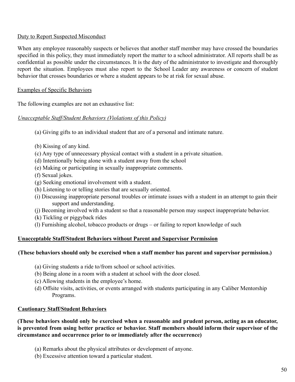#### Duty to Report Suspected Misconduct

When any employee reasonably suspects or believes that another staff member may have crossed the boundaries specified in this policy, they must immediately report the matter to a school administrator. All reports shall be as confidential as possible under the circumstances. It is the duty of the administrator to investigate and thoroughly report the situation. Employees must also report to the School Leader any awareness or concern of student behavior that crosses boundaries or where a student appears to be at risk for sexual abuse.

#### Examples of Specific Behaviors

The following examples are not an exhaustive list:

#### *Unacceptable Staff/Student Behaviors (Violations of this Policy)*

- (a) Giving gifts to an individual student that are of a personal and intimate nature.
- (b) Kissing of any kind.
- (c) Any type of unnecessary physical contact with a student in a private situation.
- (d) Intentionally being alone with a student away from the school
- (e) Making or participating in sexually inappropriate comments.
- (f) Sexual jokes.
- (g) Seeking emotional involvement with a student.
- (h) Listening to or telling stories that are sexually oriented.
- (i) Discussing inappropriate personal troubles or intimate issues with a student in an attempt to gain their support and understanding.
- (j) Becoming involved with a student so that a reasonable person may suspect inappropriate behavior.
- (k) Tickling or piggyback rides
- (l) Furnishing alcohol, tobacco products or drugs or failing to report knowledge of such

#### **Unacceptable Staff/Student Behaviors without Parent and Supervisor Permission**

#### **(These behaviors should only be exercised when a staff member has parent and supervisor permission.)**

- (a) Giving students a ride to/from school or school activities.
- (b) Being alone in a room with a student at school with the door closed.
- (c) Allowing students in the employee's home.
- (d) Offsite visits, activities, or events arranged with students participating in any Caliber Mentorship Programs.

### **Cautionary Staff/Student Behaviors**

**(These behaviors should only be exercised when a reasonable and prudent person, acting as an educator, is prevented from using better practice or behavior. Staff members should inform their supervisor of the circumstance and occurrence prior to or immediately after the occurrence)**

- (a) Remarks about the physical attributes or development of anyone.
- (b) Excessive attention toward a particular student.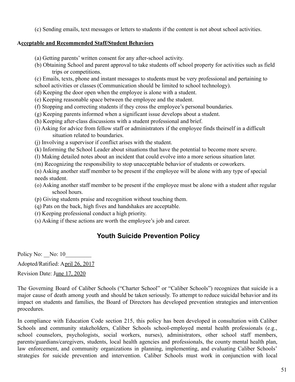(c) Sending emails, text messages or letters to students if the content is not about school activities.

#### **Acceptable and Recommended Staff/Student Behaviors**

- (a) Getting parents' written consent for any after-school activity.
- (b) Obtaining School and parent approval to take students off school property for activities such as field trips or competitions.
- (c) Emails, texts, phone and instant messages to students must be very professional and pertaining to
- school activities or classes (Communication should be limited to school technology).
- (d) Keeping the door open when the employee is alone with a student.
- (e) Keeping reasonable space between the employee and the student.
- (f) Stopping and correcting students if they cross the employee's personal boundaries.
- (g) Keeping parents informed when a significant issue develops about a student.
- (h) Keeping after-class discussions with a student professional and brief.
- (i) Asking for advice from fellow staff or administrators if the employee finds theirself in a difficult situation related to boundaries.
- (j) Involving a supervisor if conflict arises with the student.
- (k) Informing the School Leader about situations that have the potential to become more severe.
- (l) Making detailed notes about an incident that could evolve into a more serious situation later.
- (m) Recognizing the responsibility to stop unacceptable behavior of students or coworkers.

(n) Asking another staff member to be present if the employee will be alone with any type of special needs student.

- (o) Asking another staff member to be present if the employee must be alone with a student after regular school hours.
- (p) Giving students praise and recognition without touching them.
- (q) Pats on the back, high fives and handshakes are acceptable.
- (r) Keeping professional conduct a high priority.
- (s) Asking if these actions are worth the employee's job and career.

# **Youth Suicide Prevention Policy**

Policy No: No: 10

Adopted/Ratified: April 26, 2017

Revision Date: June 17, 2020

The Governing Board of Caliber Schools ("Charter School" or "Caliber Schools") recognizes that suicide is a major cause of death among youth and should be taken seriously. To attempt to reduce suicidal behavior and its impact on students and families, the Board of Directors has developed prevention strategies and intervention procedures.

In compliance with Education Code section 215, this policy has been developed in consultation with Caliber Schools and community stakeholders, Caliber Schools school-employed mental health professionals (e.g., school counselors, psychologists, social workers, nurses), administrators, other school staff members, parents/guardians/caregivers, students, local health agencies and professionals, the county mental health plan, law enforcement, and community organizations in planning, implementing, and evaluating Caliber Schools' strategies for suicide prevention and intervention. Caliber Schools must work in conjunction with local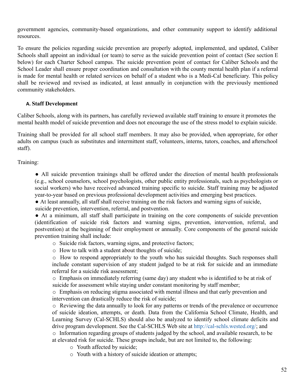government agencies, community-based organizations, and other community support to identify additional resources.

To ensure the policies regarding suicide prevention are properly adopted, implemented, and updated, Caliber Schools shall appoint an individual (or team) to serve as the suicide prevention point of contact (See section E below) for each Charter School campus. The suicide prevention point of contact for Caliber Schools and the School Leader shall ensure proper coordination and consultation with the county mental health plan if a referral is made for mental health or related services on behalf of a student who is a Medi-Cal beneficiary. This policy shall be reviewed and revised as indicated, at least annually in conjunction with the previously mentioned community stakeholders.

#### **A. Staff Development**

Caliber Schools, along with its partners, has carefully reviewed available staff training to ensure it promotes the mental health model of suicide prevention and does not encourage the use of the stress model to explain suicide.

Training shall be provided for all school staff members. It may also be provided, when appropriate, for other adults on campus (such as substitutes and intermittent staff, volunteers, interns, tutors, coaches, and afterschool staff).

Training:

● All suicide prevention trainings shall be offered under the direction of mental health professionals (e.g., school counselors, school psychologists, other public entity professionals, such as psychologists or social workers) who have received advanced training specific to suicide. Staff training may be adjusted year-to-year based on previous professional development activities and emerging best practices.

● At least annually, all staff shall receive training on the risk factors and warning signs of suicide, suicide prevention, intervention, referral, and postvention.

● At a minimum, all staff shall participate in training on the core components of suicide prevention (identification of suicide risk factors and warning signs, prevention, intervention, referral, and postvention) at the beginning of their employment or annually. Core components of the general suicide prevention training shall include:

- o Suicide risk factors, warning signs, and protective factors;
- o How to talk with a student about thoughts of suicide;

o How to respond appropriately to the youth who has suicidal thoughts. Such responses shall include constant supervision of any student judged to be at risk for suicide and an immediate referral for a suicide risk assessment;

o Emphasis on immediately referring (same day) any student who is identified to be at risk of suicide for assessment while staying under constant monitoring by staff member;

o Emphasis on reducing stigma associated with mental illness and that early prevention and intervention can drastically reduce the risk of suicide;

o Reviewing the data annually to look for any patterns or trends of the prevalence or occurrence of suicide ideation, attempts, or death. Data from the California School Climate, Health, and Learning Survey (Cal-SCHLS) should also be analyzed to identify school climate deficits and drive program development. See the Cal-SCHLS Web site at http://cal-schls.wested.org/; and o Information regarding groups of students judged by the school, and available research, to be at elevated risk for suicide. These groups include, but are not limited to, the following:

- o Youth affected by suicide;
- o Youth with a history of suicide ideation or attempts;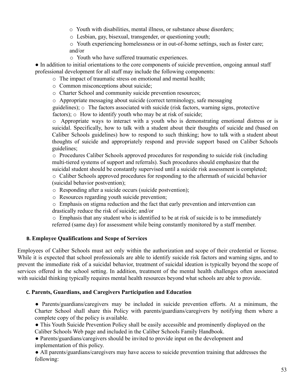o Youth with disabilities, mental illness, or substance abuse disorders;

o Lesbian, gay, bisexual, transgender, or questioning youth;

o Youth experiencing homelessness or in out-of-home settings, such as foster care; and/or

o Youth who have suffered traumatic experiences.

• In addition to initial orientations to the core components of suicide prevention, ongoing annual staff professional development for all staff may include the following components:

o The impact of traumatic stress on emotional and mental health;

o Common misconceptions about suicide;

o Charter School and community suicide prevention resources;

o Appropriate messaging about suicide (correct terminology, safe messaging

guidelines); o The factors associated with suicide (risk factors, warning signs, protective factors);  $\circ$  How to identify youth who may be at risk of suicide;

o Appropriate ways to interact with a youth who is demonstrating emotional distress or is suicidal. Specifically, how to talk with a student about their thoughts of suicide and (based on Caliber Schools guidelines) how to respond to such thinking; how to talk with a student about thoughts of suicide and appropriately respond and provide support based on Caliber Schools guidelines;

o Procedures Caliber Schools approved procedures for responding to suicide risk (including multi-tiered systems of support and referrals). Such procedures should emphasize that the suicidal student should be constantly supervised until a suicide risk assessment is completed;

o Caliber Schools approved procedures for responding to the aftermath of suicidal behavior (suicidal behavior postvention);

o Responding after a suicide occurs (suicide postvention);

o Resources regarding youth suicide prevention;

o Emphasis on stigma reduction and the fact that early prevention and intervention can drastically reduce the risk of suicide; and/or

o Emphasis that any student who is identified to be at risk of suicide is to be immediately referred (same day) for assessment while being constantly monitored by a staff member.

### **B. Employee Qualifications and Scope of Services**

Employees of Caliber Schools must act only within the authorization and scope of their credential or license. While it is expected that school professionals are able to identify suicide risk factors and warning signs, and to prevent the immediate risk of a suicidal behavior, treatment of suicidal ideation is typically beyond the scope of services offered in the school setting. In addition, treatment of the mental health challenges often associated with suicidal thinking typically requires mental health resources beyond what schools are able to provide.

### **C. Parents, Guardians, and Caregivers Participation and Education**

• Parents/guardians/caregivers may be included in suicide prevention efforts. At a minimum, the Charter School shall share this Policy with parents/guardians/caregivers by notifying them where a complete copy of the policy is available.

● This Youth Suicide Prevention Policy shall be easily accessible and prominently displayed on the Caliber Schools Web page and included in the Caliber Schools Family Handbook.

• Parents/guardians/caregivers should be invited to provide input on the development and implementation of this policy.

● All parents/guardians/caregivers may have access to suicide prevention training that addresses the following: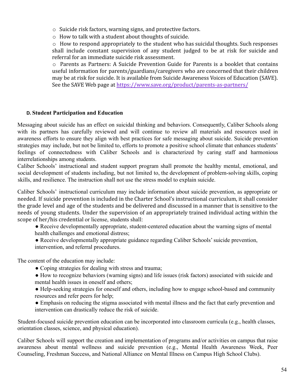o Suicide risk factors, warning signs, and protective factors.

o How to talk with a student about thoughts of suicide.

o How to respond appropriately to the student who has suicidal thoughts. Such responses shall include constant supervision of any student judged to be at risk for suicide and referral for an immediate suicide risk assessment.

o Parents as Partners: A Suicide Prevention Guide for Parents is a booklet that contains useful information for parents/guardians/caregivers who are concerned that their children may be at risk for suicide. It is available from Suicide Awareness Voices of Education (SAVE). See the SAVE Web page at https://www.save.org/product/parents-as-partners/

#### **D. Student Participation and Education**

Messaging about suicide has an effect on suicidal thinking and behaviors. Consequently, Caliber Schools along with its partners has carefully reviewed and will continue to review all materials and resources used in awareness efforts to ensure they align with best practices for safe messaging about suicide. Suicide prevention strategies may include, but not be limited to, efforts to promote a positive school climate that enhances students' feelings of connectedness with Caliber Schools and is characterized by caring staff and harmonious interrelationships among students.

Caliber Schools' instructional and student support program shall promote the healthy mental, emotional, and social development of students including, but not limited to, the development of problem-solving skills, coping skills, and resilience. The instruction shall not use the stress model to explain suicide.

Caliber Schools' instructional curriculum may include information about suicide prevention, as appropriate or needed. If suicide prevention is included in the Charter School's instructional curriculum, it shall consider the grade level and age of the students and be delivered and discussed in a manner that is sensitive to the needs of young students. Under the supervision of an appropriately trained individual acting within the scope of her/his credential or license, students shall:

- Receive developmentally appropriate, student-centered education about the warning signs of mental health challenges and emotional distress;
- Receive developmentally appropriate guidance regarding Caliber Schools' suicide prevention, intervention, and referral procedures.

The content of the education may include:

- Coping strategies for dealing with stress and trauma;
- How to recognize behaviors (warning signs) and life issues (risk factors) associated with suicide and mental health issues in oneself and others;
- Help-seeking strategies for oneself and others, including how to engage school-based and community resources and refer peers for help;
- Emphasis on reducing the stigma associated with mental illness and the fact that early prevention and intervention can drastically reduce the risk of suicide.

Student-focused suicide prevention education can be incorporated into classroom curricula (e.g., health classes, orientation classes, science, and physical education).

Caliber Schools will support the creation and implementation of programs and/or activities on campus that raise awareness about mental wellness and suicide prevention (e.g., Mental Health Awareness Week, Peer Counseling, Freshman Success, and National Alliance on Mental Illness on Campus High School Clubs).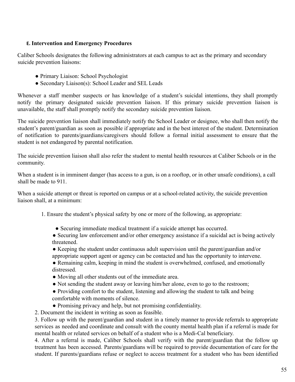#### **E. Intervention and Emergency Procedures**

Caliber Schools designates the following administrators at each campus to act as the primary and secondary suicide prevention liaisons:

- Primary Liaison: School Psychologist
- Secondary Liaison(s): School Leader and SEL Leads

Whenever a staff member suspects or has knowledge of a student's suicidal intentions, they shall promptly notify the primary designated suicide prevention liaison. If this primary suicide prevention liaison is unavailable, the staff shall promptly notify the secondary suicide prevention liaison.

The suicide prevention liaison shall immediately notify the School Leader or designee, who shall then notify the student's parent/guardian as soon as possible if appropriate and in the best interest of the student. Determination of notification to parents/guardians/caregivers should follow a formal initial assessment to ensure that the student is not endangered by parental notification.

The suicide prevention liaison shall also refer the student to mental health resources at Caliber Schools or in the community.

When a student is in imminent danger (has access to a gun, is on a rooftop, or in other unsafe conditions), a call shall be made to 911.

When a suicide attempt or threat is reported on campus or at a school-related activity, the suicide prevention liaison shall, at a minimum:

- 1. Ensure the student's physical safety by one or more of the following, as appropriate:
	- Securing immediate medical treatment if a suicide attempt has occurred.
	- Securing law enforcement and/or other emergency assistance if a suicidal act is being actively threatened.
	- Keeping the student under continuous adult supervision until the parent/guardian and/or appropriate support agent or agency can be contacted and has the opportunity to intervene.
	- Remaining calm, keeping in mind the student is overwhelmed, confused, and emotionally distressed.
	- Moving all other students out of the immediate area.
	- Not sending the student away or leaving him/her alone, even to go to the restroom;
	- Providing comfort to the student, listening and allowing the student to talk and being comfortable with moments of silence.
	- Promising privacy and help, but not promising confidentiality.
- 2. Document the incident in writing as soon as feasible.

3. Follow up with the parent/guardian and student in a timely manner to provide referrals to appropriate services as needed and coordinate and consult with the county mental health plan if a referral is made for mental health or related services on behalf of a student who is a Medi-Cal beneficiary.

4. After a referral is made, Caliber Schools shall verify with the parent/guardian that the follow up treatment has been accessed. Parents/guardians will be required to provide documentation of care for the student. If parents/guardians refuse or neglect to access treatment for a student who has been identified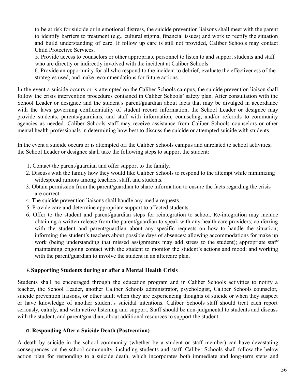to be at risk for suicide or in emotional distress, the suicide prevention liaisons shall meet with the parent to identify barriers to treatment (e.g., cultural stigma, financial issues) and work to rectify the situation and build understanding of care. If follow up care is still not provided, Caliber Schools may contact Child Protective Services.

5. Provide access to counselors or other appropriate personnel to listen to and support students and staff who are directly or indirectly involved with the incident at Caliber Schools.

6. Provide an opportunity for all who respond to the incident to debrief, evaluate the effectiveness of the strategies used, and make recommendations for future actions.

In the event a suicide occurs or is attempted on the Caliber Schools campus, the suicide prevention liaison shall follow the crisis intervention procedures contained in Caliber Schools' safety plan. After consultation with the School Leader or designee and the student's parent/guardian about facts that may be divulged in accordance with the laws governing confidentiality of student record information, the School Leader or designee may provide students, parents/guardians, and staff with information, counseling, and/or referrals to community agencies as needed. Caliber Schools staff may receive assistance from Caliber Schools counselors or other mental health professionals in determining how best to discuss the suicide or attempted suicide with students.

In the event a suicide occurs or is attempted off the Caliber Schools campus and unrelated to school activities, the School Leader or designee shall take the following steps to support the student:

- 1. Contact the parent/guardian and offer support to the family.
- 2. Discuss with the family how they would like Caliber Schools to respond to the attempt while minimizing widespread rumors among teachers, staff, and students.
- 3. Obtain permission from the parent/guardian to share information to ensure the facts regarding the crisis are correct.
- 4. The suicide prevention liaisons shall handle any media requests.
- 5. Provide care and determine appropriate support to affected students.
- 6. Offer to the student and parent/guardian steps for reintegration to school. Re-integration may include obtaining a written release from the parent/guardian to speak with any health care providers; conferring with the student and parent/guardian about any specific requests on how to handle the situation; informing the student's teachers about possible days of absences; allowing accommodations for make up work (being understanding that missed assignments may add stress to the student); appropriate staff maintaining ongoing contact with the student to monitor the student's actions and mood; and working with the parent/guardian to involve the student in an aftercare plan.

#### **F. Supporting Students during or after a Mental Health Crisis**

Students shall be encouraged through the education program and in Caliber Schools activities to notify a teacher, the School Leader, another Caliber Schools administrator, psychologist, Caliber Schools counselor, suicide prevention liaisons, or other adult when they are experiencing thoughts of suicide or when they suspect or have knowledge of another student's suicidal intentions. Caliber Schools staff should treat each report seriously, calmly, and with active listening and support. Staff should be non-judgmental to students and discuss with the student, and parent/guardian, about additional resources to support the student.

#### **G. Responding After a Suicide Death (Postvention)**

A death by suicide in the school community (whether by a student or staff member) can have devastating consequences on the school community, including students and staff. Caliber Schools shall follow the below action plan for responding to a suicide death, which incorporates both immediate and long-term steps and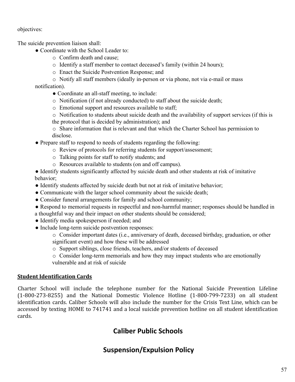objectives:

The suicide prevention liaison shall:

- Coordinate with the School Leader to:
	- o Confirm death and cause;
	- o Identify a staff member to contact deceased's family (within 24 hours);
	- o Enact the Suicide Postvention Response; and
- o Notify all staff members (ideally in-person or via phone, not via e-mail or mass notification).
	- Coordinate an all-staff meeting, to include:
	- o Notification (if not already conducted) to staff about the suicide death;
	- o Emotional support and resources available to staff;
	- o Notification to students about suicide death and the availability of support services (if this is the protocol that is decided by administration); and
	- o Share information that is relevant and that which the Charter School has permission to disclose.
- Prepare staff to respond to needs of students regarding the following:
	- o Review of protocols for referring students for support/assessment;
	- o Talking points for staff to notify students; and
	- o Resources available to students (on and off campus).
- Identify students significantly affected by suicide death and other students at risk of imitative behavior;
- Identify students affected by suicide death but not at risk of imitative behavior;
- Communicate with the larger school community about the suicide death;
- Consider funeral arrangements for family and school community;
- Respond to memorial requests in respectful and non-harmful manner; responses should be handled in
- a thoughtful way and their impact on other students should be considered;
- Identify media spokesperson if needed; and
- Include long-term suicide postvention responses:
	- o Consider important dates (i.e., anniversary of death, deceased birthday, graduation, or other significant event) and how these will be addressed
	- o Support siblings, close friends, teachers, and/or students of deceased
	- o Consider long-term memorials and how they may impact students who are emotionally vulnerable and at risk of suicide

### **Student Identification Cards**

Charter School will include the telephone number for the National Suicide Prevention Lifeline (1-800-273-8255) and the National Domestic Violence Hotline (1-800-799-7233) on all student identification cards. Caliber Schools will also include the number for the Crisis Text Line, which can be accessed by texting HOME to 741741 and a local suicide prevention hotline on all student identification cards.

# **Caliber Public Schools**

# **Suspension/Expulsion Policy**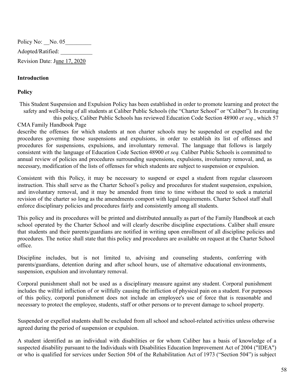Policy No: \_\_No. 05\_\_\_\_\_\_\_\_\_ Adopted/Ratified: \_\_\_\_\_\_\_\_\_\_\_ Revision Date: June 17, 2020

#### **Introduction**

#### **Policy**

This Student Suspension and Expulsion Policy has been established in order to promote learning and protect the safety and well-being of all students at Caliber Public Schools (the "Charter School" or "Caliber"). In creating this policy, Caliber Public Schools has reviewed Education Code Section 48900 *et seq.*, which 57 CMA Family Handbook Page

describe the offenses for which students at non charter schools may be suspended or expelled and the procedures governing those suspensions and expulsions, in order to establish its list of offenses and procedures for suspensions, expulsions, and involuntary removal. The language that follows is largely consistent with the language of Education Code Section 48900 *et seq.* Caliber Public Schools is committed to annual review of policies and procedures surrounding suspensions, expulsions, involuntary removal, and, as necessary, modification of the lists of offenses for which students are subject to suspension or expulsion.

Consistent with this Policy, it may be necessary to suspend or expel a student from regular classroom instruction. This shall serve as the Charter School's policy and procedures for student suspension, expulsion, and involuntary removal, and it may be amended from time to time without the need to seek a material revision of the charter so long as the amendments comport with legal requirements. Charter School staff shall enforce disciplinary policies and procedures fairly and consistently among all students.

This policy and its procedures will be printed and distributed annually as part of the Family Handbook at each school operated by the Charter School and will clearly describe discipline expectations. Caliber shall ensure that students and their parents/guardians are notified in writing upon enrollment of all discipline policies and procedures. The notice shall state that this policy and procedures are available on request at the Charter School office.

Discipline includes, but is not limited to, advising and counseling students, conferring with parents/guardians, detention during and after school hours, use of alternative educational environments, suspension, expulsion and involuntary removal.

Corporal punishment shall not be used as a disciplinary measure against any student. Corporal punishment includes the willful infliction of or willfully causing the infliction of physical pain on a student. For purposes of this policy, corporal punishment does not include an employee's use of force that is reasonable and necessary to protect the employee, students, staff or other persons or to prevent damage to school property.

Suspended or expelled students shall be excluded from all school and school-related activities unless otherwise agreed during the period of suspension or expulsion.

A student identified as an individual with disabilities or for whom Caliber has a basis of knowledge of a suspected disability pursuant to the Individuals with Disabilities Education Improvement Act of 2004 ("IDEA") or who is qualified for services under Section 504 of the Rehabilitation Act of 1973 ("Section 504") is subject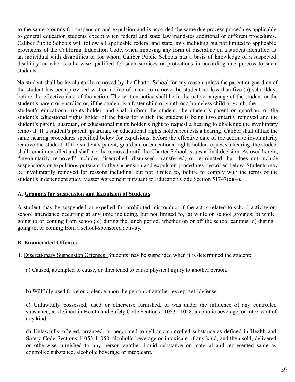to the same grounds for suspension and expulsion and is accorded the same due process procedures applicable to general education students except when federal and state law mandates additional or different procedures. Caliber Public Schools will follow all applicable federal and state laws including but not limited to applicable provisions of the California Education Code, when imposing any form of discipline on a student identified as an individual with disabilities or for whom Caliber Public Schools has a basis of knowledge of a suspected disability or who is otherwise qualified for such services or protections in according due process to such students.

No student shall be involuntarily removed by the Charter School for any reason unless the parent or guardian of the student has been provided written notice of intent to remove the student no less than five (5) schooldays before the effective date of the action. The written notice shall be in the native language of the student or the student's parent or guardian or, if the student is a foster child or youth or a homeless child or youth, the student's educational rights holder, and shall inform the student, the student's parent or guardian, or the student's educational rights holder of the basis for which the student is being involuntarily removed and the student's parent, guardian, or educational rights holder's right to request a hearing to challenge the involuntary removal. If a student's parent, guardian, or educational rights holder requests a hearing, Caliber shall utilize the same hearing procedures specified below for expulsions, before the effective date of the action to involuntarily remove the student. If the student's parent, guardian, or educational rights holder requests a hearing, the student shall remain enrolled and shall not be removed until the Charter School issues a final decision. As used herein, "involuntarily removed" includes disenrolled, dismissed, transferred, or terminated, but does not include suspensions or expulsions pursuant to the suspension and expulsion procedures described below. Students may be involuntarily removed for reasons including, but not limited to, failure to comply with the terms of the student's independent study Master Agreement pursuant to Education Code Section 51747(c)(4).

#### A. **Grounds for Suspension and Expulsion of Students**

A student may be suspended or expelled for prohibited misconduct if the act is related to school activity or school attendance occurring at any time including, but not limited to,: a) while on school grounds; b) while going to or coming from school; c) during the lunch period, whether on or off the school campus; d) during, going to, or coming from a school-sponsored activity.

### B. **Enumerated Offenses**

1. Discretionary Suspension Offenses: Students may be suspended when it is determined the student:

- a) Caused, attempted to cause, or threatened to cause physical injury to another person.
- b) Willfully used force or violence upon the person of another, except self-defense.

c) Unlawfully possessed, used or otherwise furnished, or was under the influence of any controlled substance, as defined in Health and Safety Code Sections 11053-11058, alcoholic beverage, or intoxicant of any kind.

d) Unlawfully offered, arranged, or negotiated to sell any controlled substance as defined in Health and Safety Code Sections 11053-11058, alcoholic beverage or intoxicant of any kind, and then sold, delivered or otherwise furnished to any person another liquid substance or material and represented same as controlled substance, alcoholic beverage or intoxicant.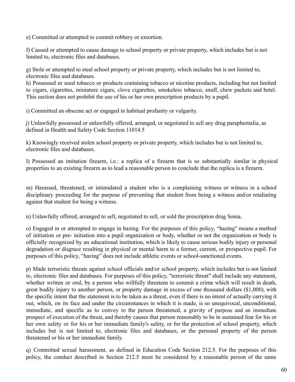e) Committed or attempted to commit robbery or extortion.

f) Caused or attempted to cause damage to school property or private property, which includes but is not limited to, electronic files and databases.

g) Stole or attempted to steal school property or private property, which includes but is not limited to, electronic files and databases.

h) Possessed or used tobacco or products containing tobacco or nicotine products, including but not limited to cigars, cigarettes, miniature cigars, clove cigarettes, smokeless tobacco, snuff, chew packets and betel. This section does not prohibit the use of his or her own prescription products by a pupil.

i) Committed an obscene act or engaged in habitual profanity or vulgarity.

j) Unlawfully possessed or unlawfully offered, arranged, or negotiated to sell any drug paraphernalia, as defined in Health and Safety Code Section 11014.5

k) Knowingly received stolen school property or private property, which includes but is not limited to, electronic files and databases.

l) Possessed an imitation firearm, i.e.: a replica of a firearm that is so substantially similar in physical properties to an existing firearm as to lead a reasonable person to conclude that the replica is a firearm.

m) Harassed, threatened, or intimidated a student who is a complaining witness or witness in a school disciplinary proceeding for the purpose of preventing that student from being a witness and/or retaliating against that student for being a witness.

n) Unlawfully offered, arranged to sell, negotiated to sell, or sold the prescription drug Soma.

o) Engaged in or attempted to engage in hazing. For the purposes of this policy, "hazing" means a method of initiation or pre- initiation into a pupil organization or body, whether or not the organization or body is officially recognized by an educational institution, which is likely to cause serious bodily injury or personal degradation or disgrace resulting in physical or mental harm to a former, current, or prospective pupil. For purposes of this policy, "hazing" does not include athletic events or school-sanctioned events.

p) Made terroristic threats against school officials and/or school property, which includes but is not limited to, electronic files and databases. For purposes of this policy, "terroristic threat" shall include any statement, whether written or oral, by a person who willfully threatens to commit a crime which will result in death, great bodily injury to another person, or property damage in excess of one thousand dollars (\$1,000), with the specific intent that the statement is to be taken as a threat, even if there is no intent of actually carrying it out, which, on its face and under the circumstances in which it is made, is so unequivocal, unconditional, immediate, and specific as to convey to the person threatened, a gravity of purpose and an immediate prospect of execution of the threat, and thereby causes that person reasonably to be in sustained fear for his or her own safety or for his or her immediate family's safety, or for the protection of school property, which includes but is not limited to, electronic files and databases, or the personal property of the person threatened or his or her immediate family.

q) Committed sexual harassment, as defined in Education Code Section 212.5. For the purposes of this policy, the conduct described in Section 212.5 must be considered by a reasonable person of the same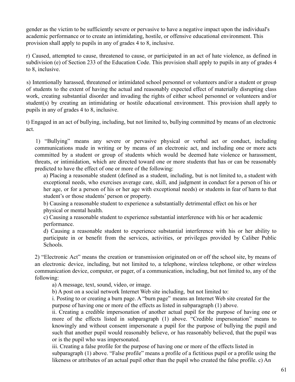gender as the victim to be sufficiently severe or pervasive to have a negative impact upon the individual's academic performance or to create an intimidating, hostile, or offensive educational environment. This provision shall apply to pupils in any of grades 4 to 8, inclusive.

r) Caused, attempted to cause, threatened to cause, or participated in an act of hate violence, as defined in subdivision (e) of Section 233 of the Education Code. This provision shall apply to pupils in any of grades 4 to 8, inclusive.

s) Intentionally harassed, threatened or intimidated school personnel or volunteers and/or a student or group of students to the extent of having the actual and reasonably expected effect of materially disrupting class work, creating substantial disorder and invading the rights of either school personnel or volunteers and/or student(s) by creating an intimidating or hostile educational environment. This provision shall apply to pupils in any of grades 4 to 8, inclusive.

t) Engaged in an act of bullying, including, but not limited to, bullying committed by means of an electronic act.

1) "Bullying" means any severe or pervasive physical or verbal act or conduct, including communications made in writing or by means of an electronic act, and including one or more acts committed by a student or group of students which would be deemed hate violence or harassment, threats, or intimidation, which are directed toward one or more students that has or can be reasonably predicted to have the effect of one or more of the following:

a) Placing a reasonable student (defined as a student, including, but is not limited to, a student with exceptional needs, who exercises average care, skill, and judgment in conduct for a person of his or her age, or for a person of his or her age with exceptional needs) or students in fear of harm to that student's or those students' person or property.

b) Causing a reasonable student to experience a substantially detrimental effect on his or her physical or mental health.

c) Causing a reasonable student to experience substantial interference with his or her academic performance.

d) Causing a reasonable student to experience substantial interference with his or her ability to participate in or benefit from the services, activities, or privileges provided by Caliber Public Schools.

2) "Electronic Act" means the creation or transmission originated on or off the school site, by means of an electronic device, including, but not limited to, a telephone, wireless telephone, or other wireless communication device, computer, or pager, of a communication, including, but not limited to, any of the following:

a) A message, text, sound, video, or image.

b) A post on a social network Internet Web site including, but not limited to:

i. Posting to or creating a burn page. A "burn page" means an Internet Web site created for the purpose of having one or more of the effects as listed in subparagraph (1) above.

ii. Creating a credible impersonation of another actual pupil for the purpose of having one or more of the effects listed in subparagraph (1) above. "Credible impersonation" means to knowingly and without consent impersonate a pupil for the purpose of bullying the pupil and such that another pupil would reasonably believe, or has reasonably believed, that the pupil was or is the pupil who was impersonated.

iii. Creating a false profile for the purpose of having one or more of the effects listed in subparagraph (1) above. "False profile" means a profile of a fictitious pupil or a profile using the likeness or attributes of an actual pupil other than the pupil who created the false profile. c) An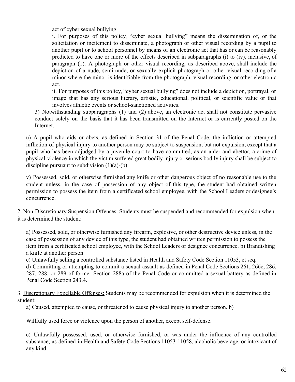act of cyber sexual bullying.

i. For purposes of this policy, "cyber sexual bullying" means the dissemination of, or the solicitation or incitement to disseminate, a photograph or other visual recording by a pupil to another pupil or to school personnel by means of an electronic act that has or can be reasonably predicted to have one or more of the effects described in subparagraphs (i) to (iv), inclusive, of paragraph (1). A photograph or other visual recording, as described above, shall include the depiction of a nude, semi-nude, or sexually explicit photograph or other visual recording of a minor where the minor is identifiable from the photograph, visual recording, or other electronic act.

ii. For purposes of this policy, "cyber sexual bullying" does not include a depiction, portrayal, or image that has any serious literary, artistic, educational, political, or scientific value or that involves athletic events or school-sanctioned activities.

3) Notwithstanding subparagraphs (1) and (2) above, an electronic act shall not constitute pervasive conduct solely on the basis that it has been transmitted on the Internet or is currently posted on the Internet.

u) A pupil who aids or abets, as defined in Section 31 of the Penal Code, the infliction or attempted infliction of physical injury to another person may be subject to suspension, but not expulsion, except that a pupil who has been adjudged by a juvenile court to have committed, as an aider and abettor, a crime of physical violence in which the victim suffered great bodily injury or serious bodily injury shall be subject to discipline pursuant to subdivision  $(1)(a)-(b)$ .

v) Possessed, sold, or otherwise furnished any knife or other dangerous object of no reasonable use to the student unless, in the case of possession of any object of this type, the student had obtained written permission to possess the item from a certificated school employee, with the School Leaders or designee's concurrence.

2. Non-Discretionary Suspension Offenses: Students must be suspended and recommended for expulsion when it is determined the student:

a) Possessed, sold, or otherwise furnished any firearm, explosive, or other destructive device unless, in the case of possession of any device of this type, the student had obtained written permission to possess the item from a certificated school employee, with the School Leaders or designee concurrence. b) Brandishing a knife at another person

c) Unlawfully selling a controlled substance listed in Health and Safety Code Section 11053, et seq.

d) Committing or attempting to commit a sexual assault as defined in Penal Code Sections 261, 266c, 286, 287, 288, or 289 of former Section 288a of the Penal Code or committed a sexual battery as defined in Penal Code Section 243.4.

3. Discretionary Expellable Offenses: Students may be recommended for expulsion when it is determined the student:

a) Caused, attempted to cause, or threatened to cause physical injury to another person. b)

Willfully used force or violence upon the person of another, except self-defense.

c) Unlawfully possessed, used, or otherwise furnished, or was under the influence of any controlled substance, as defined in Health and Safety Code Sections 11053-11058, alcoholic beverage, or intoxicant of any kind.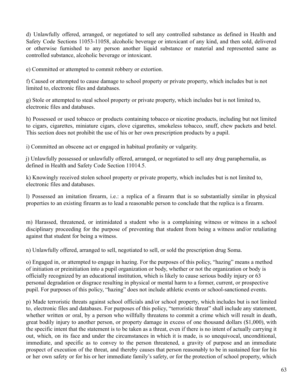d) Unlawfully offered, arranged, or negotiated to sell any controlled substance as defined in Health and Safety Code Sections 11053-11058, alcoholic beverage or intoxicant of any kind, and then sold, delivered or otherwise furnished to any person another liquid substance or material and represented same as controlled substance, alcoholic beverage or intoxicant.

e) Committed or attempted to commit robbery or extortion.

f) Caused or attempted to cause damage to school property or private property, which includes but is not limited to, electronic files and databases.

g) Stole or attempted to steal school property or private property, which includes but is not limited to, electronic files and databases.

h) Possessed or used tobacco or products containing tobacco or nicotine products, including but not limited to cigars, cigarettes, miniature cigars, clove cigarettes, smokeless tobacco, snuff, chew packets and betel. This section does not prohibit the use of his or her own prescription products by a pupil.

i) Committed an obscene act or engaged in habitual profanity or vulgarity.

j) Unlawfully possessed or unlawfully offered, arranged, or negotiated to sell any drug paraphernalia, as defined in Health and Safety Code Section 11014.5.

k) Knowingly received stolen school property or private property, which includes but is not limited to, electronic files and databases.

l) Possessed an imitation firearm, i.e.: a replica of a firearm that is so substantially similar in physical properties to an existing firearm as to lead a reasonable person to conclude that the replica is a firearm.

m) Harassed, threatened, or intimidated a student who is a complaining witness or witness in a school disciplinary proceeding for the purpose of preventing that student from being a witness and/or retaliating against that student for being a witness.

n) Unlawfully offered, arranged to sell, negotiated to sell, or sold the prescription drug Soma.

o) Engaged in, or attempted to engage in hazing. For the purposes of this policy, "hazing" means a method of initiation or preinitiation into a pupil organization or body, whether or not the organization or body is officially recognized by an educational institution, which is likely to cause serious bodily injury or 63 personal degradation or disgrace resulting in physical or mental harm to a former, current, or prospective pupil. For purposes of this policy, "hazing" does not include athletic events or school-sanctioned events.

p) Made terroristic threats against school officials and/or school property, which includes but is not limited to, electronic files and databases. For purposes of this policy, "terroristic threat" shall include any statement, whether written or oral, by a person who willfully threatens to commit a crime which will result in death, great bodily injury to another person, or property damage in excess of one thousand dollars (\$1,000), with the specific intent that the statement is to be taken as a threat, even if there is no intent of actually carrying it out, which, on its face and under the circumstances in which it is made, is so unequivocal, unconditional, immediate, and specific as to convey to the person threatened, a gravity of purpose and an immediate prospect of execution of the threat, and thereby causes that person reasonably to be in sustained fear for his or her own safety or for his or her immediate family's safety, or for the protection of school property, which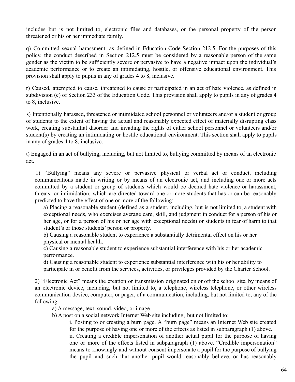includes but is not limited to, electronic files and databases, or the personal property of the person threatened or his or her immediate family.

q) Committed sexual harassment, as defined in Education Code Section 212.5. For the purposes of this policy, the conduct described in Section 212.5 must be considered by a reasonable person of the same gender as the victim to be sufficiently severe or pervasive to have a negative impact upon the individual's academic performance or to create an intimidating, hostile, or offensive educational environment. This provision shall apply to pupils in any of grades 4 to 8, inclusive.

r) Caused, attempted to cause, threatened to cause or participated in an act of hate violence, as defined in subdivision (e) of Section 233 of the Education Code. This provision shall apply to pupils in any of grades 4 to 8, inclusive.

s) Intentionally harassed, threatened or intimidated school personnel or volunteers and/or a student or group of students to the extent of having the actual and reasonably expected effect of materially disrupting class work, creating substantial disorder and invading the rights of either school personnel or volunteers and/or student(s) by creating an intimidating or hostile educational environment. This section shall apply to pupils in any of grades 4 to 8, inclusive.

t) Engaged in an act of bullying, including, but not limited to, bullying committed by means of an electronic act.

1) "Bullying" means any severe or pervasive physical or verbal act or conduct, including communications made in writing or by means of an electronic act, and including one or more acts committed by a student or group of students which would be deemed hate violence or harassment, threats, or intimidation, which are directed toward one or more students that has or can be reasonably predicted to have the effect of one or more of the following:

a) Placing a reasonable student (defined as a student, including, but is not limited to, a student with exceptional needs, who exercises average care, skill, and judgment in conduct for a person of his or her age, or for a person of his or her age with exceptional needs) or students in fear of harm to that student's or those students' person or property.

b) Causing a reasonable student to experience a substantially detrimental effect on his or her physical or mental health.

c) Causing a reasonable student to experience substantial interference with his or her academic performance.

d) Causing a reasonable student to experience substantial interference with his or her ability to participate in or benefit from the services, activities, or privileges provided by the Charter School.

2) "Electronic Act" means the creation or transmission originated on or off the school site, by means of an electronic device, including, but not limited to, a telephone, wireless telephone, or other wireless communication device, computer, or pager, of a communication, including, but not limited to, any of the following:

a) A message, text, sound, video, or image.

b) A post on a social network Internet Web site including, but not limited to:

i. Posting to or creating a burn page. A "burn page" means an Internet Web site created for the purpose of having one or more of the effects as listed in subparagraph (1) above.

ii. Creating a credible impersonation of another actual pupil for the purpose of having one or more of the effects listed in subparagraph (1) above. "Credible impersonation" means to knowingly and without consent impersonate a pupil for the purpose of bullying the pupil and such that another pupil would reasonably believe, or has reasonably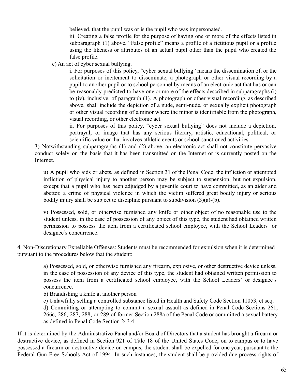believed, that the pupil was or is the pupil who was impersonated.

iii. Creating a false profile for the purpose of having one or more of the effects listed in subparagraph (1) above. "False profile" means a profile of a fictitious pupil or a profile using the likeness or attributes of an actual pupil other than the pupil who created the false profile.

c) An act of cyber sexual bullying.

i. For purposes of this policy, "cyber sexual bullying" means the dissemination of, or the solicitation or incitement to disseminate, a photograph or other visual recording by a pupil to another pupil or to school personnel by means of an electronic act that has or can be reasonably predicted to have one or more of the effects described in subparagraphs (i) to (iv), inclusive, of paragraph (1). A photograph or other visual recording, as described above, shall include the depiction of a nude, semi-nude, or sexually explicit photograph or other visual recording of a minor where the minor is identifiable from the photograph, visual recording, or other electronic act.

ii. For purposes of this policy, "cyber sexual bullying" does not include a depiction, portrayal, or image that has any serious literary, artistic, educational, political, or scientific value or that involves athletic events or school-sanctioned activities.

3) Notwithstanding subparagraphs (1) and (2) above, an electronic act shall not constitute pervasive conduct solely on the basis that it has been transmitted on the Internet or is currently posted on the Internet.

u) A pupil who aids or abets, as defined in Section 31 of the Penal Code, the infliction or attempted infliction of physical injury to another person may be subject to suspension, but not expulsion, except that a pupil who has been adjudged by a juvenile court to have committed, as an aider and abettor, a crime of physical violence in which the victim suffered great bodily injury or serious bodily injury shall be subject to discipline pursuant to subdivision (3)(a)-(b).

v) Possessed, sold, or otherwise furnished any knife or other object of no reasonable use to the student unless, in the case of possession of any object of this type, the student had obtained written permission to possess the item from a certificated school employee, with the School Leaders' or designee's concurrence.

4. Non-Discretionary Expellable Offenses: Students must be recommended for expulsion when it is determined pursuant to the procedures below that the student:

> a) Possessed, sold, or otherwise furnished any firearm, explosive, or other destructive device unless, in the case of possession of any device of this type, the student had obtained written permission to possess the item from a certificated school employee, with the School Leaders' or designee's concurrence.

b) Brandishing a knife at another person

c) Unlawfully selling a controlled substance listed in Health and Safety Code Section 11053, et seq. d) Committing or attempting to commit a sexual assault as defined in Penal Code Sections 261, 266c, 286, 287, 288, or 289 of former Section 288a of the Penal Code or committed a sexual battery as defined in Penal Code Section 243.4.

If it is determined by the Administrative Panel and/or Board of Directors that a student has brought a firearm or destructive device, as defined in Section 921 of Title 18 of the United States Code, on to campus or to have possessed a firearm or destructive device on campus, the student shall be expelled for one year, pursuant to the Federal Gun Free Schools Act of 1994. In such instances, the student shall be provided due process rights of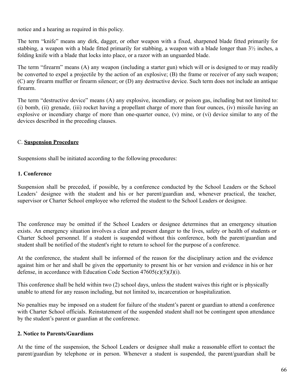notice and a hearing as required in this policy.

The term "knife" means any dirk, dagger, or other weapon with a fixed, sharpened blade fitted primarily for stabbing, a weapon with a blade fitted primarily for stabbing, a weapon with a blade longer than 3½ inches, a folding knife with a blade that locks into place, or a razor with an unguarded blade.

The term "firearm" means (A) any weapon (including a starter gun) which will or is designed to or may readily be converted to expel a projectile by the action of an explosive; (B) the frame or receiver of any such weapon; (C) any firearm muffler or firearm silencer; or (D) any destructive device. Such term does not include an antique firearm.

The term "destructive device" means (A) any explosive, incendiary, or poison gas, including but not limited to: (i) bomb, (ii) grenade, (iii) rocket having a propellant charge of more than four ounces, (iv) missile having an explosive or incendiary charge of more than one-quarter ounce, (v) mine, or (vi) device similar to any of the devices described in the preceding clauses.

### C. **Suspension Procedure**

Suspensions shall be initiated according to the following procedures:

### **1. Conference**

Suspension shall be preceded, if possible, by a conference conducted by the School Leaders or the School Leaders' designee with the student and his or her parent/guardian and, whenever practical, the teacher, supervisor or Charter School employee who referred the student to the School Leaders or designee.

The conference may be omitted if the School Leaders or designee determines that an emergency situation exists. An emergency situation involves a clear and present danger to the lives, safety or health of students or Charter School personnel. If a student is suspended without this conference, both the parent/guardian and student shall be notified of the student's right to return to school for the purpose of a conference.

At the conference, the student shall be informed of the reason for the disciplinary action and the evidence against him or her and shall be given the opportunity to present his or her version and evidence in his or her defense, in accordance with Education Code Section  $47605(c)(5)(J)(i)$ .

This conference shall be held within two (2) school days, unless the student waives this right or is physically unable to attend for any reason including, but not limited to, incarceration or hospitalization.

No penalties may be imposed on a student for failure of the student's parent or guardian to attend a conference with Charter School officials. Reinstatement of the suspended student shall not be contingent upon attendance by the student's parent or guardian at the conference.

### **2. Notice to Parents/Guardians**

At the time of the suspension, the School Leaders or designee shall make a reasonable effort to contact the parent/guardian by telephone or in person. Whenever a student is suspended, the parent/guardian shall be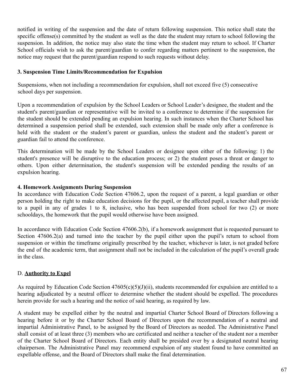notified in writing of the suspension and the date of return following suspension. This notice shall state the specific offense(s) committed by the student as well as the date the student may return to school following the suspension. In addition, the notice may also state the time when the student may return to school. If Charter School officials wish to ask the parent/guardian to confer regarding matters pertinent to the suspension, the notice may request that the parent/guardian respond to such requests without delay.

#### **3. Suspension Time Limits/Recommendation for Expulsion**

Suspensions, when not including a recommendation for expulsion, shall not exceed five (5) consecutive school days per suspension.

Upon a recommendation of expulsion by the School Leaders or School Leader's designee, the student and the student's parent/guardian or representative will be invited to a conference to determine if the suspension for the student should be extended pending an expulsion hearing. In such instances when the Charter School has determined a suspension period shall be extended, such extension shall be made only after a conference is held with the student or the student's parent or guardian, unless the student and the student's parent or guardian fail to attend the conference.

This determination will be made by the School Leaders or designee upon either of the following: 1) the student's presence will be disruptive to the education process; or 2) the student poses a threat or danger to others. Upon either determination, the student's suspension will be extended pending the results of an expulsion hearing.

#### **4. Homework Assignments During Suspension**

In accordance with Education Code Section 47606.2, upon the request of a parent, a legal guardian or other person holding the right to make education decisions for the pupil, or the affected pupil, a teacher shall provide to a pupil in any of grades 1 to 8, inclusive, who has been suspended from school for two (2) or more schooldays, the homework that the pupil would otherwise have been assigned.

In accordance with Education Code Section 47606.2(b), if a homework assignment that is requested pursuant to Section 47606.2(a) and turned into the teacher by the pupil either upon the pupil's return to school from suspension or within the timeframe originally prescribed by the teacher, whichever is later, is not graded before the end of the academic term, that assignment shall not be included in the calculation of the pupil's overall grade in the class.

### D. **Authority to Expel**

As required by Education Code Section 47605(c)(5)(J)(ii), students recommended for expulsion are entitled to a hearing adjudicated by a neutral officer to determine whether the student should be expelled. The procedures herein provide for such a hearing and the notice of said hearing, as required by law.

A student may be expelled either by the neutral and impartial Charter School Board of Directors following a hearing before it or by the Charter School Board of Directors upon the recommendation of a neutral and impartial Administrative Panel, to be assigned by the Board of Directors as needed. The Administrative Panel shall consist of at least three (3) members who are certificated and neither a teacher of the student nor a member of the Charter School Board of Directors. Each entity shall be presided over by a designated neutral hearing chairperson. The Administrative Panel may recommend expulsion of any student found to have committed an expellable offense, and the Board of Directors shall make the final determination.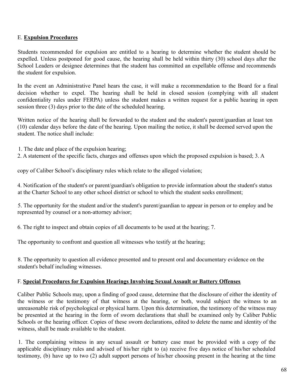#### E. **Expulsion Procedures**

Students recommended for expulsion are entitled to a hearing to determine whether the student should be expelled. Unless postponed for good cause, the hearing shall be held within thirty (30) school days after the School Leaders or designee determines that the student has committed an expellable offense and recommends the student for expulsion.

In the event an Administrative Panel hears the case, it will make a recommendation to the Board for a final decision whether to expel. The hearing shall be held in closed session (complying with all student confidentiality rules under FERPA) unless the student makes a written request for a public hearing in open session three (3) days prior to the date of the scheduled hearing.

Written notice of the hearing shall be forwarded to the student and the student's parent/guardian at least ten (10) calendar days before the date of the hearing. Upon mailing the notice, it shall be deemed served upon the student. The notice shall include:

1. The date and place of the expulsion hearing;

2. A statement of the specific facts, charges and offenses upon which the proposed expulsion is based; 3. A

copy of Caliber School's disciplinary rules which relate to the alleged violation;

4. Notification of the student's or parent/guardian's obligation to provide information about the student's status at the Charter School to any other school district or school to which the student seeks enrollment;

5. The opportunity for the student and/or the student's parent/guardian to appear in person or to employ and be represented by counsel or a non-attorney advisor;

6. The right to inspect and obtain copies of all documents to be used at the hearing; 7.

The opportunity to confront and question all witnesses who testify at the hearing;

8. The opportunity to question all evidence presented and to present oral and documentary evidence on the student's behalf including witnesses.

#### F. **Special Procedures for Expulsion Hearings Involving Sexual Assault or Battery Offenses**

Caliber Public Schools may, upon a finding of good cause, determine that the disclosure of either the identity of the witness or the testimony of that witness at the hearing, or both, would subject the witness to an unreasonable risk of psychological or physical harm. Upon this determination, the testimony of the witness may be presented at the hearing in the form of sworn declarations that shall be examined only by Caliber Public Schools or the hearing officer. Copies of these sworn declarations, edited to delete the name and identity of the witness, shall be made available to the student.

1. The complaining witness in any sexual assault or battery case must be provided with a copy of the applicable disciplinary rules and advised of his/her right to (a) receive five days notice of his/her scheduled testimony, (b) have up to two (2) adult support persons of his/her choosing present in the hearing at the time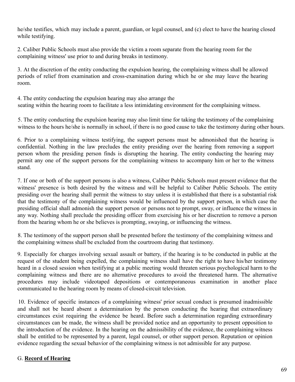he/she testifies, which may include a parent, guardian, or legal counsel, and (c) elect to have the hearing closed while testifying.

2. Caliber Public Schools must also provide the victim a room separate from the hearing room for the complaining witness' use prior to and during breaks in testimony.

3. At the discretion of the entity conducting the expulsion hearing, the complaining witness shall be allowed periods of relief from examination and cross-examination during which he or she may leave the hearing room.

4. The entity conducting the expulsion hearing may also arrange the seating within the hearing room to facilitate a less intimidating environment for the complaining witness.

5. The entity conducting the expulsion hearing may also limit time for taking the testimony of the complaining witness to the hours he/she is normally in school, if there is no good cause to take the testimony during other hours.

6. Prior to a complaining witness testifying, the support persons must be admonished that the hearing is confidential. Nothing in the law precludes the entity presiding over the hearing from removing a support person whom the presiding person finds is disrupting the hearing. The entity conducting the hearing may permit any one of the support persons for the complaining witness to accompany him or her to the witness stand.

7. If one or both of the support persons is also a witness, Caliber Public Schools must present evidence that the witness' presence is both desired by the witness and will be helpful to Caliber Public Schools. The entity presiding over the hearing shall permit the witness to stay unless it is established that there is a substantial risk that the testimony of the complaining witness would be influenced by the support person, in which case the presiding official shall admonish the support person or persons not to prompt, sway, or influence the witness in any way. Nothing shall preclude the presiding officer from exercising his or her discretion to remove a person from the hearing whom he or she believes is prompting, swaying, or influencing the witness.

8. The testimony of the support person shall be presented before the testimony of the complaining witness and the complaining witness shall be excluded from the courtroom during that testimony.

9. Especially for charges involving sexual assault or battery, if the hearing is to be conducted in public at the request of the student being expelled, the complaining witness shall have the right to have his/her testimony heard in a closed session when testifying at a public meeting would threaten serious psychological harm to the complaining witness and there are no alternative procedures to avoid the threatened harm. The alternative procedures may include videotaped depositions or contemporaneous examination in another place communicated to the hearing room by means of closed-circuit television.

10. Evidence of specific instances of a complaining witness' prior sexual conduct is presumed inadmissible and shall not be heard absent a determination by the person conducting the hearing that extraordinary circumstances exist requiring the evidence be heard. Before such a determination regarding extraordinary circumstances can be made, the witness shall be provided notice and an opportunity to present opposition to the introduction of the evidence. In the hearing on the admissibility of the evidence, the complaining witness shall be entitled to be represented by a parent, legal counsel, or other support person. Reputation or opinion evidence regarding the sexual behavior of the complaining witness is not admissible for any purpose.

### G. **Record of Hearing**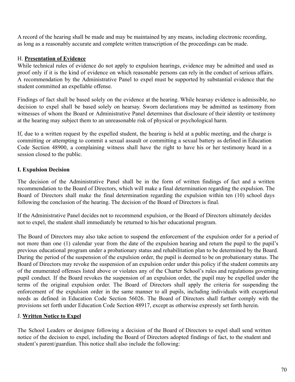A record of the hearing shall be made and may be maintained by any means, including electronic recording, as long as a reasonably accurate and complete written transcription of the proceedings can be made.

#### H. **Presentation of Evidence**

While technical rules of evidence do not apply to expulsion hearings, evidence may be admitted and used as proof only if it is the kind of evidence on which reasonable persons can rely in the conduct of serious affairs. A recommendation by the Administrative Panel to expel must be supported by substantial evidence that the student committed an expellable offense.

Findings of fact shall be based solely on the evidence at the hearing. While hearsay evidence is admissible, no decision to expel shall be based solely on hearsay. Sworn declarations may be admitted as testimony from witnesses of whom the Board or Administrative Panel determines that disclosure of their identity or testimony at the hearing may subject them to an unreasonable risk of physical or psychological harm.

If, due to a written request by the expelled student, the hearing is held at a public meeting, and the charge is committing or attempting to commit a sexual assault or committing a sexual battery as defined in Education Code Section 48900, a complaining witness shall have the right to have his or her testimony heard in a session closed to the public.

#### **I. Expulsion Decision**

The decision of the Administrative Panel shall be in the form of written findings of fact and a written recommendation to the Board of Directors, which will make a final determination regarding the expulsion. The Board of Directors shall make the final determination regarding the expulsion within ten (10) school days following the conclusion of the hearing. The decision of the Board of Directors is final.

If the Administrative Panel decides not to recommend expulsion, or the Board of Directors ultimately decides not to expel, the student shall immediately be returned to his/her educational program.

The Board of Directors may also take action to suspend the enforcement of the expulsion order for a period of not more than one (1) calendar year from the date of the expulsion hearing and return the pupil to the pupil's previous educational program under a probationary status and rehabilitation plan to be determined by the Board. During the period of the suspension of the expulsion order, the pupil is deemed to be on probationary status. The Board of Directors may revoke the suspension of an expulsion order under this policy if the student commits any of the enumerated offenses listed above or violates any of the Charter School's rules and regulations governing pupil conduct. If the Board revokes the suspension of an expulsion order, the pupil may be expelled under the terms of the original expulsion order. The Board of Directors shall apply the criteria for suspending the enforcement of the expulsion order in the same manner to all pupils, including individuals with exceptional needs as defined in Education Code Section 56026. The Board of Directors shall further comply with the provisions set forth under Education Code Section 48917, except as otherwise expressly set forth herein.

#### J. **Written Notice to Expel**

The School Leaders or designee following a decision of the Board of Directors to expel shall send written notice of the decision to expel, including the Board of Directors adopted findings of fact, to the student and student's parent/guardian. This notice shall also include the following: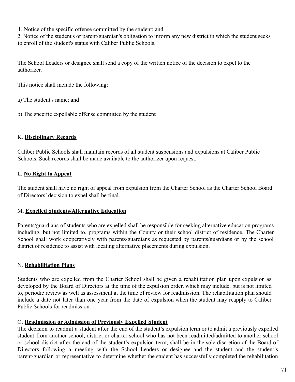1. Notice of the specific offense committed by the student; and

2. Notice of the student's or parent/guardian's obligation to inform any new district in which the student seeks to enroll of the student's status with Caliber Public Schools.

The School Leaders or designee shall send a copy of the written notice of the decision to expel to the authorizer.

This notice shall include the following:

a) The student's name; and

b) The specific expellable offense committed by the student

### K. **Disciplinary Records**

Caliber Public Schools shall maintain records of all student suspensions and expulsions at Caliber Public Schools. Such records shall be made available to the authorizer upon request.

## L. **No Right to Appeal**

The student shall have no right of appeal from expulsion from the Charter School as the Charter School Board of Directors' decision to expel shall be final.

### M. **Expelled Students/Alternative Education**

Parents/guardians of students who are expelled shall be responsible for seeking alternative education programs including, but not limited to, programs within the County or their school district of residence. The Charter School shall work cooperatively with parents/guardians as requested by parents/guardians or by the school district of residence to assist with locating alternative placements during expulsion.

## N. **Rehabilitation Plans**

Students who are expelled from the Charter School shall be given a rehabilitation plan upon expulsion as developed by the Board of Directors at the time of the expulsion order, which may include, but is not limited to, periodic review as well as assessment at the time of review for readmission. The rehabilitation plan should include a date not later than one year from the date of expulsion when the student may reapply to Caliber Public Schools for readmission.

### O. **Readmission or Admission of Previously Expelled Student**

The decision to readmit a student after the end of the student's expulsion term or to admit a previously expelled student from another school, district or charter school who has not been readmitted/admitted to another school or school district after the end of the student's expulsion term, shall be in the sole discretion of the Board of Directors following a meeting with the School Leaders or designee and the student and the student's parent/guardian or representative to determine whether the student has successfully completed the rehabilitation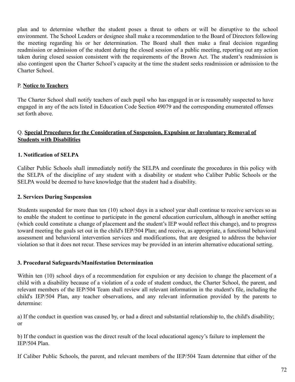plan and to determine whether the student poses a threat to others or will be disruptive to the school environment. The School Leaders or designee shall make a recommendation to the Board of Directors following the meeting regarding his or her determination. The Board shall then make a final decision regarding readmission or admission of the student during the closed session of a public meeting, reporting out any action taken during closed session consistent with the requirements of the Brown Act. The student's readmission is also contingent upon the Charter School's capacity at the time the student seeks readmission or admission to the Charter School.

#### P. **Notice to Teachers**

The Charter School shall notify teachers of each pupil who has engaged in or is reasonably suspected to have engaged in any of the acts listed in Education Code Section 49079 and the corresponding enumerated offenses set forth above.

#### Q. **Special Procedures for the Consideration of Suspension, Expulsion or Involuntary Removal of Students with Disabilities**

### **1. Notification of SELPA**

Caliber Public Schools shall immediately notify the SELPA and coordinate the procedures in this policy with the SELPA of the discipline of any student with a disability or student who Caliber Public Schools or the SELPA would be deemed to have knowledge that the student had a disability.

#### **2. Services During Suspension**

Students suspended for more than ten (10) school days in a school year shall continue to receive services so as to enable the student to continue to participate in the general education curriculum, although in another setting (which could constitute a change of placement and the student's IEP would reflect this change), and to progress toward meeting the goals set out in the child's IEP/504 Plan; and receive, as appropriate, a functional behavioral assessment and behavioral intervention services and modifications, that are designed to address the behavior violation so that it does not recur. These services may be provided in an interim alternative educational setting.

#### **3. Procedural Safeguards/Manifestation Determination**

Within ten (10) school days of a recommendation for expulsion or any decision to change the placement of a child with a disability because of a violation of a code of student conduct, the Charter School, the parent, and relevant members of the IEP/504 Team shall review all relevant information in the student's file, including the child's IEP/504 Plan, any teacher observations, and any relevant information provided by the parents to determine:

a) If the conduct in question was caused by, or had a direct and substantial relationship to, the child's disability; or

b) If the conduct in question was the direct result of the local educational agency's failure to implement the IEP/504 Plan.

If Caliber Public Schools, the parent, and relevant members of the IEP/504 Team determine that either of the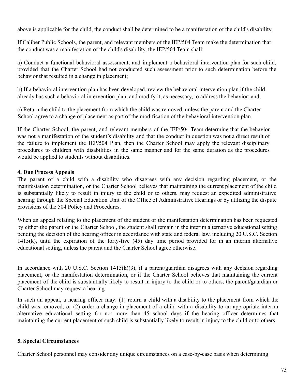above is applicable for the child, the conduct shall be determined to be a manifestation of the child's disability.

If Caliber Public Schools, the parent, and relevant members of the IEP/504 Team make the determination that the conduct was a manifestation of the child's disability, the IEP/504 Team shall:

a) Conduct a functional behavioral assessment, and implement a behavioral intervention plan for such child, provided that the Charter School had not conducted such assessment prior to such determination before the behavior that resulted in a change in placement;

b) If a behavioral intervention plan has been developed, review the behavioral intervention plan if the child already has such a behavioral intervention plan, and modify it, as necessary, to address the behavior; and;

c) Return the child to the placement from which the child was removed, unless the parent and the Charter School agree to a change of placement as part of the modification of the behavioral intervention plan.

If the Charter School, the parent, and relevant members of the IEP/504 Team determine that the behavior was not a manifestation of the student's disability and that the conduct in question was not a direct result of the failure to implement the IEP/504 Plan, then the Charter School may apply the relevant disciplinary procedures to children with disabilities in the same manner and for the same duration as the procedures would be applied to students without disabilities.

### **4. Due Process Appeals**

The parent of a child with a disability who disagrees with any decision regarding placement, or the manifestation determination, or the Charter School believes that maintaining the current placement of the child is substantially likely to result in injury to the child or to others, may request an expedited administrative hearing through the Special Education Unit of the Office of Administrative Hearings or by utilizing the dispute provisions of the 504 Policy and Procedures.

When an appeal relating to the placement of the student or the manifestation determination has been requested by either the parent or the Charter School, the student shall remain in the interim alternative educational setting pending the decision of the hearing officer in accordance with state and federal law, including 20 U.S.C. Section 1415(k), until the expiration of the forty-five (45) day time period provided for in an interim alternative educational setting, unless the parent and the Charter School agree otherwise.

In accordance with 20 U.S.C. Section  $1415(k)(3)$ , if a parent/guardian disagrees with any decision regarding placement, or the manifestation determination, or if the Charter School believes that maintaining the current placement of the child is substantially likely to result in injury to the child or to others, the parent/guardian or Charter School may request a hearing.

In such an appeal, a hearing officer may: (1) return a child with a disability to the placement from which the child was removed; or (2) order a change in placement of a child with a disability to an appropriate interim alternative educational setting for not more than 45 school days if the hearing officer determines that maintaining the current placement of such child is substantially likely to result in injury to the child or to others.

### **5. Special Circumstances**

Charter School personnel may consider any unique circumstances on a case-by-case basis when determining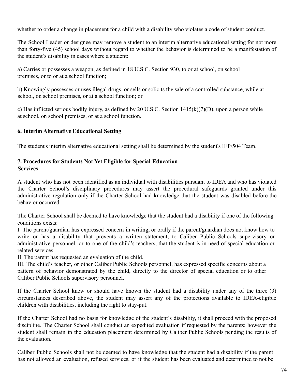whether to order a change in placement for a child with a disability who violates a code of student conduct.

The School Leader or designee may remove a student to an interim alternative educational setting for not more than forty-five (45) school days without regard to whether the behavior is determined to be a manifestation of the student's disability in cases where a student:

a) Carries or possesses a weapon, as defined in 18 U.S.C. Section 930, to or at school, on school premises, or to or at a school function;

b) Knowingly possesses or uses illegal drugs, or sells or solicits the sale of a controlled substance, while at school, on school premises, or at a school function; or

c) Has inflicted serious bodily injury, as defined by 20 U.S.C. Section 1415(k)(7)(D), upon a person while at school, on school premises, or at a school function.

### **6. Interim Alternative Educational Setting**

The student's interim alternative educational setting shall be determined by the student's IEP/504 Team.

#### **7. Procedures for Students Not Yet Eligible for Special Education Services**

A student who has not been identified as an individual with disabilities pursuant to IDEA and who has violated the Charter School's disciplinary procedures may assert the procedural safeguards granted under this administrative regulation only if the Charter School had knowledge that the student was disabled before the behavior occurred.

The Charter School shall be deemed to have knowledge that the student had a disability if one of the following conditions exists:

I. The parent/guardian has expressed concern in writing, or orally if the parent/guardian does not know how to write or has a disability that prevents a written statement, to Caliber Public Schools supervisory or administrative personnel, or to one of the child's teachers, that the student is in need of special education or related services.

II. The parent has requested an evaluation of the child.

III. The child's teacher, or other Caliber Public Schools personnel, has expressed specific concerns about a pattern of behavior demonstrated by the child, directly to the director of special education or to other Caliber Public Schools supervisory personnel.

If the Charter School knew or should have known the student had a disability under any of the three (3) circumstances described above, the student may assert any of the protections available to IDEA-eligible children with disabilities, including the right to stay-put.

If the Charter School had no basis for knowledge of the student's disability, it shall proceed with the proposed discipline. The Charter School shall conduct an expedited evaluation if requested by the parents; however the student shall remain in the education placement determined by Caliber Public Schools pending the results of the evaluation.

Caliber Public Schools shall not be deemed to have knowledge that the student had a disability if the parent has not allowed an evaluation, refused services, or if the student has been evaluated and determined to not be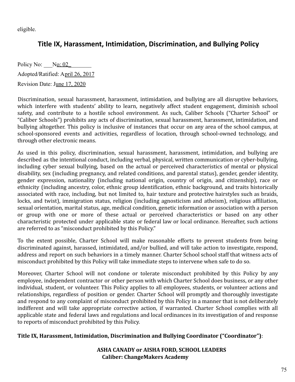eligible.

# **Title IX, Harassment, Intimidation, Discrimination, and Bullying Policy**

Policy No:  $N_0$ : 02 Adopted/Ratified: April 26, 2017 Revision Date: June 17, 2020

Discrimination, sexual harassment, harassment, intimidation, and bullying are all disruptive behaviors, which interfere with students' ability to learn, negatively affect student engagement, diminish school safety, and contribute to a hostile school environment. As such, Caliber Schools ("Charter School" or "Caliber Schools") prohibits any acts of discrimination, sexual harassment, harassment, intimidation, and bullying altogether. This policy is inclusive of instances that occur on any area of the school campus, at school-sponsored events and activities, regardless of location, through school-owned technology, and through other electronic means.

As used in this policy, discrimination, sexual harassment, harassment, intimidation, and bullying are described as the intentional conduct, including verbal, physical, written communication or cyber-bullying, including cyber sexual bullying, based on the actual or perceived characteristics of mental or physical disability, sex (including pregnancy, and related conditions, and parental status), gender, gender identity, gender expression, nationality (including national origin, country of origin, and citizenship), race or ethnicity (including ancestry, color, ethnic group identification, ethnic background, and traits historically associated with race, including, but not limited to, hair texture and protective hairstyles such as braids, locks, and twist), immigration status, religion (including agnosticism and atheism), religious affiliation, sexual orientation, marital status, age, medical condition, genetic information or association with a person or group with one or more of these actual or perceived characteristics or based on any other characteristic protected under applicable state or federal law or local ordinance. Hereafter, such actions are referred to as "misconduct prohibited by this Policy."

To the extent possible, Charter School will make reasonable efforts to prevent students from being discriminated against, harassed, intimidated, and/or bullied, and will take action to investigate, respond, address and report on such behaviors in a timely manner. Charter School school staff that witness acts of misconduct prohibited by this Policy will take immediate steps to intervene when safe to do so.

Moreover, Charter School will not condone or tolerate misconduct prohibited by this Policy by any employee, independent contractor or other person with which Charter School does business, or any other individual, student, or volunteer. This Policy applies to all employees, students, or volunteer actions and relationships, regardless of position or gender. Charter School will promptly and thoroughly investigate and respond to any complaint of misconduct prohibited by this Policy in a manner that is not deliberately indifferent and will take appropriate corrective action, if warranted. Charter School complies with all applicable state and federal laws and regulations and local ordinances in its investigation of and response to reports of misconduct prohibited by this Policy.

### **Title IX, Harassment, Intimidation, Discrimination and Bullying Coordinator ("Coordinator")**:

**ASHA CANADY or AISHA FORD, SCHOOL LEADERS Caliber: ChangeMakers Academy**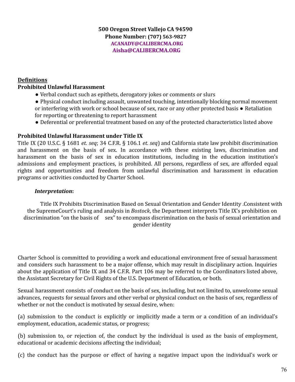#### **500 Oregon Street Vallejo CA 94590 Phone Number: (707) 563-9827 ACANADY@CALIBERCMA.ORG Aisha@CALIBERCMA.ORG**

### **Definitions Prohibited Unlawful Harassment**

- Verbal conduct such as epithets, derogatory jokes or comments or slurs
- Physical conduct including assault, unwanted touching, intentionally blocking normal movement or interfering with work or school because of sex, race or any other protected basis • Retaliation for reporting or threatening to report harassment
- Deferential or preferential treatment based on any of the protected characteristics listed above

### **Prohibited Unlawful Harassment under Title IX**

Title IX (20 U.S.C. § 1681 *et. seq*; 34 C.F.R. § 106.1 *et. seq*) and California state law prohibit discrimination and harassment on the basis of sex. In accordance with these existing laws, discrimination and harassment on the basis of sex in education institutions, including in the education institution's admissions and employment practices, is prohibited. All persons, regardless of sex, are afforded equal rights and opportunities and freedom from unlawful discrimination and harassment in education programs or activities conducted by Charter School.

#### *Interpretation***:**

Title IX Prohibits Discrimination Based on Sexual Orientation and Gender Identity .Consistent with the SupremeCourt's ruling and analysis in *Bostock*, the Department interprets Title IX's prohibition on discrimination "on the basis of sex" to encompass discrimination on the basis of sexual orientation and gender identity

Charter School is committed to providing a work and educational environment free of sexual harassment and considers such harassment to be a major offense, which may result in disciplinary action. Inquiries about the application of Title IX and 34 C.F.R. Part 106 may be referred to the Coordinators listed above, the Assistant Secretary for Civil Rights of the U.S. Department of Education, or both.

Sexual harassment consists of conduct on the basis of sex, including, but not limited to, unwelcome sexual advances, requests for sexual favors and other verbal or physical conduct on the basis of sex, regardless of whether or not the conduct is motivated by sexual desire, when:

(a) submission to the conduct is explicitly or implicitly made a term or a condition of an individual's employment, education, academic status, or progress;

(b) submission to, or rejection of, the conduct by the individual is used as the basis of employment, educational or academic decisions affecting the individual;

(c) the conduct has the purpose or effect of having a negative impact upon the individual's work or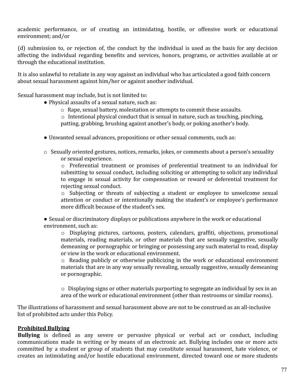academic performance, or of creating an intimidating, hostile, or offensive work or educational environment; and/or

(d) submission to, or rejection of, the conduct by the individual is used as the basis for any decision affecting the individual regarding benefits and services, honors, programs, or activities available at or through the educational institution.

It is also unlawful to retaliate in any way against an individual who has articulated a good faith concern about sexual harassment against him/her or against another individual.

Sexual harassment may include, but is not limited to:

● Physical assaults of a sexual nature, such as:

o Rape, sexual battery, molestation or attempts to commit these assaults.

o Intentional physical conduct that is sexual in nature, such as touching, pinching, patting, grabbing, brushing against another's body, or poking another's body.

- Unwanted sexual advances, propositions or other sexual comments, such as:
- $\circ$  Sexually oriented gestures, notices, remarks, jokes, or comments about a person's sexuality or sexual experience.

o Preferential treatment or promises of preferential treatment to an individual for submitting to sexual conduct, including soliciting or attempting to solicit any individual to engage in sexual activity for compensation or reward or deferential treatment for rejecting sexual conduct.

o Subjecting or threats of subjecting a student or employee to unwelcome sexual attention or conduct or intentionally making the student's or employee's performance more difficult because of the student's sex.

● Sexual or discriminatory displays or publications anywhere in the work or educational environment, such as:

o Displaying pictures, cartoons, posters, calendars, graffiti, objections, promotional materials, reading materials, or other materials that are sexually suggestive, sexually demeaning or pornographic or bringing or possessing any such material to read, display or view in the work or educational environment.

o Reading publicly or otherwise publicizing in the work or educational environment materials that are in any way sexually revealing, sexually suggestive, sexually demeaning or pornographic.

o Displaying signs or other materials purporting to segregate an individual by sex in an area of the work or educational environment (other than restrooms or similar rooms).

The illustrations of harassment and sexual harassment above are not to be construed as an all-inclusive list of prohibited acts under this Policy.

### **Prohibited Bullying**

**Bullying** is defined as any severe or pervasive physical or verbal act or conduct, including communications made in writing or by means of an electronic act. Bullying includes one or more acts committed by a student or group of students that may constitute sexual harassment, hate violence, or creates an intimidating and/or hostile educational environment, directed toward one or more students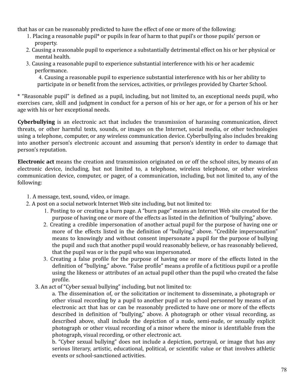that has or can be reasonably predicted to have the effect of one or more of the following:

- 1. Placing a reasonable pupil\* or pupils in fear of harm to that pupil's or those pupils' person or property.
- 2. Causing a reasonable pupil to experience a substantially detrimental effect on his or her physical or mental health.
- 3. Causing a reasonable pupil to experience substantial interference with his or her academic performance.

4. Causing a reasonable pupil to experience substantial interference with his or her ability to participate in or benefit from the services, activities, or privileges provided by Charter School.

\* "Reasonable pupil" is defined as a pupil, including, but not limited to, an exceptional needs pupil, who exercises care, skill and judgment in conduct for a person of his or her age, or for a person of his or her age with his or her exceptional needs.

**Cyberbullying** is an electronic act that includes the transmission of harassing communication, direct threats, or other harmful texts, sounds, or images on the Internet, social media, or other technologies using a telephone, computer, or any wireless communication device. Cyberbullying also includes breaking into another person's electronic account and assuming that person's identity in order to damage that person's reputation.

**Electronic act** means the creation and transmission originated on or off the school sites, by means of an electronic device, including, but not limited to, a telephone, wireless telephone, or other wireless communication device, computer, or pager, of a communication, including, but not limited to, any of the following:

- 1. A message, text, sound, video, or image.
- 2. A post on a social network Internet Web site including, but not limited to:
	- 1. Posting to or creating a burn page. A "burn page" means an Internet Web site created for the purpose of having one or more of the effects as listed in the definition of "bullying," above.
	- 2. Creating a credible impersonation of another actual pupil for the purpose of having one or more of the effects listed in the definition of "bullying," above. "Credible impersonation" means to knowingly and without consent impersonate a pupil for the purpose of bullying the pupil and such that another pupil would reasonably believe, or has reasonably believed, that the pupil was or is the pupil who was impersonated.
	- 3. Creating a false profile for the purpose of having one or more of the effects listed in the definition of "bullying," above. "False profile" means a profile of a fictitious pupil or a profile using the likeness or attributes of an actual pupil other than the pupil who created the false profile.
	- 3. An act of "Cyber sexual bullying" including, but not limited to:

a. The dissemination of, or the solicitation or incitement to disseminate, a photograph or other visual recording by a pupil to another pupil or to school personnel by means of an electronic act that has or can be reasonably predicted to have one or more of the effects described in definition of "bullying," above. A photograph or other visual recording, as described above, shall include the depiction of a nude, semi-nude, or sexually explicit photograph or other visual recording of a minor where the minor is identifiable from the photograph, visual recording, or other electronic act.

b. "Cyber sexual bullying" does not include a depiction, portrayal, or image that has any serious literary, artistic, educational, political, or scientific value or that involves athletic events or school-sanctioned activities.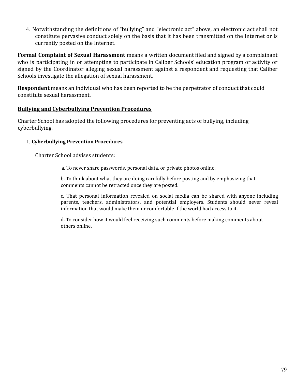4. Notwithstanding the definitions of "bullying" and "electronic act" above, an electronic act shall not constitute pervasive conduct solely on the basis that it has been transmitted on the Internet or is currently posted on the Internet.

**Formal Complaint of Sexual Harassment** means a written document filed and signed by a complainant who is participating in or attempting to participate in Caliber Schools' education program or activity or signed by the Coordinator alleging sexual harassment against a respondent and requesting that Caliber Schools investigate the allegation of sexual harassment.

**Respondent** means an individual who has been reported to be the perpetrator of conduct that could constitute sexual harassment.

### **Bullying and Cyberbullying Prevention Procedures**

Charter School has adopted the following procedures for preventing acts of bullying, including cyberbullying.

### 1. **Cyberbullying Prevention Procedures**

Charter School advises students:

a. To never share passwords, personal data, or private photos online.

b. To think about what they are doing carefully before posting and by emphasizing that comments cannot be retracted once they are posted.

c. That personal information revealed on social media can be shared with anyone including parents, teachers, administrators, and potential employers. Students should never reveal information that would make them uncomfortable if the world had access to it.

d. To consider how it would feel receiving such comments before making comments about others online.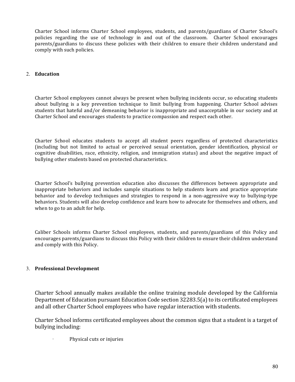Charter School informs Charter School employees, students, and parents/guardians of Charter School's policies regarding the use of technology in and out of the classroom. Charter School encourages parents/guardians to discuss these policies with their children to ensure their children understand and comply with such policies.

#### 2. **Education**

Charter School employees cannot always be present when bullying incidents occur, so educating students about bullying is a key prevention technique to limit bullying from happening. Charter School advises students that hateful and/or demeaning behavior is inappropriate and unacceptable in our society and at Charter School and encourages students to practice compassion and respect each other.

Charter School educates students to accept all student peers regardless of protected characteristics (including but not limited to actual or perceived sexual orientation, gender identification, physical or cognitive disabilities, race, ethnicity, religion, and immigration status) and about the negative impact of bullying other students based on protected characteristics.

Charter School's bullying prevention education also discusses the differences between appropriate and inappropriate behaviors and includes sample situations to help students learn and practice appropriate behavior and to develop techniques and strategies to respond in a non-aggressive way to bullying-type behaviors. Students will also develop confidence and learn how to advocate for themselves and others, and when to go to an adult for help.

Caliber Schools informs Charter School employees, students, and parents/guardians of this Policy and encourages parents/guardians to discuss this Policy with their children to ensure their children understand and comply with this Policy.

#### 3. **Professional Development**

Charter School annually makes available the online training module developed by the California Department of Education pursuant Education Code section 32283.5(a) to its certificated employees and all other Charter School employees who have regular interaction with students.

Charter School informs certificated employees about the common signs that a student is a target of bullying including:

Physical cuts or injuries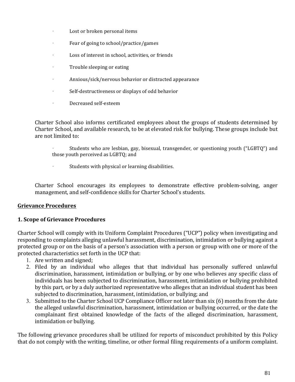- · Lost or broken personal items
- $\cdot$  Fear of going to school/practice/games
- · Loss of interest in school, activities, or friends
- $\cdot$  Trouble sleeping or eating
- · Anxious/sick/nervous behavior or distracted appearance
- · Self-destructiveness or displays of odd behavior
- · Decreased self-esteem

Charter School also informs certificated employees about the groups of students determined by Charter School, and available research, to be at elevated risk for bullying. These groups include but are not limited to:

- Students who are lesbian, gay, bisexual, transgender, or questioning youth ("LGBTQ") and those youth perceived as LGBTQ; and
- · Students with physical or learning disabilities.

Charter School encourages its employees to demonstrate effective problem-solving, anger management, and self-confidence skills for Charter School's students.

#### **Grievance Procedures**

#### **1. Scope of Grievance Procedures**

Charter School will comply with its Uniform Complaint Procedures ("UCP") policy when investigating and responding to complaints alleging unlawful harassment, discrimination, intimidation or bullying against a protected group or on the basis of a person's association with a person or group with one or more of the protected characteristics set forth in the UCP that:

- 1. Are written and signed;
- 2. Filed by an individual who alleges that that individual has personally suffered unlawful discrimination, harassment, intimidation or bullying, or by one who believes any specific class of individuals has been subjected to discrimination, harassment, intimidation or bullying prohibited by this part, or by a duly authorized representative who alleges that an individual student has been subjected to discrimination, harassment, intimidation, or bullying; and
- 3. Submitted to the Charter School UCP Compliance Officer not later than six (6) months from the date the alleged unlawful discrimination, harassment, intimidation or bullying occurred, or the date the complainant first obtained knowledge of the facts of the alleged discrimination, harassment, intimidation or bullying.

The following grievance procedures shall be utilized for reports of misconduct prohibited by this Policy that do not comply with the writing, timeline, or other formal filing requirements of a uniform complaint.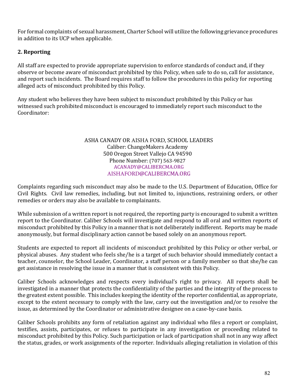For formal complaints of sexual harassment, Charter School will utilize the following grievance procedures in addition to its UCP when applicable.

### **2. Reporting**

All staff are expected to provide appropriate supervision to enforce standards of conduct and, if they observe or become aware of misconduct prohibited by this Policy, when safe to do so, call for assistance, and report such incidents. The Board requires staff to follow the procedures in this policy for reporting alleged acts of misconduct prohibited by this Policy.

Any student who believes they have been subject to misconduct prohibited by this Policy or has witnessed such prohibited misconduct is encouraged to immediately report such misconduct to the Coordinator: 

#### ASHA CANADY OR AISHA FORD, SCHOOL LEADERS Caliber: ChangeMakers Academy 500 Oregon Street Vallejo CA 94590 Phone Number: (707) 563-9827 ACANADY@CALIBERCMA.ORG AISHAFORD@CALIBERCMA.ORG

Complaints regarding such misconduct may also be made to the U.S. Department of Education, Office for Civil Rights. Civil law remedies, including, but not limited to, injunctions, restraining orders, or other remedies or orders may also be available to complainants.

While submission of a written report is not required, the reporting party is encouraged to submit a written report to the Coordinator. Caliber Schools will investigate and respond to all oral and written reports of misconduct prohibited by this Policy in a manner that is not deliberately indifferent. Reports may be made anonymously, but formal disciplinary action cannot be based solely on an anonymous report.

Students are expected to report all incidents of misconduct prohibited by this Policy or other verbal, or physical abuses. Any student who feels she/he is a target of such behavior should immediately contact a teacher, counselor, the School Leader, Coordinator, a staff person or a family member so that she/he can get assistance in resolving the issue in a manner that is consistent with this Policy.

Caliber Schools acknowledges and respects every individual's right to privacy. All reports shall be investigated in a manner that protects the confidentiality of the parties and the integrity of the process to the greatest extent possible. This includes keeping the identity of the reporter confidential, as appropriate, except to the extent necessary to comply with the law, carry out the investigation and/or to resolve the issue, as determined by the Coordinator or administrative designee on a case-by-case basis.

Caliber Schools prohibits any form of retaliation against any individual who files a report or complaint, testifies, assists, participates, or refuses to participate in any investigation or proceeding related to misconduct prohibited by this Policy. Such participation or lack of participation shall not in any way affect the status, grades, or work assignments of the reporter. Individuals alleging retaliation in violation of this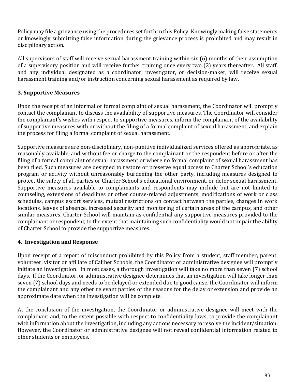Policy may file a grievance using the procedures set forth in this Policy. Knowingly making false statements or knowingly submitting false information during the grievance process is prohibited and may result in disciplinary action.

All supervisors of staff will receive sexual harassment training within  $\sin(6)$  months of their assumption of a supervisory position and will receive further training once every two (2) years thereafter. All staff, and any individual designated as a coordinator, investigator, or decision-maker, will receive sexual harassment training and/or instruction concerning sexual harassment as required by law.

### **3. Supportive Measures**

Upon the receipt of an informal or formal complaint of sexual harassment, the Coordinator will promptly contact the complainant to discuss the availability of supportive measures. The Coordinator will consider the complainant's wishes with respect to supportive measures, inform the complainant of the availability of supportive measures with or without the filing of a formal complaint of sexual harassment, and explain the process for filing a formal complaint of sexual harassment.

Supportive measures are non-disciplinary, non-punitive individualized services offered as appropriate, as reasonably available, and without fee or charge to the complainant or the respondent before or after the filing of a formal complaint of sexual harassment or where no formal complaint of sexual harassment has been filed. Such measures are designed to restore or preserve equal access to Charter School's education program or activity without unreasonably burdening the other party, including measures designed to protect the safety of all parties or Charter School's educational environment, or deter sexual harassment. Supportive measures available to complainants and respondents may include but are not limited to counseling, extensions of deadlines or other course-related adjustments, modifications of work or class schedules, campus escort services, mutual restrictions on contact between the parties, changes in work locations, leaves of absence, increased security and monitoring of certain areas of the campus, and other similar measures. Charter School will maintain as confidential any supportive measures provided to the complainant or respondent, to the extent that maintaining such confidentiality would not impair the ability of Charter School to provide the supportive measures.

### **4. Investigation and Response**

Upon receipt of a report of misconduct prohibited by this Policy from a student, staff member, parent, volunteer, visitor or affiliate of Caliber Schools, the Coordinator or administrative designee will promptly initiate an investigation. In most cases, a thorough investigation will take no more than seven (7) school days. If the Coordinator, or administrative designee determines that an investigation will take longer than seven (7) school days and needs to be delayed or extended due to good cause, the Coordinator will inform the complainant and any other relevant parties of the reasons for the delay or extension and provide an approximate date when the investigation will be complete.

At the conclusion of the investigation, the Coordinator or administrative designee will meet with the complainant and, to the extent possible with respect to confidentiality laws, to provide the complainant with information about the investigation, including any actions necessary to resolve the incident/situation. However, the Coordinator or administrative designee will not reveal confidential information related to other students or employees.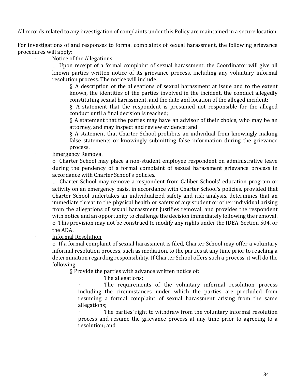All records related to any investigation of complaints under this Policy are maintained in a secure location.

For investigations of and responses to formal complaints of sexual harassment, the following grievance procedures will apply:

#### Notice of the Allegations

 $\circ$  Upon receipt of a formal complaint of sexual harassment, the Coordinator will give all known parties written notice of its grievance process, including any voluntary informal resolution process. The notice will include:

§ A description of the allegations of sexual harassment at issue and to the extent known, the identities of the parties involved in the incident, the conduct allegedly constituting sexual harassment, and the date and location of the alleged incident;

 $§$  A statement that the respondent is presumed not responsible for the alleged conduct until a final decision is reached;

 $§$  A statement that the parties may have an advisor of their choice, who may be an attorney, and may inspect and review evidence; and

 $§$  A statement that Charter School prohibits an individual from knowingly making false statements or knowingly submitting false information during the grievance process.

#### **Emergency Removal**

 $\circ$  Charter School may place a non-student employee respondent on administrative leave during the pendency of a formal complaint of sexual harassment grievance process in accordance with Charter School's policies.

o Charter School may remove a respondent from Caliber Schools' education program or activity on an emergency basis, in accordance with Charter School's policies, provided that Charter School undertakes an individualized safety and risk analysis, determines that an immediate threat to the physical health or safety of any student or other individual arising from the allegations of sexual harassment justifies removal, and provides the respondent with notice and an opportunity to challenge the decision immediately following the removal.  $\circ$  This provision may not be construed to modify any rights under the IDEA, Section 504, or the ADA.

#### Informal Resolution

 $\circ$  If a formal complaint of sexual harassment is filed, Charter School may offer a voluntary informal resolution process, such as mediation, to the parties at any time prior to reaching a determination regarding responsibility. If Charter School offers such a process, it will do the following:

§ Provide the parties with advance written notice of:

The allegations;

The requirements of the voluntary informal resolution process including the circumstances under which the parties are precluded from resuming a formal complaint of sexual harassment arising from the same allegations;

The parties' right to withdraw from the voluntary informal resolution process and resume the grievance process at any time prior to agreeing to a resolution; and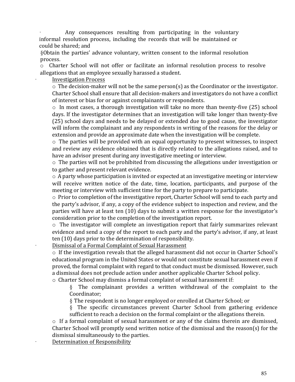Any consequences resulting from participating in the voluntary informal resolution process, including the records that will be maintained or could be shared; and

§Obtain the parties' advance voluntary, written consent to the informal resolution process.

o Charter School will not offer or facilitate an informal resolution process to resolve allegations that an employee sexually harassed a student.

#### **Investigation Process**

 $\circ$  The decision-maker will not be the same person(s) as the Coordinator or the investigator. Charter School shall ensure that all decision-makers and investigators do not have a conflict of interest or bias for or against complainants or respondents.

 $\circ$  In most cases, a thorough investigation will take no more than twenty-five (25) school days. If the investigator determines that an investigation will take longer than twenty-five (25) school days and needs to be delayed or extended due to good cause, the investigator will inform the complainant and any respondents in writing of the reasons for the delay or extension and provide an approximate date when the investigation will be complete.

 $\circ$  The parties will be provided with an equal opportunity to present witnesses, to inspect and review any evidence obtained that is directly related to the allegations raised, and to have an advisor present during any investigative meeting or interview.

 $\circ$  The parties will not be prohibited from discussing the allegations under investigation or to gather and present relevant evidence.

 $\circ$  A party whose participation is invited or expected at an investigative meeting or interview will receive written notice of the date, time, location, participants, and purpose of the meeting or interview with sufficient time for the party to prepare to participate.

 $\circ$  Prior to completion of the investigative report, Charter School will send to each party and the party's advisor, if any, a copy of the evidence subject to inspection and review, and the parties will have at least ten (10) days to submit a written response for the investigator's consideration prior to the completion of the investigation report.

 $\circ$  The investigator will complete an investigation report that fairly summarizes relevant evidence and send a copy of the report to each party and the party's advisor, if any, at least ten (10) days prior to the determination of responsibility.

Dismissal of a Formal Complaint of Sexual Harassment

 $\circ$  If the investigation reveals that the alleged harassment did not occur in Charter School's educational program in the United States or would not constitute sexual harassment even if proved, the formal complaint with regard to that conduct must be dismissed. However, such a dismissal does not preclude action under another applicable Charter School policy.

 $\circ$  Charter School may dismiss a formal complaint of sexual harassment if:

 $§$  The complainant provides a written withdrawal of the complaint to the Coordinator;

§ The respondent is no longer employed or enrolled at Charter School; or

 $§$  The specific circumstances prevent Charter School from gathering evidence sufficient to reach a decision on the formal complaint or the allegations therein.

 $\circ$  If a formal complaint of sexual harassment or any of the claims therein are dismissed, Charter School will promptly send written notice of the dismissal and the reason(s) for the dismissal simultaneously to the parties.

Determination of Responsibility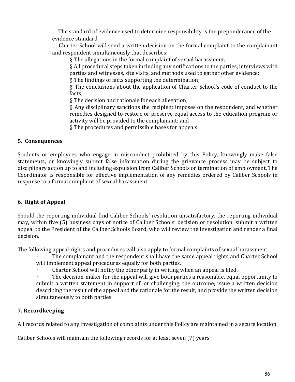$\circ$  The standard of evidence used to determine responsibility is the preponderance of the evidence standard.

 $\circ$  Charter School will send a written decision on the formal complaint to the complainant and respondent simultaneously that describes:

§ The allegations in the formal complaint of sexual harassment;

 $§$  All procedural steps taken including any notifications to the parties, interviews with parties and witnesses, site visits, and methods used to gather other evidence;

 $§$  The findings of facts supporting the determination;

§ The conclusions about the application of Charter School's code of conduct to the facts;

§ The decision and rationale for each allegation;

 $§$  Any disciplinary sanctions the recipient imposes on the respondent, and whether remedies designed to restore or preserve equal access to the education program or activity will be provided to the complainant; and

§ The procedures and permissible bases for appeals.

### **5. Consequences**

Students or employees who engage in misconduct prohibited by this Policy, knowingly make false statements, or knowingly submit false information during the grievance process may be subject to disciplinary action up to and including expulsion from Caliber Schools or termination of employment. The Coordinator is responsible for effective implementation of any remedies ordered by Caliber Schools in response to a formal complaint of sexual harassment.

### **6. Right of Appeal**

Should the reporting individual find Caliber Schools' resolution unsatisfactory, the reporting individual may, within five (5) business days of notice of Caliber Schools' decision or resolution, submit a written appeal to the President of the Caliber Schools Board, who will review the investigation and render a final decision.

The following appeal rights and procedures will also apply to formal complaints of sexual harassment:

The complainant and the respondent shall have the same appeal rights and Charter School will implement appeal procedures equally for both parties.

Charter School will notify the other party in writing when an appeal is filed.

The decision-maker for the appeal will give both parties a reasonable, equal opportunity to submit a written statement in support of, or challenging, the outcome; issue a written decision describing the result of the appeal and the rationale for the result; and provide the written decision simultaneously to both parties.

### **7. Recordkeeping**

All records related to any investigation of complaints under this Policy are maintained in a secure location.

Caliber Schools will maintain the following records for at least seven (7) years: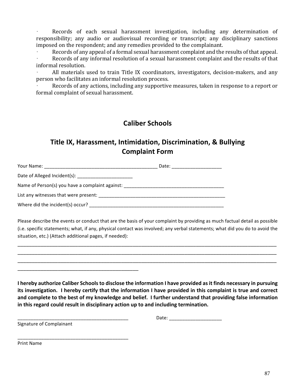Records of each sexual harassment investigation, including any determination of responsibility; any audio or audiovisual recording or transcript; any disciplinary sanctions imposed on the respondent; and any remedies provided to the complainant.

Records of any appeal of a formal sexual harassment complaint and the results of that appeal. Records of any informal resolution of a sexual harassment complaint and the results of that informal resolution.

All materials used to train Title IX coordinators, investigators, decision-makers, and any person who facilitates an informal resolution process.

Records of any actions, including any supportive measures, taken in response to a report or formal complaint of sexual harassment.

## **Caliber Schools**

# **Title IX, Harassment, Intimidation, Discrimination, & Bullying Complaint Form**

| Your Name:                                                                       | Date: |  |
|----------------------------------------------------------------------------------|-------|--|
|                                                                                  |       |  |
| Name of Person(s) you have a complaint against: ________________________________ |       |  |
| List any witnesses that were present:                                            |       |  |
| Where did the incident(s) occur?                                                 |       |  |

Please describe the events or conduct that are the basis of your complaint by providing as much factual detail as possible (i.e. specific statements; what, if any, physical contact was involved; any verbal statements; what did you do to avoid the situation, etc.) (Attach additional pages, if needed):

\_\_\_\_\_\_\_\_\_\_\_\_\_\_\_\_\_\_\_\_\_\_\_\_\_\_\_\_\_\_\_\_\_\_\_\_\_\_\_\_\_\_\_\_\_\_\_\_\_\_\_\_\_\_\_\_\_\_\_\_\_\_\_\_\_\_\_\_\_\_\_\_\_\_\_\_\_\_\_\_\_\_\_\_\_\_\_\_\_\_ \_\_\_\_\_\_\_\_\_\_\_\_\_\_\_\_\_\_\_\_\_\_\_\_\_\_\_\_\_\_\_\_\_\_\_\_\_\_\_\_\_\_\_\_\_\_\_\_\_\_\_\_\_\_\_\_\_\_\_\_\_\_\_\_\_\_\_\_\_\_\_\_\_\_\_\_\_\_\_\_\_\_\_\_\_\_\_\_\_\_ \_\_\_\_\_\_\_\_\_\_\_\_\_\_\_\_\_\_\_\_\_\_\_\_\_\_\_\_\_\_\_\_\_\_\_\_\_\_\_\_\_\_\_\_\_\_\_\_\_\_\_\_\_\_\_\_\_\_\_\_\_\_\_\_\_\_\_\_\_\_\_\_\_\_\_\_\_\_\_\_\_\_\_\_\_\_\_\_\_\_

**I** hereby authorize Caliber Schools to disclose the information I have provided as it finds necessary in pursuing its investigation. I hereby certify that the information I have provided in this complaint is true and correct and complete to the best of my knowledge and belief. I further understand that providing false information in this regard could result in disciplinary action up to and including termination.

 $Date:$   $\_$ 

Signature of Complainant

\_\_\_\_\_\_\_\_\_\_\_\_\_\_\_\_\_\_\_\_\_\_\_\_\_\_\_\_\_\_\_\_\_\_\_\_\_\_\_\_\_\_

\_\_\_\_\_\_\_\_\_\_\_\_\_\_\_\_\_\_\_\_\_\_\_\_\_\_\_\_\_\_\_\_\_\_\_\_\_\_\_\_\_\_ 

Print Name